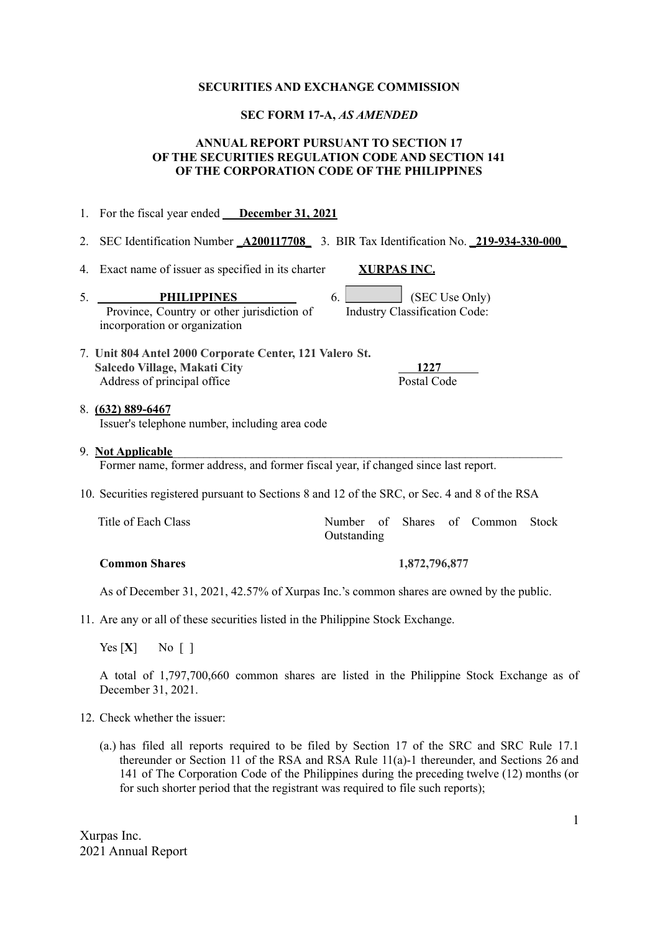#### **SECURITIES AND EXCHANGE COMMISSION**

#### **SEC FORM 17-A,** *AS AMENDED*

### **ANNUAL REPORT PURSUANT TO SECTION 17 OF THE SECURITIES REGULATION CODE AND SECTION 141 OF THE CORPORATION CODE OF THE PHILIPPINES**

- 1. For the fiscal year ended **December 31, 2021**
- 2. SEC Identification Number **\_A200117708\_** 3. BIR Tax Identification No. **\_219-934-330-000\_**
- 4. Exact name of issuer as specified in its charter **XURPAS INC.**

5. **PHILIPPINES** 6. **SEC Use Only** Province, Country or other jurisdiction of incorporation or organization

Industry Classification Code:

7. **Unit 804 Antel 2000 Corporate Center, 121 Valero St. Salcedo Village, Makati City 1227** Address of principal office Postal Code

# 8. **(632) 889-6467**

Issuer's telephone number, including area code

#### 9. **Not Applicable**\_\_\_\_\_\_\_\_\_\_\_\_\_\_\_\_\_\_\_\_\_\_\_\_\_\_\_\_\_\_\_\_\_\_\_\_\_\_\_\_\_\_\_\_\_\_\_\_\_\_\_\_\_\_\_\_\_\_\_\_\_\_\_\_

Former name, former address, and former fiscal year, if changed since last report.

10. Securities registered pursuant to Sections 8 and 12 of the SRC, or Sec. 4 and 8 of the RSA

| Title of Each Class |             |  | Number of Shares of Common Stock |  |
|---------------------|-------------|--|----------------------------------|--|
|                     | Outstanding |  |                                  |  |

### **Common Shares 1,872,796,877**

As of December 31, 2021, 42.57% of Xurpas Inc.'s common shares are owned by the public.

11. Are any or all of these securities listed in the Philippine Stock Exchange.

Yes  $[X]$  No  $\lceil$  1

A total of 1,797,700,660 common shares are listed in the Philippine Stock Exchange as of December 31, 2021.

- 12. Check whether the issuer:
	- (a.) has filed all reports required to be filed by Section 17 of the SRC and SRC Rule 17.1 thereunder or Section 11 of the RSA and RSA Rule 11(a)-1 thereunder, and Sections 26 and 141 of The Corporation Code of the Philippines during the preceding twelve (12) months (or for such shorter period that the registrant was required to file such reports);

Xurpas Inc. 2021 Annual Report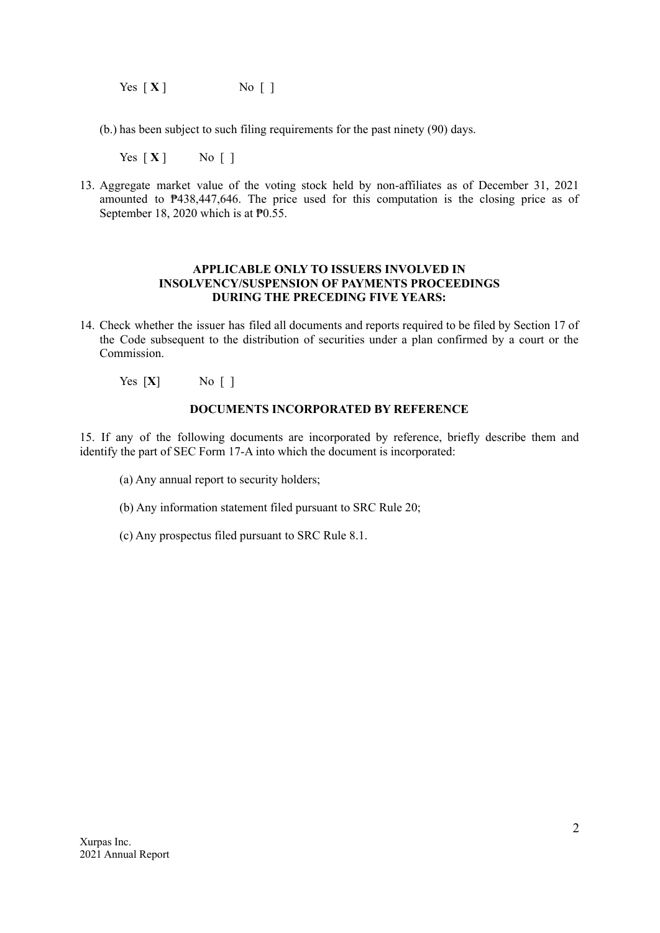Yes  $[X]$  No [ ]

(b.) has been subject to such filing requirements for the past ninety (90) days.

Yes  $[X]$  No  $[$ ]

13. Aggregate market value of the voting stock held by non-affiliates as of December 31, 2021 amounted to ₱438,447,646. The price used for this computation is the closing price as of September 18, 2020 which is at  $\overline{P}0.55$ .

### **APPLICABLE ONLY TO ISSUERS INVOLVED IN INSOLVENCY/SUSPENSION OF PAYMENTS PROCEEDINGS DURING THE PRECEDING FIVE YEARS:**

- 14. Check whether the issuer has filed all documents and reports required to be filed by Section 17 of the Code subsequent to the distribution of securities under a plan confirmed by a court or the Commission.
	- Yes  $[X]$  No [ ]

### **DOCUMENTS INCORPORATED BY REFERENCE**

15. If any of the following documents are incorporated by reference, briefly describe them and identify the part of SEC Form 17-A into which the document is incorporated:

- (a) Any annual report to security holders;
- (b) Any information statement filed pursuant to SRC Rule 20;
- (c) Any prospectus filed pursuant to SRC Rule 8.1.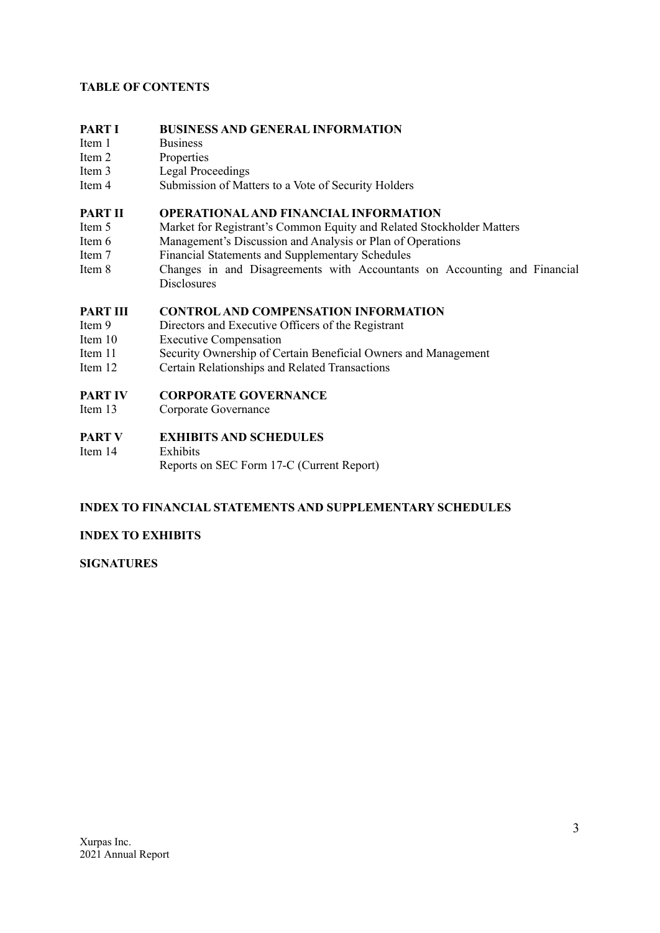# **TABLE OF CONTENTS**

# **PART I BUSINESS AND GENERAL INFORMATION**

- Item 1 Business
- Item 2 Properties
- Item 3 Legal Proceedings
- Item 4 Submission of Matters to a Vote of Security Holders

### **PART II OPERATIONALAND FINANCIAL INFORMATION**

- Item 5 Market for Registrant's Common Equity and Related Stockholder Matters
- Item 6 Management's Discussion and Analysis or Plan of Operations
- Item 7 Financial Statements and Supplementary Schedules
- Item 8 Changes in and Disagreements with Accountants on Accounting and Financial **Disclosures**

# **PART III CONTROLAND COMPENSATION INFORMATION**

- Item 9 Directors and Executive Officers of the Registrant
- Item 10 Executive Compensation
- Item 11 Security Ownership of Certain Beneficial Owners and Management
- Item 12 Certain Relationships and Related Transactions

### **PART IV CORPORATE GOVERNANCE**

Item 13 Corporate Governance

### **PART V EXHIBITS AND SCHEDULES**

Item 14 Exhibits Reports on SEC Form 17-C (Current Report)

# **INDEX TO FINANCIAL STATEMENTS AND SUPPLEMENTARY SCHEDULES**

# **INDEX TO EXHIBITS**

**SIGNATURES**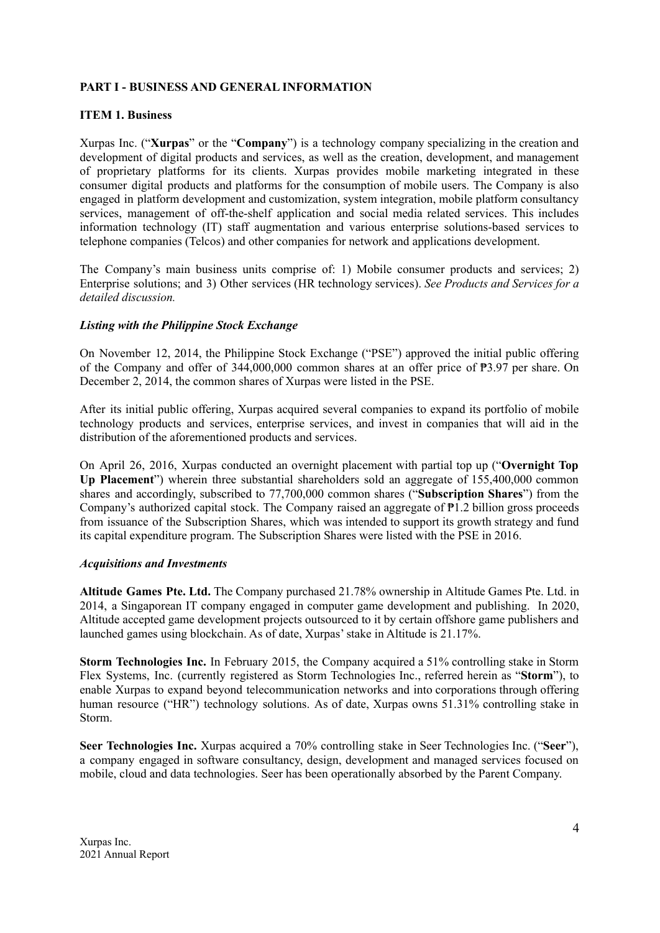### **PART I - BUSINESS AND GENERAL INFORMATION**

### **ITEM 1. Business**

Xurpas Inc. ("**Xurpas**" or the "**Company**") is a technology company specializing in the creation and development of digital products and services, as well as the creation, development, and management of proprietary platforms for its clients. Xurpas provides mobile marketing integrated in these consumer digital products and platforms for the consumption of mobile users. The Company is also engaged in platform development and customization, system integration, mobile platform consultancy services, management of off-the-shelf application and social media related services. This includes information technology (IT) staff augmentation and various enterprise solutions-based services to telephone companies (Telcos) and other companies for network and applications development.

The Company's main business units comprise of: 1) Mobile consumer products and services; 2) Enterprise solutions; and 3) Other services (HR technology services). *See Products and Services for a detailed discussion.*

### *Listing with the Philippine Stock Exchange*

On November 12, 2014, the Philippine Stock Exchange ("PSE") approved the initial public offering of the Company and offer of 344,000,000 common shares at an offer price of ₱3.97 per share. On December 2, 2014, the common shares of Xurpas were listed in the PSE.

After its initial public offering, Xurpas acquired several companies to expand its portfolio of mobile technology products and services, enterprise services, and invest in companies that will aid in the distribution of the aforementioned products and services.

On April 26, 2016, Xurpas conducted an overnight placement with partial top up ("**Overnight Top Up Placement**") wherein three substantial shareholders sold an aggregate of 155,400,000 common shares and accordingly, subscribed to 77,700,000 common shares ("**Subscription Shares**") from the Company's authorized capital stock. The Company raised an aggregate of ₱1.2 billion gross proceeds from issuance of the Subscription Shares, which was intended to support its growth strategy and fund its capital expenditure program. The Subscription Shares were listed with the PSE in 2016.

### *Acquisitions and Investments*

**Altitude Games Pte. Ltd.** The Company purchased 21.78% ownership in Altitude Games Pte. Ltd. in 2014, a Singaporean IT company engaged in computer game development and publishing. In 2020, Altitude accepted game development projects outsourced to it by certain offshore game publishers and launched games using blockchain. As of date, Xurpas'stake in Altitude is 21.17%.

**Storm Technologies Inc.** In February 2015, the Company acquired a 51% controlling stake in Storm Flex Systems, Inc. (currently registered as Storm Technologies Inc., referred herein as "**Storm**"), to enable Xurpas to expand beyond telecommunication networks and into corporations through offering human resource ("HR") technology solutions. As of date, Xurpas owns 51.31% controlling stake in Storm.

**Seer Technologies Inc.** Xurpas acquired a 70% controlling stake in Seer Technologies Inc. ("**Seer**"), a company engaged in software consultancy, design, development and managed services focused on mobile, cloud and data technologies. Seer has been operationally absorbed by the Parent Company.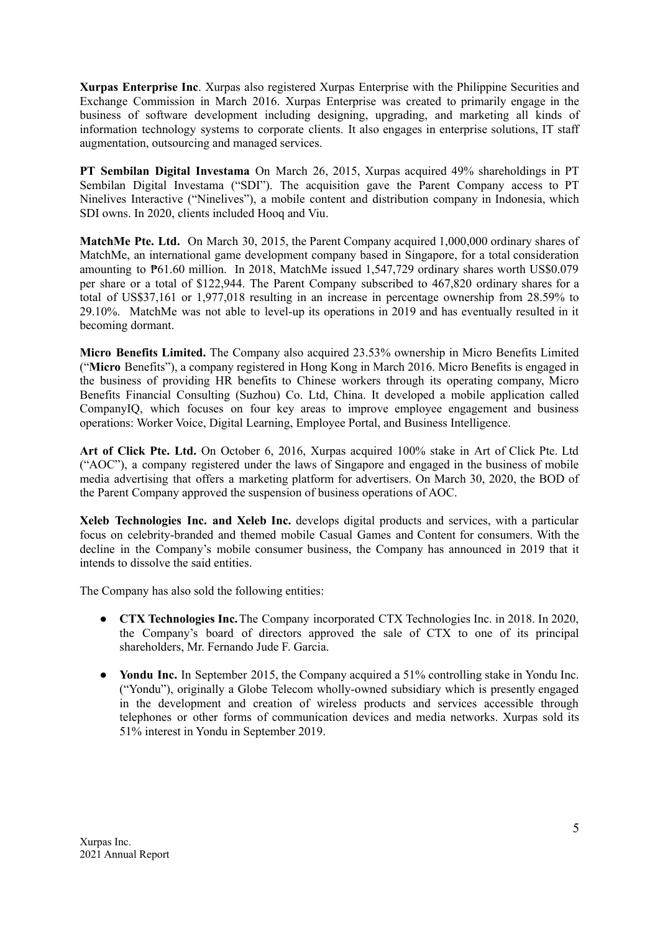**Xurpas Enterprise Inc**. Xurpas also registered Xurpas Enterprise with the Philippine Securities and Exchange Commission in March 2016. Xurpas Enterprise was created to primarily engage in the business of software development including designing, upgrading, and marketing all kinds of information technology systems to corporate clients. It also engages in enterprise solutions, IT staff augmentation, outsourcing and managed services.

**PT Sembilan Digital Investama** On March 26, 2015, Xurpas acquired 49% shareholdings in PT Sembilan Digital Investama ("SDI"). The acquisition gave the Parent Company access to PT Ninelives Interactive ("Ninelives"), a mobile content and distribution company in Indonesia, which SDI owns. In 2020, clients included Hooq and Viu.

**MatchMe Pte. Ltd.** On March 30, 2015, the Parent Company acquired 1,000,000 ordinary shares of MatchMe, an international game development company based in Singapore, for a total consideration amounting to ₱61.60 million. In 2018, MatchMe issued 1,547,729 ordinary shares worth US\$0.079 per share or a total of \$122,944. The Parent Company subscribed to 467,820 ordinary shares for a total of US\$37,161 or 1,977,018 resulting in an increase in percentage ownership from 28.59% to 29.10%. MatchMe was not able to level-up its operations in 2019 and has eventually resulted in it becoming dormant.

**Micro Benefits Limited.** The Company also acquired 23.53% ownership in Micro Benefits Limited ("**Micro** Benefits"), a company registered in Hong Kong in March 2016. Micro Benefits is engaged in the business of providing HR benefits to Chinese workers through its operating company, Micro Benefits Financial Consulting (Suzhou) Co. Ltd, China. It developed a mobile application called CompanyIQ, which focuses on four key areas to improve employee engagement and business operations: Worker Voice, Digital Learning, Employee Portal, and Business Intelligence.

**Art of Click Pte. Ltd.** On October 6, 2016, Xurpas acquired 100% stake in Art of Click Pte. Ltd ("AOC"), a company registered under the laws of Singapore and engaged in the business of mobile media advertising that offers a marketing platform for advertisers. On March 30, 2020, the BOD of the Parent Company approved the suspension of business operations of AOC.

**Xeleb Technologies Inc. and Xeleb Inc.** develops digital products and services, with a particular focus on celebrity-branded and themed mobile Casual Games and Content for consumers. With the decline in the Company's mobile consumer business, the Company has announced in 2019 that it intends to dissolve the said entities.

The Company has also sold the following entities:

- **CTX Technologies Inc.**The Company incorporated CTX Technologies Inc. in 2018. In 2020, the Company's board of directors approved the sale of CTX to one of its principal shareholders, Mr. Fernando Jude F. Garcia.
- **Yondu Inc.** In September 2015, the Company acquired a 51% controlling stake in Yondu Inc. ("Yondu"), originally a Globe Telecom wholly-owned subsidiary which is presently engaged in the development and creation of wireless products and services accessible through telephones or other forms of communication devices and media networks. Xurpas sold its 51% interest in Yondu in September 2019.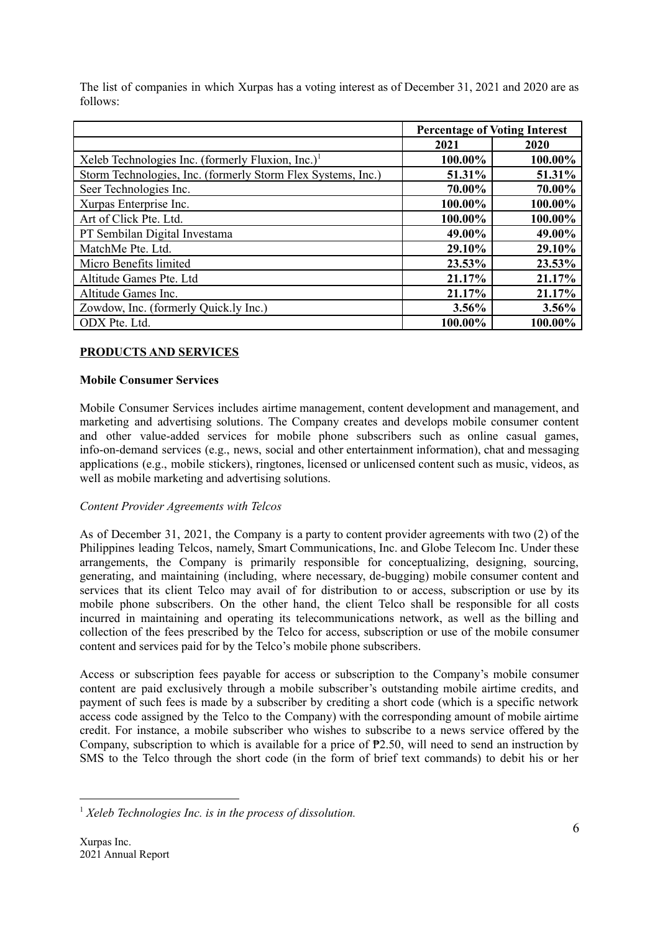The list of companies in which Xurpas has a voting interest as of December 31, 2021 and 2020 are as follows:

|                                                               |               | <b>Percentage of Voting Interest</b> |
|---------------------------------------------------------------|---------------|--------------------------------------|
|                                                               | 2021          | 2020                                 |
| Xeleb Technologies Inc. (formerly Fluxion, Inc.) <sup>1</sup> | 100.00%       | 100.00%                              |
| Storm Technologies, Inc. (formerly Storm Flex Systems, Inc.)  | 51.31%        | 51.31%                               |
| Seer Technologies Inc.                                        | 70.00%        | 70.00%                               |
| Xurpas Enterprise Inc.                                        | 100.00%       | 100.00%                              |
| Art of Click Pte. Ltd.                                        | 100.00%       | 100.00%                              |
| PT Sembilan Digital Investama                                 | 49.00%        | 49.00%                               |
| MatchMe Pte. Ltd.                                             | <b>29.10%</b> | 29.10%                               |
| Micro Benefits limited                                        | 23.53%        | 23.53%                               |
| Altitude Games Pte. Ltd                                       | 21.17%        | 21.17%                               |
| Altitude Games Inc.                                           | 21.17%        | 21.17%                               |
| Zowdow, Inc. (formerly Quick.ly Inc.)                         | $3.56\%$      | 3.56%                                |
| ODX Pte. Ltd.                                                 | 100.00%       | 100.00%                              |

# **PRODUCTS AND SERVICES**

# **Mobile Consumer Services**

Mobile Consumer Services includes airtime management, content development and management, and marketing and advertising solutions. The Company creates and develops mobile consumer content and other value-added services for mobile phone subscribers such as online casual games, info-on-demand services (e.g., news, social and other entertainment information), chat and messaging applications (e.g., mobile stickers), ringtones, licensed or unlicensed content such as music, videos, as well as mobile marketing and advertising solutions.

# *Content Provider Agreements with Telcos*

As of December 31, 2021, the Company is a party to content provider agreements with two (2) of the Philippines leading Telcos, namely, Smart Communications, Inc. and Globe Telecom Inc. Under these arrangements, the Company is primarily responsible for conceptualizing, designing, sourcing, generating, and maintaining (including, where necessary, de-bugging) mobile consumer content and services that its client Telco may avail of for distribution to or access, subscription or use by its mobile phone subscribers. On the other hand, the client Telco shall be responsible for all costs incurred in maintaining and operating its telecommunications network, as well as the billing and collection of the fees prescribed by the Telco for access, subscription or use of the mobile consumer content and services paid for by the Telco's mobile phone subscribers.

Access or subscription fees payable for access or subscription to the Company's mobile consumer content are paid exclusively through a mobile subscriber's outstanding mobile airtime credits, and payment of such fees is made by a subscriber by crediting a short code (which is a specific network access code assigned by the Telco to the Company) with the corresponding amount of mobile airtime credit. For instance, a mobile subscriber who wishes to subscribe to a news service offered by the Company, subscription to which is available for a price of ₱2.50, will need to send an instruction by SMS to the Telco through the short code (in the form of brief text commands) to debit his or her

<sup>1</sup> *Xeleb Technologies Inc. is in the process of dissolution.*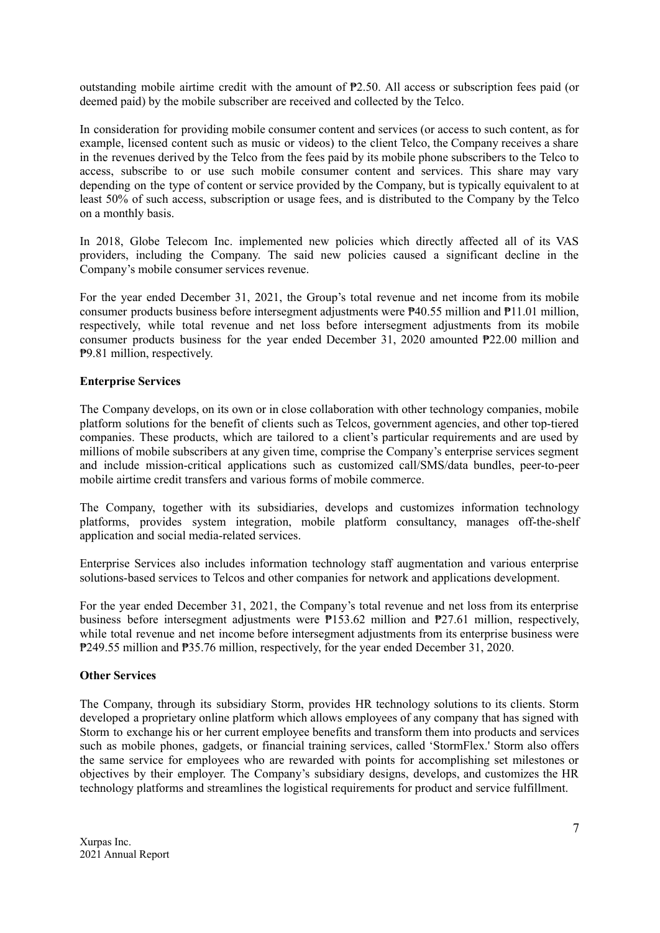outstanding mobile airtime credit with the amount of ₱2.50. All access or subscription fees paid (or deemed paid) by the mobile subscriber are received and collected by the Telco.

In consideration for providing mobile consumer content and services (or access to such content, as for example, licensed content such as music or videos) to the client Telco, the Company receives a share in the revenues derived by the Telco from the fees paid by its mobile phone subscribers to the Telco to access, subscribe to or use such mobile consumer content and services. This share may vary depending on the type of content or service provided by the Company, but is typically equivalent to at least 50% of such access, subscription or usage fees, and is distributed to the Company by the Telco on a monthly basis.

In 2018, Globe Telecom Inc. implemented new policies which directly affected all of its VAS providers, including the Company. The said new policies caused a significant decline in the Company's mobile consumer services revenue.

For the year ended December 31, 2021, the Group's total revenue and net income from its mobile consumer products business before intersegment adjustments were ₱40.55 million and ₱11.01 million, respectively, while total revenue and net loss before intersegment adjustments from its mobile consumer products business for the year ended December 31, 2020 amounted ₱22.00 million and ₱9.81 million, respectively.

### **Enterprise Services**

The Company develops, on its own or in close collaboration with other technology companies, mobile platform solutions for the benefit of clients such as Telcos, government agencies, and other top-tiered companies. These products, which are tailored to a client's particular requirements and are used by millions of mobile subscribers at any given time, comprise the Company's enterprise services segment and include mission-critical applications such as customized call/SMS/data bundles, peer-to-peer mobile airtime credit transfers and various forms of mobile commerce.

The Company, together with its subsidiaries, develops and customizes information technology platforms, provides system integration, mobile platform consultancy, manages off-the-shelf application and social media-related services.

Enterprise Services also includes information technology staff augmentation and various enterprise solutions-based services to Telcos and other companies for network and applications development.

For the year ended December 31, 2021, the Company's total revenue and net loss from its enterprise business before intersegment adjustments were  $P153.62$  million and  $P27.61$  million, respectively, while total revenue and net income before intersegment adjustments from its enterprise business were ₱249.55 million and ₱35.76 million, respectively, for the year ended December 31, 2020.

### **Other Services**

The Company, through its subsidiary Storm, provides HR technology solutions to its clients. Storm developed a proprietary online platform which allows employees of any company that has signed with Storm to exchange his or her current employee benefits and transform them into products and services such as mobile phones, gadgets, or financial training services, called 'StormFlex.' Storm also offers the same service for employees who are rewarded with points for accomplishing set milestones or objectives by their employer. The Company's subsidiary designs, develops, and customizes the HR technology platforms and streamlines the logistical requirements for product and service fulfillment.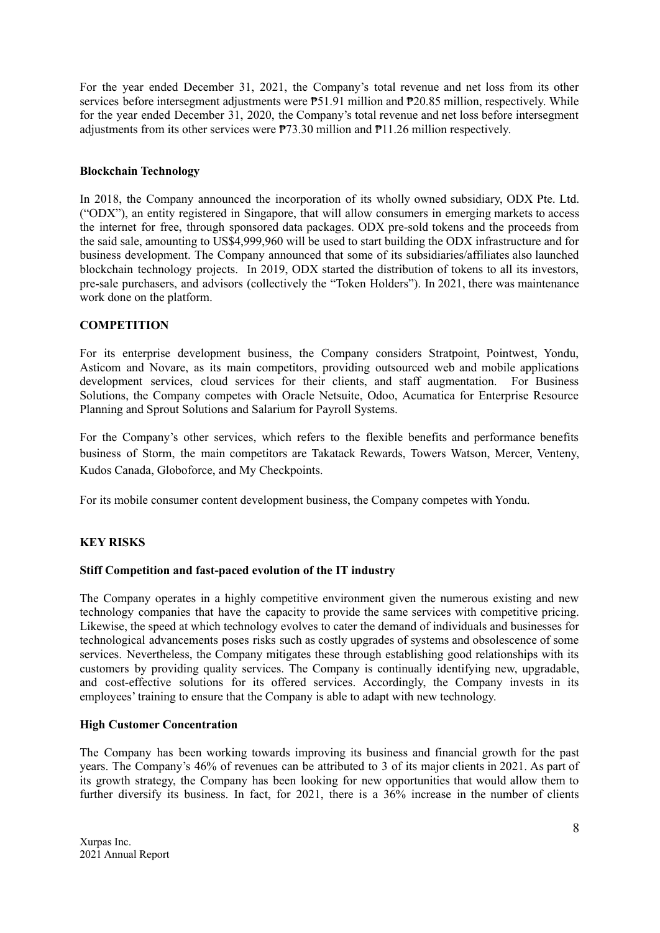For the year ended December 31, 2021, the Company's total revenue and net loss from its other services before intersegment adjustments were  $P51.91$  million and  $P20.85$  million, respectively. While for the year ended December 31, 2020, the Company's total revenue and net loss before intersegment adjustments from its other services were ₱73.30 million and ₱11.26 million respectively.

### **Blockchain Technology**

In 2018, the Company announced the incorporation of its wholly owned subsidiary, ODX Pte. Ltd. ("ODX"), an entity registered in Singapore, that will allow consumers in emerging markets to access the internet for free, through sponsored data packages. ODX pre-sold tokens and the proceeds from the said sale, amounting to US\$4,999,960 will be used to start building the ODX infrastructure and for business development. The Company announced that some of its subsidiaries/affiliates also launched blockchain technology projects. In 2019, ODX started the distribution of tokens to all its investors, pre-sale purchasers, and advisors (collectively the "Token Holders"). In 2021, there was maintenance work done on the platform.

### **COMPETITION**

For its enterprise development business, the Company considers Stratpoint, Pointwest, Yondu, Asticom and Novare, as its main competitors, providing outsourced web and mobile applications development services, cloud services for their clients, and staff augmentation. For Business Solutions, the Company competes with Oracle Netsuite, Odoo, Acumatica for Enterprise Resource Planning and Sprout Solutions and Salarium for Payroll Systems.

For the Company's other services, which refers to the flexible benefits and performance benefits business of Storm, the main competitors are Takatack Rewards, Towers Watson, Mercer, Venteny, Kudos Canada, Globoforce, and My Checkpoints.

For its mobile consumer content development business, the Company competes with Yondu.

### **KEY RISKS**

### **Stiff Competition and fast-paced evolution of the IT industry**

The Company operates in a highly competitive environment given the numerous existing and new technology companies that have the capacity to provide the same services with competitive pricing. Likewise, the speed at which technology evolves to cater the demand of individuals and businesses for technological advancements poses risks such as costly upgrades of systems and obsolescence of some services. Nevertheless, the Company mitigates these through establishing good relationships with its customers by providing quality services. The Company is continually identifying new, upgradable, and cost-effective solutions for its offered services. Accordingly, the Company invests in its employees' training to ensure that the Company is able to adapt with new technology.

### **High Customer Concentration**

The Company has been working towards improving its business and financial growth for the past years. The Company's 46% of revenues can be attributed to 3 of its major clients in 2021. As part of its growth strategy, the Company has been looking for new opportunities that would allow them to further diversify its business. In fact, for 2021, there is a  $36\%$  increase in the number of clients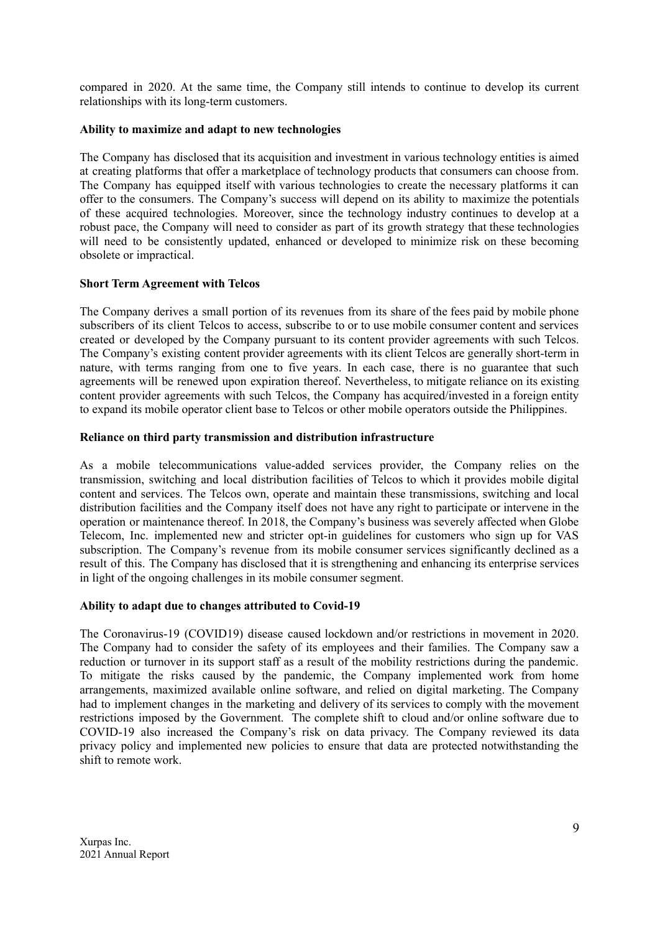compared in 2020. At the same time, the Company still intends to continue to develop its current relationships with its long-term customers.

### **Ability to maximize and adapt to new technologies**

The Company has disclosed that its acquisition and investment in various technology entities is aimed at creating platforms that offer a marketplace of technology products that consumers can choose from. The Company has equipped itself with various technologies to create the necessary platforms it can offer to the consumers. The Company's success will depend on its ability to maximize the potentials of these acquired technologies. Moreover, since the technology industry continues to develop at a robust pace, the Company will need to consider as part of its growth strategy that these technologies will need to be consistently updated, enhanced or developed to minimize risk on these becoming obsolete or impractical.

### **Short Term Agreement with Telcos**

The Company derives a small portion of its revenues from its share of the fees paid by mobile phone subscribers of its client Telcos to access, subscribe to or to use mobile consumer content and services created or developed by the Company pursuant to its content provider agreements with such Telcos. The Company's existing content provider agreements with its client Telcos are generally short-term in nature, with terms ranging from one to five years. In each case, there is no guarantee that such agreements will be renewed upon expiration thereof. Nevertheless, to mitigate reliance on its existing content provider agreements with such Telcos, the Company has acquired/invested in a foreign entity to expand its mobile operator client base to Telcos or other mobile operators outside the Philippines.

### **Reliance on third party transmission and distribution infrastructure**

As a mobile telecommunications value-added services provider, the Company relies on the transmission, switching and local distribution facilities of Telcos to which it provides mobile digital content and services. The Telcos own, operate and maintain these transmissions, switching and local distribution facilities and the Company itself does not have any right to participate or intervene in the operation or maintenance thereof. In 2018, the Company's business was severely affected when Globe Telecom, Inc. implemented new and stricter opt-in guidelines for customers who sign up for VAS subscription. The Company's revenue from its mobile consumer services significantly declined as a result of this. The Company has disclosed that it is strengthening and enhancing its enterprise services in light of the ongoing challenges in its mobile consumer segment.

### **Ability to adapt due to changes attributed to Covid-19**

The Coronavirus-19 (COVID19) disease caused lockdown and/or restrictions in movement in 2020. The Company had to consider the safety of its employees and their families. The Company saw a reduction or turnover in its support staff as a result of the mobility restrictions during the pandemic. To mitigate the risks caused by the pandemic, the Company implemented work from home arrangements, maximized available online software, and relied on digital marketing. The Company had to implement changes in the marketing and delivery of its services to comply with the movement restrictions imposed by the Government. The complete shift to cloud and/or online software due to COVID-19 also increased the Company's risk on data privacy. The Company reviewed its data privacy policy and implemented new policies to ensure that data are protected notwithstanding the shift to remote work.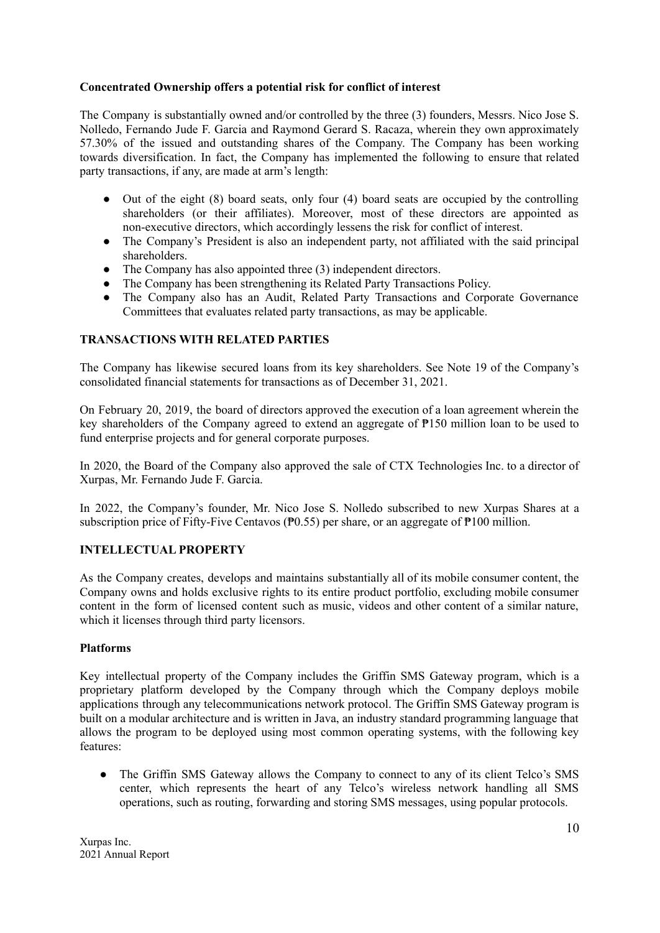### **Concentrated Ownership offers a potential risk for conflict of interest**

The Company is substantially owned and/or controlled by the three (3) founders, Messrs. Nico Jose S. Nolledo, Fernando Jude F. Garcia and Raymond Gerard S. Racaza, wherein they own approximately 57.30% of the issued and outstanding shares of the Company. The Company has been working towards diversification. In fact, the Company has implemented the following to ensure that related party transactions, if any, are made at arm's length:

- Out of the eight (8) board seats, only four (4) board seats are occupied by the controlling shareholders (or their affiliates). Moreover, most of these directors are appointed as non-executive directors, which accordingly lessens the risk for conflict of interest.
- The Company's President is also an independent party, not affiliated with the said principal shareholders.
- The Company has also appointed three (3) independent directors.
- The Company has been strengthening its Related Party Transactions Policy.
- The Company also has an Audit, Related Party Transactions and Corporate Governance Committees that evaluates related party transactions, as may be applicable.

# **TRANSACTIONS WITH RELATED PARTIES**

The Company has likewise secured loans from its key shareholders. See Note 19 of the Company's consolidated financial statements for transactions as of December 31, 2021.

On February 20, 2019, the board of directors approved the execution of a loan agreement wherein the key shareholders of the Company agreed to extend an aggregate of ₱150 million loan to be used to fund enterprise projects and for general corporate purposes.

In 2020, the Board of the Company also approved the sale of CTX Technologies Inc. to a director of Xurpas, Mr. Fernando Jude F. Garcia.

In 2022, the Company's founder, Mr. Nico Jose S. Nolledo subscribed to new Xurpas Shares at a subscription price of Fifty-Five Centavos (₱0.55) per share, or an aggregate of ₱100 million.

# **INTELLECTUAL PROPERTY**

As the Company creates, develops and maintains substantially all of its mobile consumer content, the Company owns and holds exclusive rights to its entire product portfolio, excluding mobile consumer content in the form of licensed content such as music, videos and other content of a similar nature, which it licenses through third party licensors.

### **Platforms**

Key intellectual property of the Company includes the Griffin SMS Gateway program, which is a proprietary platform developed by the Company through which the Company deploys mobile applications through any telecommunications network protocol. The Griffin SMS Gateway program is built on a modular architecture and is written in Java, an industry standard programming language that allows the program to be deployed using most common operating systems, with the following key features:

• The Griffin SMS Gateway allows the Company to connect to any of its client Telco's SMS center, which represents the heart of any Telco's wireless network handling all SMS operations, such as routing, forwarding and storing SMS messages, using popular protocols.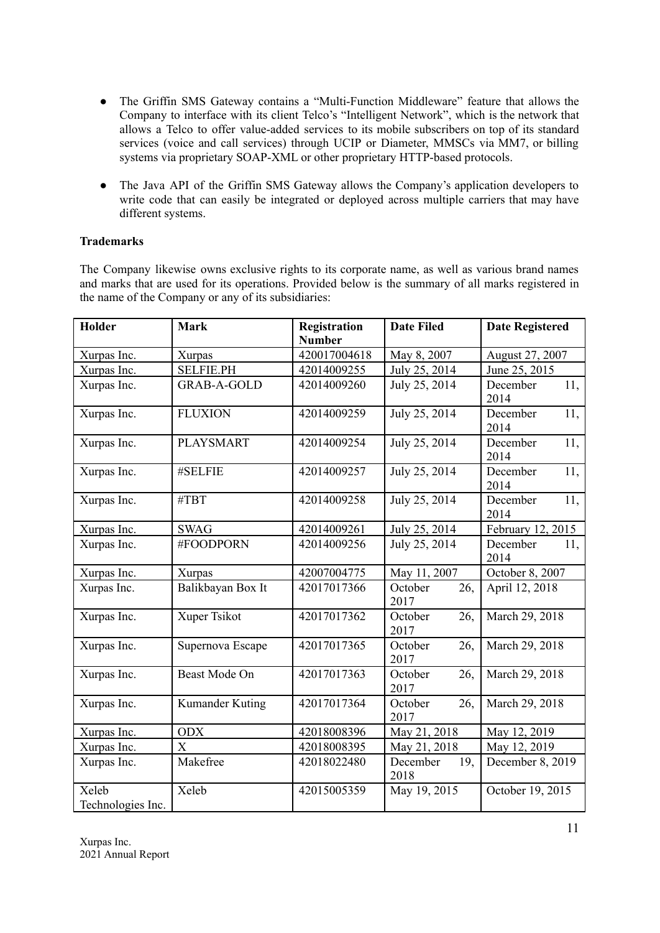- The Griffin SMS Gateway contains a "Multi-Function Middleware" feature that allows the Company to interface with its client Telco's "Intelligent Network", which is the network that allows a Telco to offer value-added services to its mobile subscribers on top of its standard services (voice and call services) through UCIP or Diameter, MMSCs via MM7, or billing systems via proprietary SOAP-XML or other proprietary HTTP-based protocols.
- The Java API of the Griffin SMS Gateway allows the Company's application developers to write code that can easily be integrated or deployed across multiple carriers that may have different systems.

# **Trademarks**

The Company likewise owns exclusive rights to its corporate name, as well as various brand names and marks that are used for its operations. Provided below is the summary of all marks registered in the name of the Company or any of its subsidiaries:

| Holder                     | <b>Mark</b>        | <b>Registration</b><br><b>Number</b> | <b>Date Filed</b>       | <b>Date Registered</b>  |  |
|----------------------------|--------------------|--------------------------------------|-------------------------|-------------------------|--|
| Xurpas Inc.                | Xurpas             | 420017004618                         | May 8, 2007             | August 27, 2007         |  |
| Xurpas Inc.                | <b>SELFIE.PH</b>   | 42014009255                          | July 25, 2014           | June 25, 2015           |  |
| Xurpas Inc.                | <b>GRAB-A-GOLD</b> | 42014009260                          | July 25, 2014           | December<br>11,<br>2014 |  |
| Xurpas Inc.                | <b>FLUXION</b>     | 42014009259                          | July 25, 2014           | 11,<br>December<br>2014 |  |
| Xurpas Inc.                | PLAYSMART          | 42014009254                          | July 25, 2014           | December<br>11,<br>2014 |  |
| Xurpas Inc.                | #SELFIE            | 42014009257                          | July 25, 2014           | December<br>11,<br>2014 |  |
| Xurpas Inc.                | #TBT               | 42014009258                          | July 25, 2014           | 11,<br>December<br>2014 |  |
| Xurpas Inc.                | <b>SWAG</b>        | 42014009261                          | July 25, 2014           | February 12, 2015       |  |
| Xurpas Inc.                | #FOODPORN          | 42014009256                          | July 25, 2014           | December<br>11,<br>2014 |  |
| Xurpas Inc.                | Xurpas             | 42007004775                          | May 11, 2007            | October 8, 2007         |  |
| Xurpas Inc.                | Balikbayan Box It  | 42017017366                          | October<br>26,<br>2017  | April 12, 2018          |  |
| Xurpas Inc.                | Xuper Tsikot       | 42017017362                          | October<br>26,<br>2017  | March 29, 2018          |  |
| Xurpas Inc.                | Supernova Escape   | 42017017365                          | 26,<br>October<br>2017  | March 29, 2018          |  |
| Xurpas Inc.                | Beast Mode On      | 42017017363                          | October<br>26,<br>2017  | March 29, 2018          |  |
| Xurpas Inc.                | Kumander Kuting    | 42017017364                          | October<br>26,<br>2017  | March 29, 2018          |  |
| Xurpas Inc.                | <b>ODX</b>         | 42018008396                          | May 21, 2018            | May 12, 2019            |  |
| Xurpas Inc.                | X                  | 42018008395                          | May 21, 2018            | May 12, 2019            |  |
| Xurpas Inc.                | Makefree           | 42018022480                          | 19,<br>December<br>2018 | December 8, 2019        |  |
| Xeleb<br>Technologies Inc. | Xeleb              | 42015005359                          | May 19, 2015            | October 19, 2015        |  |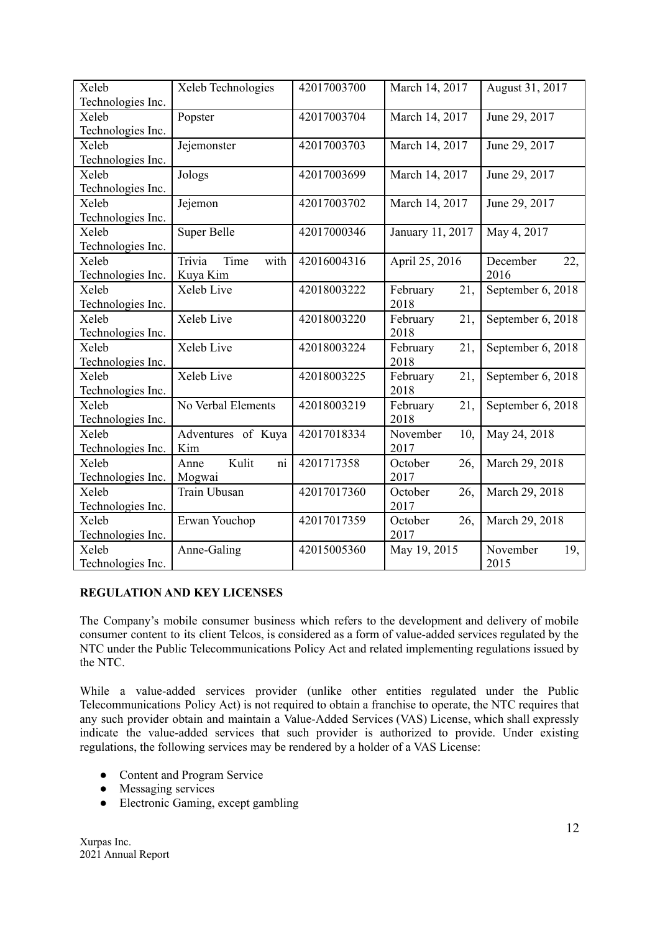| Xeleb             | Xeleb Technologies     | 42017003700 | March 14, 2017   | August 31, 2017   |
|-------------------|------------------------|-------------|------------------|-------------------|
| Technologies Inc. |                        |             |                  |                   |
| Xeleb             | Popster                | 42017003704 | March 14, 2017   | June 29, 2017     |
| Technologies Inc. |                        |             |                  |                   |
| Xeleb             | Jejemonster            | 42017003703 | March 14, 2017   | June 29, 2017     |
| Technologies Inc. |                        |             |                  |                   |
| Xeleb             | Jologs                 | 42017003699 | March 14, 2017   | June 29, 2017     |
| Technologies Inc. |                        |             |                  |                   |
| Xeleb             | Jejemon                | 42017003702 | March 14, 2017   | June 29, 2017     |
| Technologies Inc. |                        |             |                  |                   |
| Xeleb             | Super Belle            | 42017000346 | January 11, 2017 | May 4, 2017       |
| Technologies Inc. |                        |             |                  |                   |
| Xeleb             | Trivia<br>Time<br>with | 42016004316 | April 25, 2016   | December<br>22,   |
| Technologies Inc. | Kuya Kim               |             |                  | 2016              |
| Xeleb             | Xeleb Live             | 42018003222 | February<br>21,  | September 6, 2018 |
| Technologies Inc. |                        |             | 2018             |                   |
| Xeleb             | Xeleb Live             | 42018003220 | February<br>21,  | September 6, 2018 |
| Technologies Inc. |                        |             | 2018             |                   |
| Xeleb             | Xeleb Live             | 42018003224 | February<br>21,  | September 6, 2018 |
| Technologies Inc. |                        |             | 2018             |                   |
| Xeleb             | Xeleb Live             | 42018003225 | February<br>21,  | September 6, 2018 |
| Technologies Inc. |                        |             | 2018             |                   |
| Xeleb             | No Verbal Elements     | 42018003219 | February<br>21,  | September 6, 2018 |
| Technologies Inc. |                        |             | 2018             |                   |
| Xeleb             | Adventures of Kuya     | 42017018334 | November<br>10,  | May 24, 2018      |
| Technologies Inc. | Kim                    |             | 2017             |                   |
| Xeleb             | Kulit<br>Anne<br>ni    | 4201717358  | October<br>26,   | March 29, 2018    |
| Technologies Inc. | Mogwai                 |             | 2017             |                   |
| Xeleb             | Train Ubusan           | 42017017360 | October<br>26,   | March 29, 2018    |
| Technologies Inc. |                        |             | 2017             |                   |
| Xeleb             | Erwan Youchop          | 42017017359 | October<br>26,   | March 29, 2018    |
| Technologies Inc. |                        |             | 2017             |                   |
| Xeleb             | Anne-Galing            | 42015005360 | May 19, 2015     | November<br>19,   |
| Technologies Inc. |                        |             |                  | 2015              |

# **REGULATION AND KEY LICENSES**

The Company's mobile consumer business which refers to the development and delivery of mobile consumer content to its client Telcos, is considered as a form of value-added services regulated by the NTC under the Public Telecommunications Policy Act and related implementing regulations issued by the NTC.

While a value-added services provider (unlike other entities regulated under the Public Telecommunications Policy Act) is not required to obtain a franchise to operate, the NTC requires that any such provider obtain and maintain a Value-Added Services (VAS) License, which shall expressly indicate the value-added services that such provider is authorized to provide. Under existing regulations, the following services may be rendered by a holder of a VAS License:

- Content and Program Service
- Messaging services
- Electronic Gaming, except gambling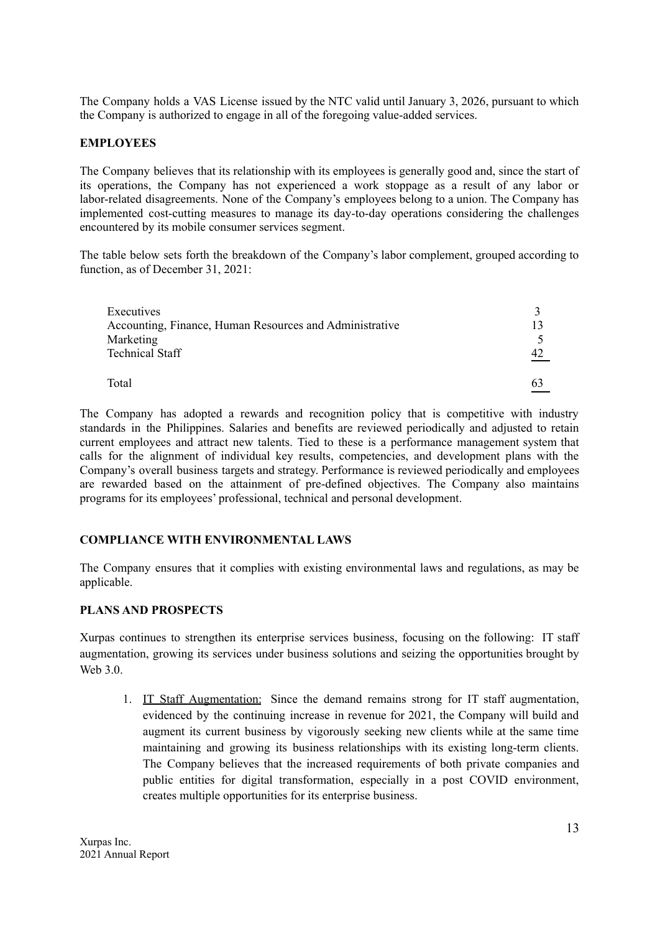The Company holds a VAS License issued by the NTC valid until January 3, 2026, pursuant to which the Company is authorized to engage in all of the foregoing value-added services.

### **EMPLOYEES**

The Company believes that its relationship with its employees is generally good and, since the start of its operations, the Company has not experienced a work stoppage as a result of any labor or labor-related disagreements. None of the Company's employees belong to a union. The Company has implemented cost-cutting measures to manage its day-to-day operations considering the challenges encountered by its mobile consumer services segment.

The table below sets forth the breakdown of the Company's labor complement, grouped according to function, as of December 31, 2021:

| Executives                                              |    |
|---------------------------------------------------------|----|
| Accounting, Finance, Human Resources and Administrative |    |
| Marketing                                               |    |
| <b>Technical Staff</b>                                  | 47 |
|                                                         |    |
| Total                                                   | 63 |
|                                                         |    |

The Company has adopted a rewards and recognition policy that is competitive with industry standards in the Philippines. Salaries and benefits are reviewed periodically and adjusted to retain current employees and attract new talents. Tied to these is a performance management system that calls for the alignment of individual key results, competencies, and development plans with the Company's overall business targets and strategy. Performance is reviewed periodically and employees are rewarded based on the attainment of pre-defined objectives. The Company also maintains programs for its employees' professional, technical and personal development.

# **COMPLIANCE WITH ENVIRONMENTAL LAWS**

The Company ensures that it complies with existing environmental laws and regulations, as may be applicable.

### **PLANS AND PROSPECTS**

Xurpas continues to strengthen its enterprise services business, focusing on the following: IT staff augmentation, growing its services under business solutions and seizing the opportunities brought by Web 3.0.

1. IT Staff Augmentation: Since the demand remains strong for IT staff augmentation, evidenced by the continuing increase in revenue for 2021, the Company will build and augment its current business by vigorously seeking new clients while at the same time maintaining and growing its business relationships with its existing long-term clients. The Company believes that the increased requirements of both private companies and public entities for digital transformation, especially in a post COVID environment, creates multiple opportunities for its enterprise business.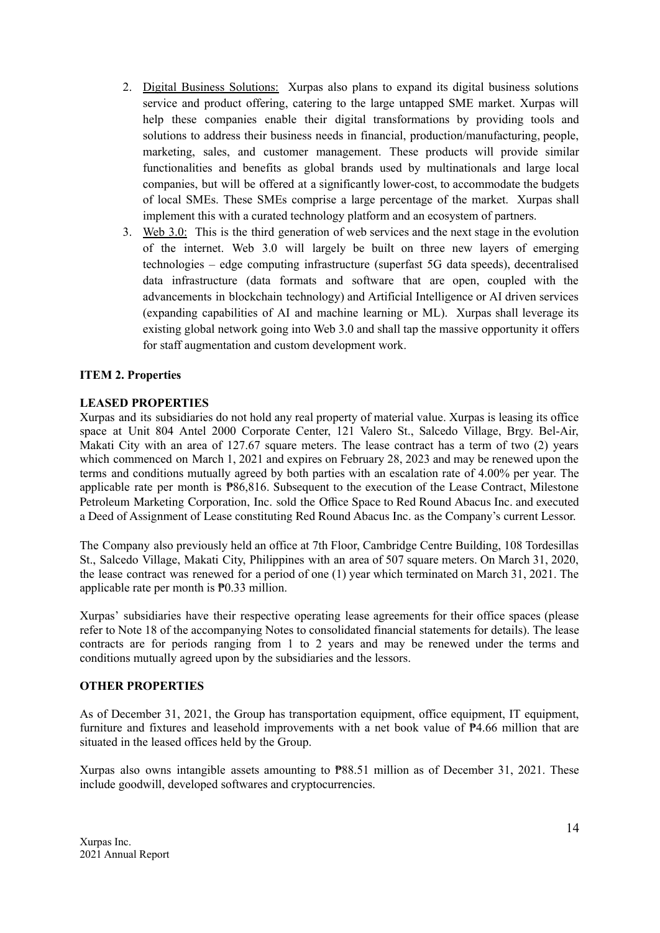- 2. Digital Business Solutions: Xurpas also plans to expand its digital business solutions service and product offering, catering to the large untapped SME market. Xurpas will help these companies enable their digital transformations by providing tools and solutions to address their business needs in financial, production/manufacturing, people, marketing, sales, and customer management. These products will provide similar functionalities and benefits as global brands used by multinationals and large local companies, but will be offered at a significantly lower-cost, to accommodate the budgets of local SMEs. These SMEs comprise a large percentage of the market. Xurpas shall implement this with a curated technology platform and an ecosystem of partners.
- 3. Web 3.0: This is the third generation of web services and the next stage in the evolution of the internet. Web 3.0 will largely be built on three new layers of emerging technologies – edge computing infrastructure (superfast 5G data speeds), decentralised data infrastructure (data formats and software that are open, coupled with the advancements in blockchain technology) and Artificial Intelligence or AI driven services (expanding capabilities of AI and machine learning or ML). Xurpas shall leverage its existing global network going into Web 3.0 and shall tap the massive opportunity it offers for staff augmentation and custom development work.

### **ITEM 2. Properties**

### **LEASED PROPERTIES**

Xurpas and its subsidiaries do not hold any real property of material value. Xurpas is leasing its office space at Unit 804 Antel 2000 Corporate Center, 121 Valero St., Salcedo Village, Brgy. Bel-Air, Makati City with an area of 127.67 square meters. The lease contract has a term of two (2) years which commenced on March 1, 2021 and expires on February 28, 2023 and may be renewed upon the terms and conditions mutually agreed by both parties with an escalation rate of 4.00% per year. The applicable rate per month is ₱86,816. Subsequent to the execution of the Lease Contract, Milestone Petroleum Marketing Corporation, Inc. sold the Office Space to Red Round Abacus Inc. and executed a Deed of Assignment of Lease constituting Red Round Abacus Inc. as the Company's current Lessor.

The Company also previously held an office at 7th Floor, Cambridge Centre Building, 108 Tordesillas St., Salcedo Village, Makati City, Philippines with an area of 507 square meters. On March 31, 2020, the lease contract was renewed for a period of one (1) year which terminated on March 31, 2021. The applicable rate per month is ₱0.33 million.

Xurpas' subsidiaries have their respective operating lease agreements for their office spaces (please refer to Note 18 of the accompanying Notes to consolidated financial statements for details). The lease contracts are for periods ranging from 1 to 2 years and may be renewed under the terms and conditions mutually agreed upon by the subsidiaries and the lessors.

### **OTHER PROPERTIES**

As of December 31, 2021, the Group has transportation equipment, office equipment, IT equipment, furniture and fixtures and leasehold improvements with a net book value of ₱4.66 million that are situated in the leased offices held by the Group.

Xurpas also owns intangible assets amounting to ₱88.51 million as of December 31, 2021. These include goodwill, developed softwares and cryptocurrencies.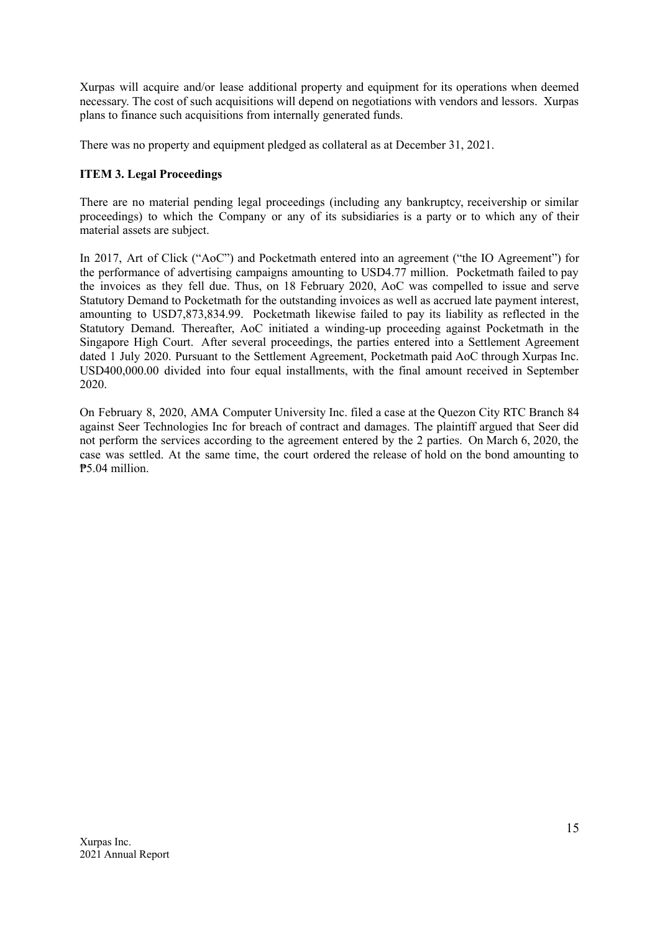Xurpas will acquire and/or lease additional property and equipment for its operations when deemed necessary. The cost of such acquisitions will depend on negotiations with vendors and lessors. Xurpas plans to finance such acquisitions from internally generated funds.

There was no property and equipment pledged as collateral as at December 31, 2021.

# **ITEM 3. Legal Proceedings**

There are no material pending legal proceedings (including any bankruptcy, receivership or similar proceedings) to which the Company or any of its subsidiaries is a party or to which any of their material assets are subject.

In 2017, Art of Click ("AoC") and Pocketmath entered into an agreement ("the IO Agreement") for the performance of advertising campaigns amounting to USD4.77 million. Pocketmath failed to pay the invoices as they fell due. Thus, on 18 February 2020, AoC was compelled to issue and serve Statutory Demand to Pocketmath for the outstanding invoices as well as accrued late payment interest, amounting to USD7,873,834.99. Pocketmath likewise failed to pay its liability as reflected in the Statutory Demand. Thereafter, AoC initiated a winding-up proceeding against Pocketmath in the Singapore High Court. After several proceedings, the parties entered into a Settlement Agreement dated 1 July 2020. Pursuant to the Settlement Agreement, Pocketmath paid AoC through Xurpas Inc. USD400,000.00 divided into four equal installments, with the final amount received in September 2020.

On February 8, 2020, AMA Computer University Inc. filed a case at the Quezon City RTC Branch 84 against Seer Technologies Inc for breach of contract and damages. The plaintiff argued that Seer did not perform the services according to the agreement entered by the 2 parties. On March 6, 2020, the case was settled. At the same time, the court ordered the release of hold on the bond amounting to ₱5.04 million.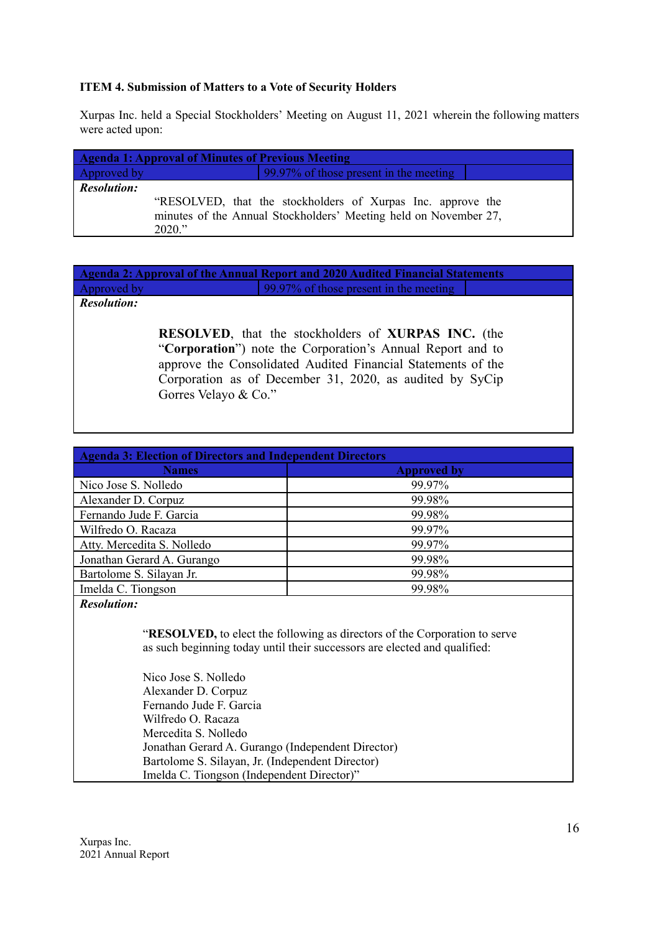### **ITEM 4. Submission of Matters to a Vote of Security Holders**

Xurpas Inc. held a Special Stockholders' Meeting on August 11, 2021 wherein the following matters were acted upon:

|                    | <b>Agenda 1: Approval of Minutes of Previous Meeting</b> |                                                                                                                                 |  |
|--------------------|----------------------------------------------------------|---------------------------------------------------------------------------------------------------------------------------------|--|
| Approved by        |                                                          | 99.97% of those present in the meeting                                                                                          |  |
| <b>Resolution:</b> | 2020."                                                   | "RESOLVED, that the stockholders of Xurpas Inc. approve the<br>minutes of the Annual Stockholders' Meeting held on November 27, |  |

**Agenda 2: Approval of the Annual Report and 2020 Audited Financial Statements** Approved by 99.97% of those present in the meeting *Resolution:*

> **RESOLVED**, that the stockholders of **XURPAS INC.** (the "**Corporation**") note the Corporation's Annual Report and to approve the Consolidated Audited Financial Statements of the Corporation as of December 31, 2020, as audited by SyCip Gorres Velayo & Co."

| <b>Agenda 3: Election of Directors and Independent Directors</b> |                    |  |  |  |
|------------------------------------------------------------------|--------------------|--|--|--|
| <b>Names</b>                                                     | <b>Approved by</b> |  |  |  |
| Nico Jose S. Nolledo                                             | 99.97%             |  |  |  |
| Alexander D. Corpuz                                              | 99.98%             |  |  |  |
| Fernando Jude F. Garcia                                          | 99.98%             |  |  |  |
| Wilfredo O. Racaza                                               | 99.97%             |  |  |  |
| Atty. Mercedita S. Nolledo                                       | 99.97%             |  |  |  |
| Jonathan Gerard A. Gurango                                       | 99.98%             |  |  |  |
| Bartolome S. Silayan Jr.                                         | 99.98%             |  |  |  |
| Imelda C. Tiongson                                               | 99.98%             |  |  |  |
| - - -                                                            |                    |  |  |  |

### *Resolution:*

"**RESOLVED,** to elect the following as directors of the Corporation to serve as such beginning today until their successors are elected and qualified:

Nico Jose S. Nolledo Alexander D. Corpuz Fernando Jude F. Garcia Wilfredo O. Racaza Mercedita S. Nolledo Jonathan Gerard A. Gurango (Independent Director) Bartolome S. Silayan, Jr. (Independent Director) Imelda C. Tiongson (Independent Director)"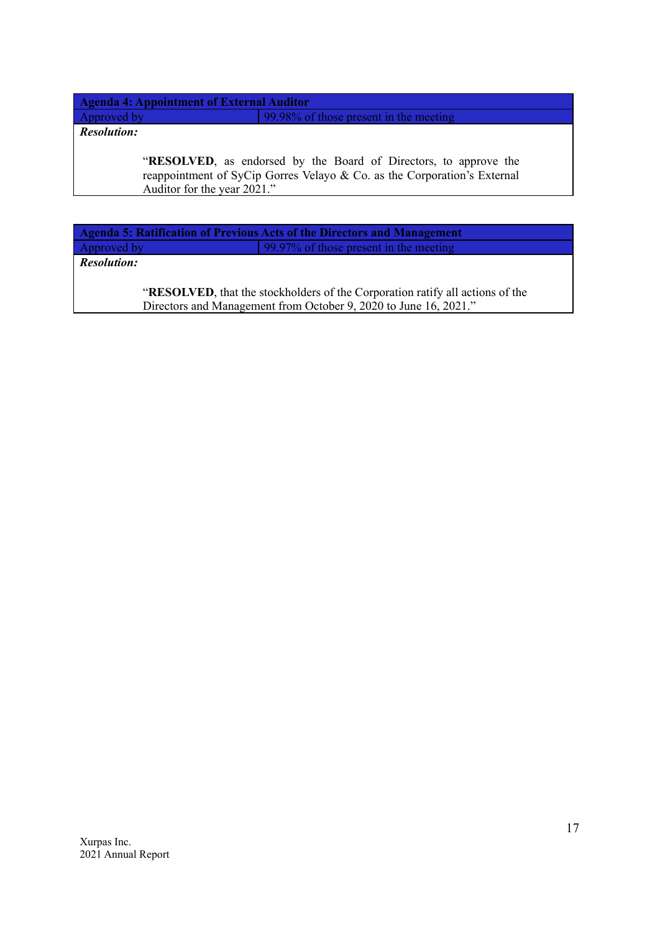**Agenda 4: Appointment of External Auditor** Approved by 99.98% of those present in the meeting

*Resolution:*

"**RESOLVED**, as endorsed by the Board of Directors, to approve the reappointment of SyCip Gorres Velayo & Co. as the Corporation's External Auditor for the year 2021."

**Agenda 5: Ratification of Previous Acts of the Directors and Management** Approved by 99.97% of those present in the meeting

*Resolution:*

"**RESOLVED**, that the stockholders of the Corporation ratify all actions of the Directors and Management from October 9, 2020 to June 16, 2021."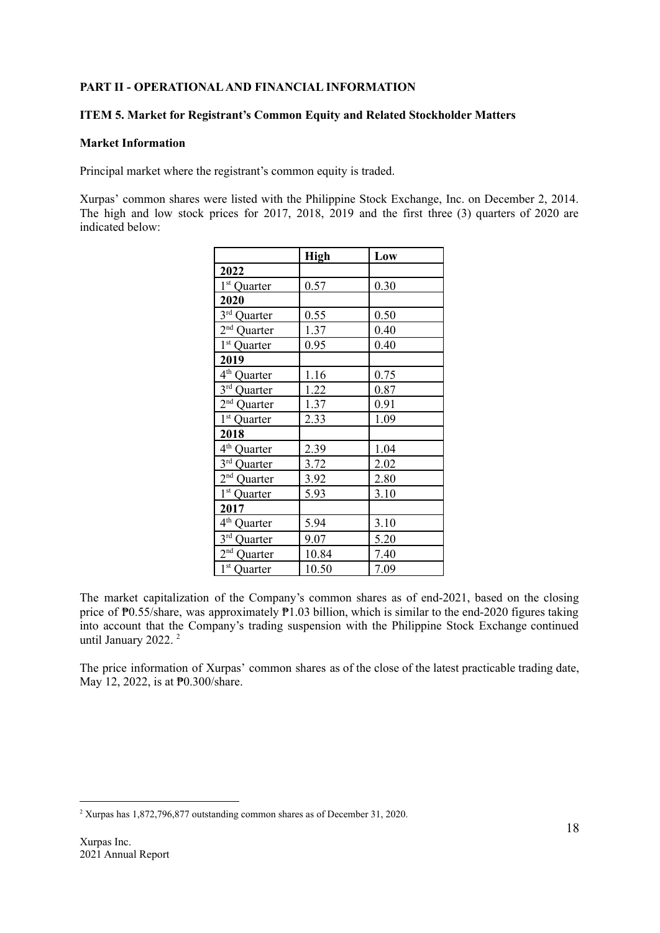### **PART II - OPERATIONALAND FINANCIAL INFORMATION**

### **ITEM 5. Market for Registrant's Common Equity and Related Stockholder Matters**

### **Market Information**

Principal market where the registrant's common equity is traded.

Xurpas' common shares were listed with the Philippine Stock Exchange, Inc. on December 2, 2014. The high and low stock prices for 2017, 2018, 2019 and the first three (3) quarters of 2020 are indicated below:

|                         | <b>High</b> | Low  |
|-------------------------|-------------|------|
| 2022                    |             |      |
| 1 <sup>st</sup> Quarter | 0.57        | 0.30 |
| 2020                    |             |      |
| 3rd Quarter             | 0.55        | 0.50 |
| 2 <sup>nd</sup> Quarter | 1.37        | 0.40 |
| 1 <sup>st</sup> Quarter | 0.95        | 0.40 |
| 2019                    |             |      |
| 4 <sup>th</sup> Quarter | 1.16        | 0.75 |
| $3^{rd}$ Quarter        | 1.22        | 0.87 |
| 2 <sup>nd</sup> Quarter | 1.37        | 0.91 |
| 1 <sup>st</sup> Quarter | 2.33        | 1.09 |
| 2018                    |             |      |
| 4 <sup>th</sup> Quarter | 2.39        | 1.04 |
| $3rd$ Quarter           | 3.72        | 2.02 |
| $2nd$ Quarter           | 3.92        | 2.80 |
| $1st$ Quarter           | 5.93        | 3.10 |
| 2017                    |             |      |
| 4 <sup>th</sup> Quarter | 5.94        | 3.10 |
| $3rd$ Quarter           | 9.07        | 5.20 |
| $2nd$ Quarter           | 10.84       | 7.40 |
| $1st$ Quarter           | 10.50       | 7.09 |

The market capitalization of the Company's common shares as of end-2021, based on the closing price of P0.55/share, was approximately P1.03 billion, which is similar to the end-2020 figures taking into account that the Company's trading suspension with the Philippine Stock Exchange continued until January 2022.<sup>2</sup>

The price information of Xurpas' common shares as of the close of the latest practicable trading date, May 12, 2022, is at  $\frac{100}{300}$ /share.

<sup>2</sup> Xurpas has 1,872,796,877 outstanding common shares as of December 31, 2020.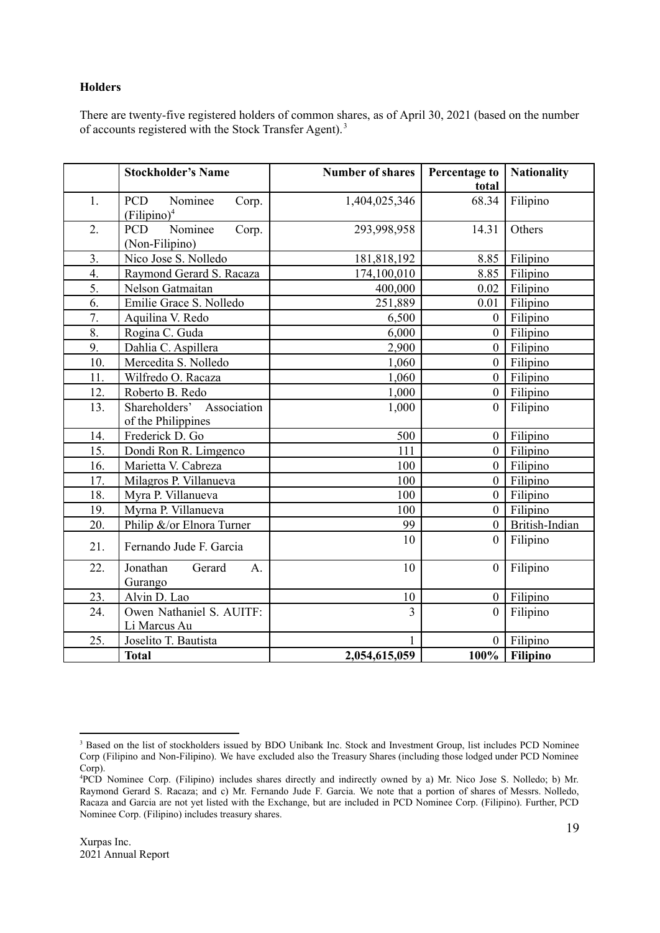#### **Holders**

There are twenty-five registered holders of common shares, as of April 30, 2021 (based on the number of accounts registered with the Stock Transfer Agent).<sup>3</sup>

|                  | <b>Stockholder's Name</b>                                 | <b>Number of shares</b> | <b>Percentage to</b><br>total | <b>Nationality</b> |
|------------------|-----------------------------------------------------------|-------------------------|-------------------------------|--------------------|
| 1.               | Nominee<br><b>PCD</b><br>Corp.<br>(Filipino) <sup>4</sup> | 1,404,025,346           | 68.34                         | Filipino           |
| 2.               | Nominee<br><b>PCD</b><br>Corp.<br>(Non-Filipino)          | 293,998,958             | 14.31                         | Others             |
| $\overline{3}$ . | Nico Jose S. Nolledo                                      | 181,818,192             | 8.85                          | Filipino           |
| $\overline{4}$ . | Raymond Gerard S. Racaza                                  | 174,100,010             | 8.85                          | Filipino           |
| 5.               | Nelson Gatmaitan                                          | 400,000                 | 0.02                          | Filipino           |
| 6.               | Emilie Grace S. Nolledo                                   | 251,889                 | 0.01                          | Filipino           |
| 7.               | Aquilina V. Redo                                          | 6,500                   | $\boldsymbol{0}$              | Filipino           |
| 8.               | Rogina C. Guda                                            | 6,000                   | $\overline{0}$                | Filipino           |
| 9.               | Dahlia C. Aspillera                                       | 2,900                   | $\overline{0}$                | Filipino           |
| 10.              | Mercedita S. Nolledo                                      | 1,060                   | $\boldsymbol{0}$              | Filipino           |
| 11.              | Wilfredo O. Racaza                                        | 1,060                   | $\overline{0}$                | Filipino           |
| 12.              | Roberto B. Redo                                           | 1,000                   | $\boldsymbol{0}$              | Filipino           |
| 13.              | Shareholders' Association                                 | 1,000                   | $\overline{0}$                | Filipino           |
|                  | of the Philippines                                        |                         |                               |                    |
| 14.              | Frederick D. Go                                           | 500                     | $\overline{0}$                | Filipino           |
| 15.              | Dondi Ron R. Limgenco                                     | 111                     | $\overline{0}$                | Filipino           |
| 16.              | Marietta V. Cabreza                                       | 100                     | $\overline{0}$                | Filipino           |
| 17.              | Milagros P. Villanueva                                    | 100                     | $\overline{0}$                | Filipino           |
| 18.              | Myra P. Villanueva                                        | 100                     | $\boldsymbol{0}$              | Filipino           |
| 19.              | Myrna P. Villanueva                                       | 100                     | $\overline{0}$                | Filipino           |
| 20.              | Philip &/or Elnora Turner                                 | 99                      | $\overline{0}$                | British-Indian     |
| 21.              | Fernando Jude F. Garcia                                   | 10                      | $\overline{0}$                | Filipino           |
| 22.              | Jonathan<br>Gerard<br>A <sub>1</sub><br>Gurango           | 10                      | $\boldsymbol{0}$              | Filipino           |
| 23.              | Alvin D. Lao                                              | 10                      | $\boldsymbol{0}$              | Filipino           |
| 24.              | Owen Nathaniel S. AUITF:<br>Li Marcus Au                  | $\overline{3}$          | $\theta$                      | Filipino           |
| 25.              | Joselito T. Bautista                                      |                         | $\overline{0}$                | Filipino           |
|                  | <b>Total</b>                                              | 2,054,615,059           |                               | $100\%$ Filipino   |

<sup>&</sup>lt;sup>3</sup> Based on the list of stockholders issued by BDO Unibank Inc. Stock and Investment Group, list includes PCD Nominee Corp (Filipino and Non-Filipino). We have excluded also the Treasury Shares (including those lodged under PCD Nominee Corp).

<sup>4</sup>PCD Nominee Corp. (Filipino) includes shares directly and indirectly owned by a) Mr. Nico Jose S. Nolledo; b) Mr. Raymond Gerard S. Racaza; and c) Mr. Fernando Jude F. Garcia. We note that a portion of shares of Messrs. Nolledo, Racaza and Garcia are not yet listed with the Exchange, but are included in PCD Nominee Corp. (Filipino). Further, PCD Nominee Corp. (Filipino) includes treasury shares.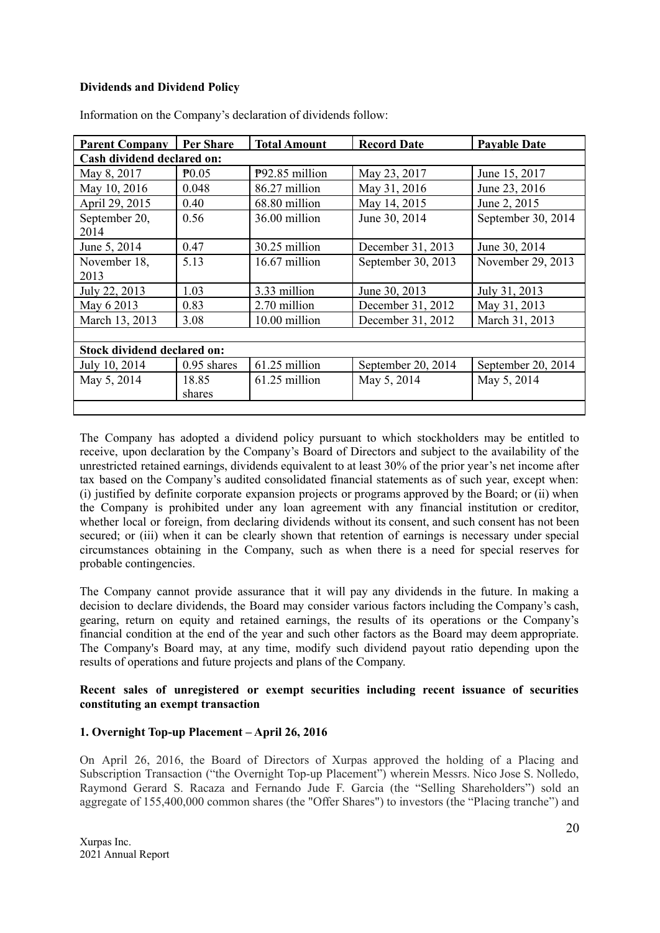### **Dividends and Dividend Policy**

| <b>Parent Company</b>              | <b>Per Share</b> | <b>Total Amount</b> | <b>Record Date</b> | <b>Payable Date</b> |  |  |  |
|------------------------------------|------------------|---------------------|--------------------|---------------------|--|--|--|
| Cash dividend declared on:         |                  |                     |                    |                     |  |  |  |
| May 8, 2017                        | $\mathbb{P}0.05$ | $P92.85$ million    | May 23, 2017       | June 15, 2017       |  |  |  |
| May 10, 2016                       | 0.048            | 86.27 million       | May 31, 2016       | June 23, 2016       |  |  |  |
| April 29, 2015                     | 0.40             | 68.80 million       | May 14, 2015       | June 2, 2015        |  |  |  |
| September 20,                      | 0.56             | 36.00 million       | June 30, 2014      | September 30, 2014  |  |  |  |
| 2014                               |                  |                     |                    |                     |  |  |  |
| June 5, 2014                       | 0.47             | 30.25 million       | December 31, 2013  | June 30, 2014       |  |  |  |
| November 18,                       | 5.13             | 16.67 million       | September 30, 2013 | November 29, 2013   |  |  |  |
| 2013                               |                  |                     |                    |                     |  |  |  |
| July 22, 2013                      | 1.03             | 3.33 million        | June 30, 2013      | July 31, 2013       |  |  |  |
| May 6 2013                         | 0.83             | 2.70 million        | December 31, 2012  | May 31, 2013        |  |  |  |
| March 13, 2013                     | 3.08             | 10.00 million       | December 31, 2012  | March 31, 2013      |  |  |  |
|                                    |                  |                     |                    |                     |  |  |  |
| <b>Stock dividend declared on:</b> |                  |                     |                    |                     |  |  |  |
| July 10, 2014                      | $0.95$ shares    | 61.25 million       | September 20, 2014 | September 20, 2014  |  |  |  |
| May 5, 2014                        | 18.85            | 61.25 million       | May 5, 2014        | May 5, 2014         |  |  |  |
|                                    | shares           |                     |                    |                     |  |  |  |
|                                    |                  |                     |                    |                     |  |  |  |

Information on the Company's declaration of dividends follow:

The Company has adopted a dividend policy pursuant to which stockholders may be entitled to receive, upon declaration by the Company's Board of Directors and subject to the availability of the unrestricted retained earnings, dividends equivalent to at least 30% of the prior year's net income after tax based on the Company's audited consolidated financial statements as of such year, except when: (i) justified by definite corporate expansion projects or programs approved by the Board; or (ii) when the Company is prohibited under any loan agreement with any financial institution or creditor, whether local or foreign, from declaring dividends without its consent, and such consent has not been secured; or (iii) when it can be clearly shown that retention of earnings is necessary under special circumstances obtaining in the Company, such as when there is a need for special reserves for probable contingencies.

The Company cannot provide assurance that it will pay any dividends in the future. In making a decision to declare dividends, the Board may consider various factors including the Company's cash, gearing, return on equity and retained earnings, the results of its operations or the Company's financial condition at the end of the year and such other factors as the Board may deem appropriate. The Company's Board may, at any time, modify such dividend payout ratio depending upon the results of operations and future projects and plans of the Company.

### **Recent sales of unregistered or exempt securities including recent issuance of securities constituting an exempt transaction**

# **1. Overnight Top-up Placement – April 26, 2016**

On April 26, 2016, the Board of Directors of Xurpas approved the holding of a Placing and Subscription Transaction ("the Overnight Top-up Placement") wherein Messrs. Nico Jose S. Nolledo, Raymond Gerard S. Racaza and Fernando Jude F. Garcia (the "Selling Shareholders") sold an aggregate of 155,400,000 common shares (the "Offer Shares") to investors (the "Placing tranche") and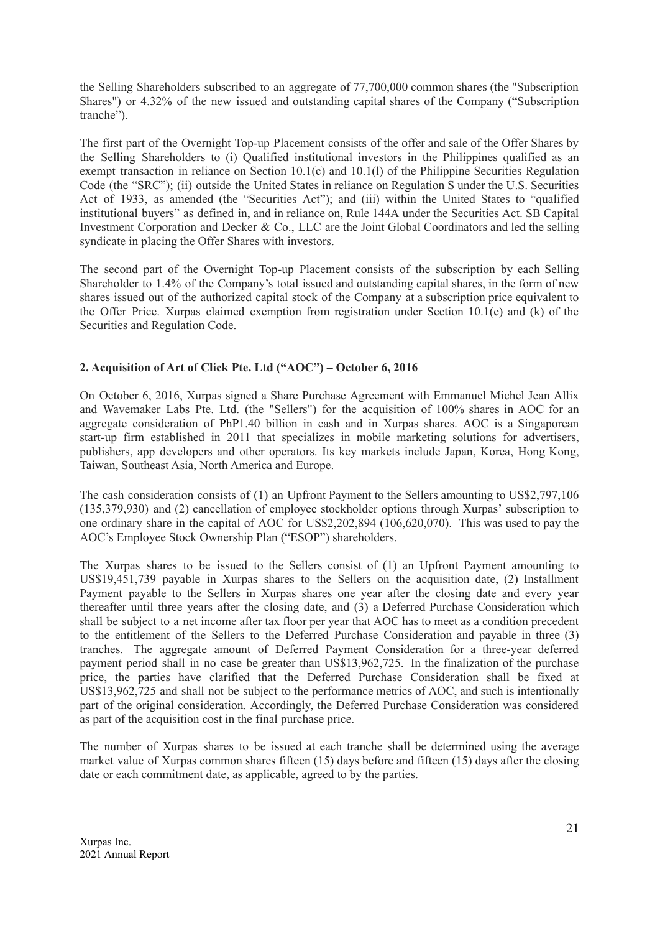the Selling Shareholders subscribed to an aggregate of 77,700,000 common shares (the "Subscription Shares") or 4.32% of the new issued and outstanding capital shares of the Company ("Subscription tranche").

The first part of the Overnight Top-up Placement consists of the offer and sale of the Offer Shares by the Selling Shareholders to (i) Qualified institutional investors in the Philippines qualified as an exempt transaction in reliance on Section 10.1(c) and 10.1(l) of the Philippine Securities Regulation Code (the "SRC"); (ii) outside the United States in reliance on Regulation S under the U.S. Securities Act of 1933, as amended (the "Securities Act"); and (iii) within the United States to "qualified institutional buyers" as defined in, and in reliance on, Rule 144A under the Securities Act. SB Capital Investment Corporation and Decker & Co., LLC are the Joint Global Coordinators and led the selling syndicate in placing the Offer Shares with investors.

The second part of the Overnight Top-up Placement consists of the subscription by each Selling Shareholder to 1.4% of the Company's total issued and outstanding capital shares, in the form of new shares issued out of the authorized capital stock of the Company at a subscription price equivalent to the Offer Price. Xurpas claimed exemption from registration under Section 10.1(e) and (k) of the Securities and Regulation Code.

# **2. Acquisition of Art of Click Pte. Ltd ("AOC") – October 6, 2016**

On October 6, 2016, Xurpas signed a Share Purchase Agreement with Emmanuel Michel Jean Allix and Wavemaker Labs Pte. Ltd. (the "Sellers") for the acquisition of 100% shares in AOC for an aggregate consideration of PhP1.40 billion in cash and in Xurpas shares. AOC is a Singaporean start-up firm established in 2011 that specializes in mobile marketing solutions for advertisers, publishers, app developers and other operators. Its key markets include Japan, Korea, Hong Kong, Taiwan, Southeast Asia, North America and Europe.

The cash consideration consists of (1) an Upfront Payment to the Sellers amounting to US\$2,797,106 (135,379,930) and (2) cancellation of employee stockholder options through Xurpas' subscription to one ordinary share in the capital of AOC for US\$2,202,894 (106,620,070). This was used to pay the AOC's Employee Stock Ownership Plan ("ESOP") shareholders.

The Xurpas shares to be issued to the Sellers consist of (1) an Upfront Payment amounting to US\$19,451,739 payable in Xurpas shares to the Sellers on the acquisition date, (2) Installment Payment payable to the Sellers in Xurpas shares one year after the closing date and every year thereafter until three years after the closing date, and (3) a Deferred Purchase Consideration which shall be subject to a net income after tax floor per year that AOC has to meet as a condition precedent to the entitlement of the Sellers to the Deferred Purchase Consideration and payable in three (3) tranches. The aggregate amount of Deferred Payment Consideration for a three-year deferred payment period shall in no case be greater than US\$13,962,725. In the finalization of the purchase price, the parties have clarified that the Deferred Purchase Consideration shall be fixed at US\$13,962,725 and shall not be subject to the performance metrics of AOC, and such is intentionally part of the original consideration. Accordingly, the Deferred Purchase Consideration was considered as part of the acquisition cost in the final purchase price.

The number of Xurpas shares to be issued at each tranche shall be determined using the average market value of Xurpas common shares fifteen (15) days before and fifteen (15) days after the closing date or each commitment date, as applicable, agreed to by the parties.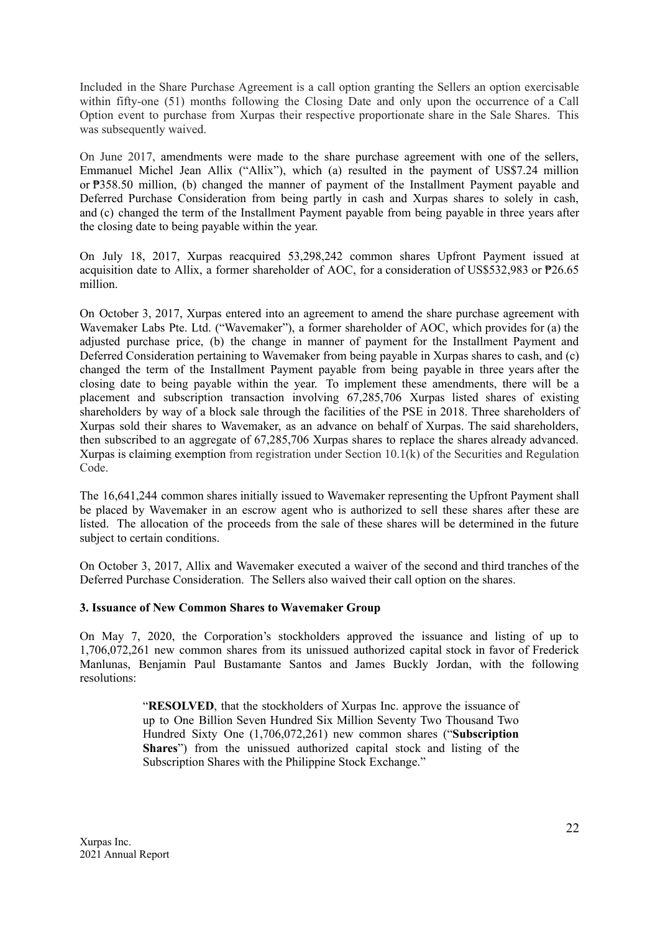Included in the Share Purchase Agreement is a call option granting the Sellers an option exercisable within fifty-one (51) months following the Closing Date and only upon the occurrence of a Call Option event to purchase from Xurpas their respective proportionate share in the Sale Shares. This was subsequently waived.

On June 2017, amendments were made to the share purchase agreement with one of the sellers, Emmanuel Michel Jean Allix ("Allix"), which (a) resulted in the payment of US\$7.24 million or ₱358.50 million, (b) changed the manner of payment of the Installment Payment payable and Deferred Purchase Consideration from being partly in cash and Xurpas shares to solely in cash, and (c) changed the term of the Installment Payment payable from being payable in three years after the closing date to being payable within the year.

On July 18, 2017, Xurpas reacquired 53,298,242 common shares Upfront Payment issued at acquisition date to Allix, a former shareholder of AOC, for a consideration of US\$532,983 or ₱26.65 million.

On October 3, 2017, Xurpas entered into an agreement to amend the share purchase agreement with Wavemaker Labs Pte. Ltd. ("Wavemaker"), a former shareholder of AOC, which provides for (a) the adjusted purchase price, (b) the change in manner of payment for the Installment Payment and Deferred Consideration pertaining to Wavemaker from being payable in Xurpas shares to cash, and (c) changed the term of the Installment Payment payable from being payable in three years after the closing date to being payable within the year. To implement these amendments, there will be a placement and subscription transaction involving 67,285,706 Xurpas listed shares of existing shareholders by way of a block sale through the facilities of the PSE in 2018. Three shareholders of Xurpas sold their shares to Wavemaker, as an advance on behalf of Xurpas. The said shareholders, then subscribed to an aggregate of 67,285,706 Xurpas shares to replace the shares already advanced. Xurpas is claiming exemption from registration under Section 10.1(k) of the Securities and Regulation Code.

The 16,641,244 common shares initially issued to Wavemaker representing the Upfront Payment shall be placed by Wavemaker in an escrow agent who is authorized to sell these shares after these are listed. The allocation of the proceeds from the sale of these shares will be determined in the future subject to certain conditions.

On October 3, 2017, Allix and Wavemaker executed a waiver of the second and third tranches of the Deferred Purchase Consideration. The Sellers also waived their call option on the shares.

### **3. Issuance of New Common Shares to Wavemaker Group**

On May 7, 2020, the Corporation's stockholders approved the issuance and listing of up to 1,706,072,261 new common shares from its unissued authorized capital stock in favor of Frederick Manlunas, Benjamin Paul Bustamante Santos and James Buckly Jordan, with the following resolutions:

> "**RESOLVED**, that the stockholders of Xurpas Inc. approve the issuance of up to One Billion Seven Hundred Six Million Seventy Two Thousand Two Hundred Sixty One (1,706,072,261) new common shares ("**Subscription Shares**") from the unissued authorized capital stock and listing of the Subscription Shares with the Philippine Stock Exchange."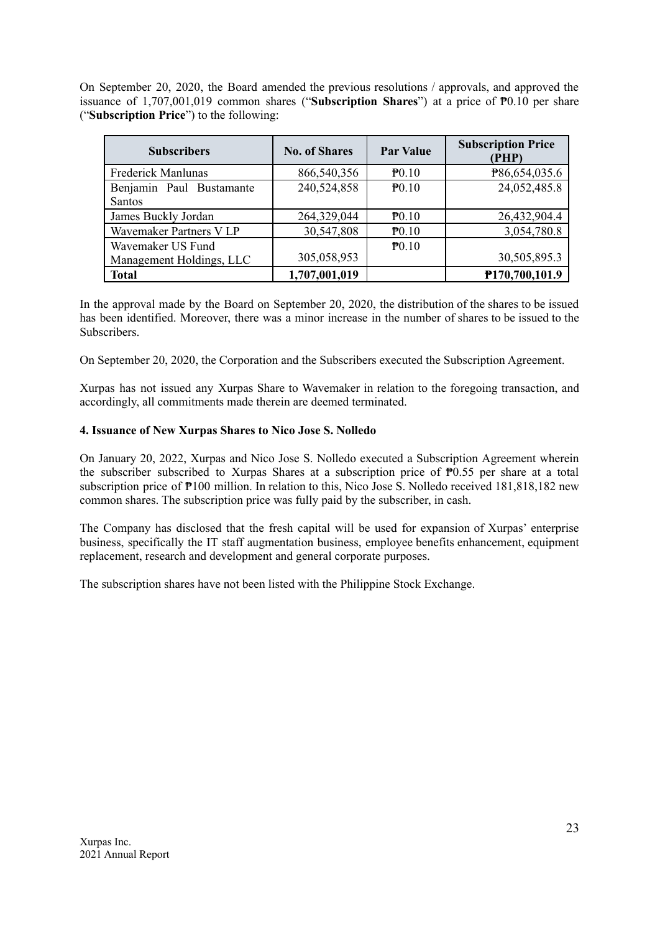On September 20, 2020, the Board amended the previous resolutions / approvals, and approved the issuance of 1,707,001,019 common shares ("**Subscription Shares**") at a price of ₱0.10 per share ("**Subscription Price**") to the following:

| <b>Subscribers</b>       | <b>No. of Shares</b> | <b>Par Value</b>  | <b>Subscription Price</b><br>(PHP) |
|--------------------------|----------------------|-------------------|------------------------------------|
| Frederick Manlunas       | 866,540,356          | P <sub>0.10</sub> | P86,654,035.6                      |
| Benjamin Paul Bustamante | 240,524,858          | $\mathbf{P}0.10$  | 24,052,485.8                       |
| Santos                   |                      |                   |                                    |
| James Buckly Jordan      | 264,329,044          | P <sub>0.10</sub> | 26,432,904.4                       |
| Wavemaker Partners V LP  | 30,547,808           | $\mathbf{P}0.10$  | 3,054,780.8                        |
| Wavemaker US Fund        |                      | P <sub>0.10</sub> |                                    |
| Management Holdings, LLC | 305,058,953          |                   | 30,505,895.3                       |
| <b>Total</b>             | 1,707,001,019        |                   | P170,700,101.9                     |

In the approval made by the Board on September 20, 2020, the distribution of the shares to be issued has been identified. Moreover, there was a minor increase in the number of shares to be issued to the Subscribers.

On September 20, 2020, the Corporation and the Subscribers executed the Subscription Agreement.

Xurpas has not issued any Xurpas Share to Wavemaker in relation to the foregoing transaction, and accordingly, all commitments made therein are deemed terminated.

### **4. Issuance of New Xurpas Shares to Nico Jose S. Nolledo**

On January 20, 2022, Xurpas and Nico Jose S. Nolledo executed a Subscription Agreement wherein the subscriber subscribed to Xurpas Shares at a subscription price of  $\overline{P}0.55$  per share at a total subscription price of  $\overline{P}100$  million. In relation to this, Nico Jose S. Nolledo received 181,818,182 new common shares. The subscription price was fully paid by the subscriber, in cash.

The Company has disclosed that the fresh capital will be used for expansion of Xurpas' enterprise business, specifically the IT staff augmentation business, employee benefits enhancement, equipment replacement, research and development and general corporate purposes.

The subscription shares have not been listed with the Philippine Stock Exchange.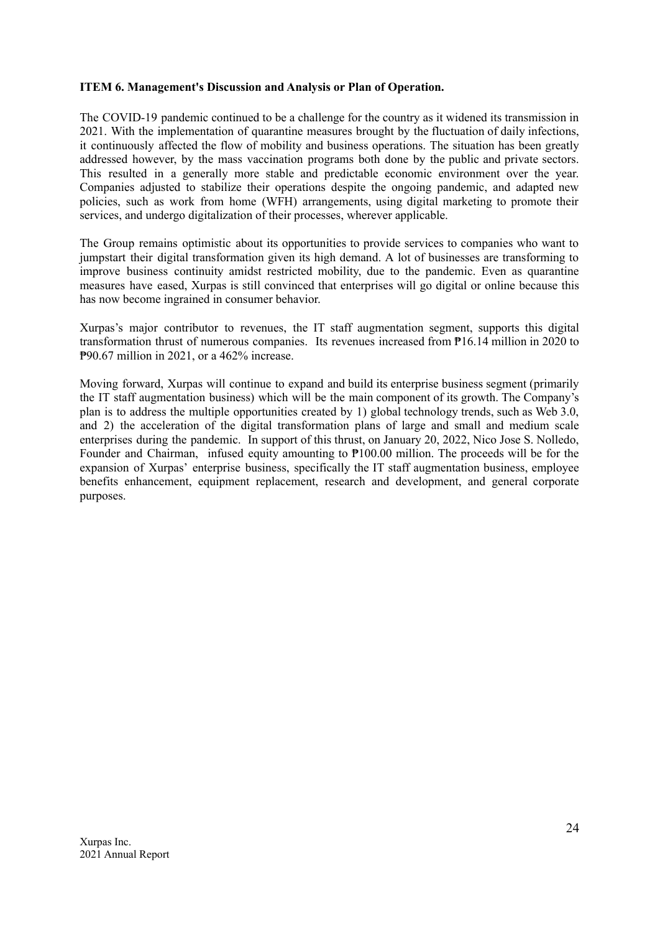### **ITEM 6. Management's Discussion and Analysis or Plan of Operation.**

The COVID-19 pandemic continued to be a challenge for the country as it widened its transmission in 2021. With the implementation of quarantine measures brought by the fluctuation of daily infections, it continuously affected the flow of mobility and business operations. The situation has been greatly addressed however, by the mass vaccination programs both done by the public and private sectors. This resulted in a generally more stable and predictable economic environment over the year. Companies adjusted to stabilize their operations despite the ongoing pandemic, and adapted new policies, such as work from home (WFH) arrangements, using digital marketing to promote their services, and undergo digitalization of their processes, wherever applicable.

The Group remains optimistic about its opportunities to provide services to companies who want to jumpstart their digital transformation given its high demand. A lot of businesses are transforming to improve business continuity amidst restricted mobility, due to the pandemic. Even as quarantine measures have eased, Xurpas is still convinced that enterprises will go digital or online because this has now become ingrained in consumer behavior.

Xurpas's major contributor to revenues, the IT staff augmentation segment, supports this digital transformation thrust of numerous companies. Its revenues increased from ₱16.14 million in 2020 to ₱90.67 million in 2021, or a 462% increase.

Moving forward, Xurpas will continue to expand and build its enterprise business segment (primarily the IT staff augmentation business) which will be the main component of its growth. The Company's plan is to address the multiple opportunities created by 1) global technology trends, such as Web 3.0, and 2) the acceleration of the digital transformation plans of large and small and medium scale enterprises during the pandemic. In support of this thrust, on January 20, 2022, Nico Jose S. Nolledo, Founder and Chairman, infused equity amounting to ₱100.00 million. The proceeds will be for the expansion of Xurpas' enterprise business, specifically the IT staff augmentation business, employee benefits enhancement, equipment replacement, research and development, and general corporate purposes.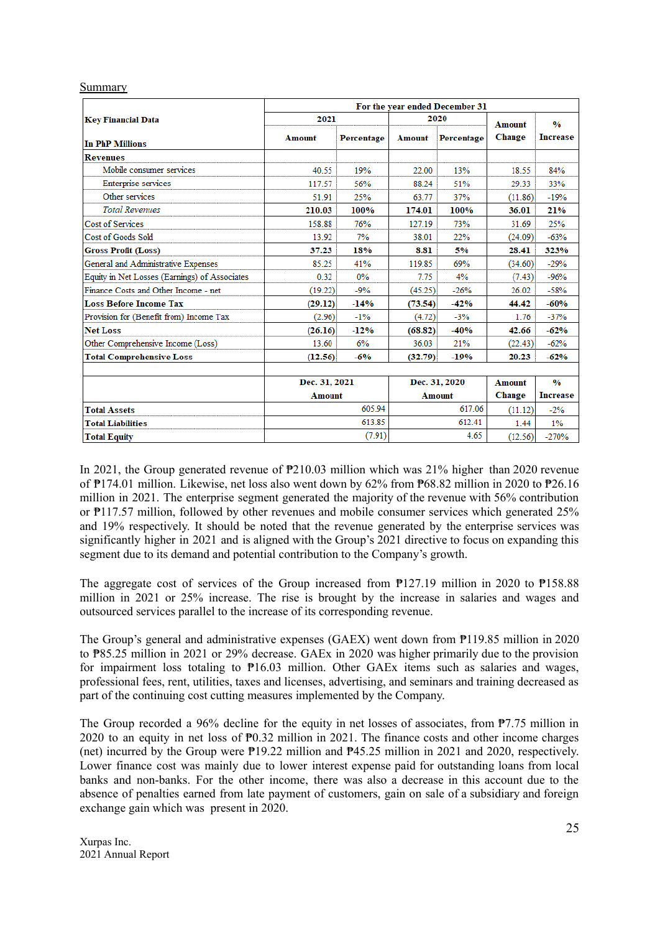#### Summary

|                                               | For the year ended December 31 |            |               |               |                         |                                  |
|-----------------------------------------------|--------------------------------|------------|---------------|---------------|-------------------------|----------------------------------|
| <b>Key Financial Data</b>                     | 2021                           |            |               | 2020          | <b>Amount</b><br>Change | $\frac{0}{0}$<br><b>Increase</b> |
| <b>In PhP Millions</b>                        | <b>Amount</b>                  | Percentage | <b>Amount</b> | Percentage    |                         |                                  |
| <b>Revenues</b>                               |                                |            |               |               |                         |                                  |
| Mobile consumer services                      | 40.55                          | 19%        | 22.00         | 13%           | 18.55                   | 84%                              |
| Enterprise services                           | 117.57                         | 56%        | 88.24         | 51%           | 29.33                   | 33%                              |
| Other services                                | 51.91                          | 25%        | 63.77         | 37%           | (11.86)                 | $-19%$                           |
| <b>Total Revenues</b>                         | 210.03                         | 100%       | 174.01        | 100%          | 36.01                   | 21%                              |
| Cost of Services                              | 158.88                         | 76%        | 127.19        | 73%           | 31.69                   | 25%                              |
| Cost of Goods Sold                            | 13.92                          | 7%         | 38.01         | 22%           | (24.09)                 | $-63%$                           |
| <b>Gross Profit (Loss)</b>                    | 37.23                          | 18%        | 8.81          | 5%            | 28.41                   | 323%                             |
| General and Administrative Expenses           | 85.25                          | 41%        | 119.85        | 69%           | (34.60)                 | $-29%$                           |
| Equity in Net Losses (Earnings) of Associates | 0.32                           | $0\%$      | 7.75          | 4%            | (7.43)                  | $-96%$                           |
| Finance Costs and Other Income - net          | (19.22)                        | $-9%$      | (45.25)       | $-26%$        | 26.02                   | $-58%$                           |
| <b>Loss Before Income Tax</b>                 | (29.12)                        | $-14%$     | (73.54)       | $-42%$        | 44.42                   | $-60%$                           |
| Provision for (Benefit from) Income Tax       | (2.96)                         | $-1\%$     | (4.72)        | $-3%$         | 1.76                    | $-37%$                           |
| <b>Net Loss</b>                               | (26.16)                        | $-12%$     | (68.82)       | $-40%$        | 42.66                   | $-62%$                           |
| Other Comprehensive Income (Loss)             | 13.60                          | 6%         | 36.03         | 21%           | (22.43)                 | $-62%$                           |
| <b>Total Comprehensive Loss</b>               | (12.56)                        | $-6\%$     | (32.79)       | $-19%$        | 20.23                   | $-62%$                           |
|                                               | Dec. 31, 2021                  |            |               | Dec. 31, 2020 | Amount                  | $\frac{0}{0}$                    |
|                                               | <b>Amount</b>                  |            | <b>Amount</b> |               | <b>Change</b>           | <b>Increase</b>                  |
| <b>Total Assets</b>                           |                                | 605.94     |               | 617.06        | (11.12)                 | $-2\%$                           |
| <b>Total Liabilities</b>                      |                                | 613.85     |               | 612.41        | 1.44                    | 1%                               |
| <b>Total Equity</b>                           |                                | (7.91)     |               | 4.65          | (12.56)                 | $-270%$                          |

In 2021, the Group generated revenue of ₱210.03 million which was 21% higher than 2020 revenue of ₱174.01 million. Likewise, net loss also went down by 62% from ₱68.82 million in 2020 to ₱26.16 million in 2021. The enterprise segment generated the majority of the revenue with 56% contribution or ₱117.57 million, followed by other revenues and mobile consumer services which generated 25% and 19% respectively. It should be noted that the revenue generated by the enterprise services was significantly higher in 2021 and is aligned with the Group's 2021 directive to focus on expanding this segment due to its demand and potential contribution to the Company's growth.

The aggregate cost of services of the Group increased from  $\frac{m}{27.19}$  million in 2020 to  $\frac{m}{58.88}$ million in 2021 or 25% increase. The rise is brought by the increase in salaries and wages and outsourced services parallel to the increase of its corresponding revenue.

The Group's general and administrative expenses (GAEX) went down from ₱119.85 million in 2020 to ₱85.25 million in 2021 or 29% decrease. GAEx in 2020 was higher primarily due to the provision for impairment loss totaling to  $P16.03$  million. Other GAEx items such as salaries and wages, professional fees, rent, utilities, taxes and licenses, advertising, and seminars and training decreased as part of the continuing cost cutting measures implemented by the Company.

The Group recorded a 96% decline for the equity in net losses of associates, from ₱7.75 million in 2020 to an equity in net loss of ₱0.32 million in 2021. The finance costs and other income charges (net) incurred by the Group were ₱19.22 million and ₱45.25 million in 2021 and 2020, respectively. Lower finance cost was mainly due to lower interest expense paid for outstanding loans from local banks and non-banks. For the other income, there was also a decrease in this account due to the absence of penalties earned from late payment of customers, gain on sale of a subsidiary and foreign exchange gain which was present in 2020.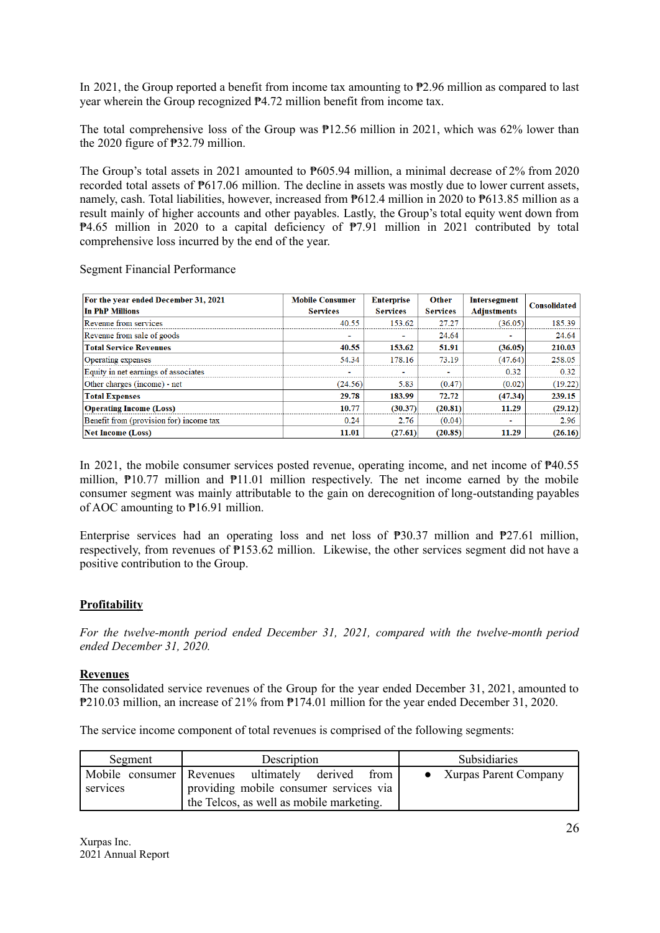In 2021, the Group reported a benefit from income tax amounting to ₱2.96 million as compared to last year wherein the Group recognized ₱4.72 million benefit from income tax.

The total comprehensive loss of the Group was  $P12.56$  million in 2021, which was 62% lower than the 2020 figure of ₱32.79 million.

The Group's total assets in 2021 amounted to ₱605.94 million, a minimal decrease of 2% from 2020 recorded total assets of ₱617.06 million. The decline in assets was mostly due to lower current assets, namely, cash. Total liabilities, however, increased from **₱612.4** million in 2020 to **₱613.85** million as a result mainly of higher accounts and other payables. Lastly, the Group's total equity went down from ₱4.65 million in 2020 to a capital deficiency of ₱7.91 million in 2021 contributed by total comprehensive loss incurred by the end of the year.

Segment Financial Performance

| For the year ended December 31, 2021<br>In PhP Millions | <b>Mobile Consumer</b><br><b>Services</b> | <b>Enterprise</b><br><b>Services</b> | <b>Other</b><br><b>Services</b> | Intersegment<br><b>Adjustments</b> | <b>Consolidated</b> |
|---------------------------------------------------------|-------------------------------------------|--------------------------------------|---------------------------------|------------------------------------|---------------------|
| Revenue from services                                   | 40.55                                     | 153.62                               | 27.27                           | (36.05)                            | 185.39              |
| Revenue from sale of goods                              | $\overline{\phantom{a}}$                  | ۰                                    | 24.64                           | $\overline{\phantom{a}}$           | 24.64               |
| <b>Total Service Revenues</b>                           | 40.55                                     | 153.62                               | 51.91                           | (36.05)                            | 210.03              |
| <b>Operating expenses</b>                               | 54.34                                     | 178.16                               | 73.19                           | (47.64)                            | 258.05              |
| Equity in net earnings of associates                    | ٠                                         | ٠                                    | ۰                               | 0.32                               | 0.32                |
| Other charges (income) - net                            | (24.56)                                   | 5.83                                 | (0.47)                          | (0.02)                             | (19.22)             |
| <b>Total Expenses</b>                                   | 29.78                                     | 183.99                               | 72.72                           | (47.34)                            | 239.15              |
| <b>Operating Income (Loss)</b>                          | 10.77                                     | (30.37)                              | (20.81)                         | 11.29                              | (29.12)             |
| Benefit from (provision for) income tax                 | 0.24                                      | 2.76                                 | (0.04)                          | $\sim$                             | 2.96                |
| <b>Net Income (Loss)</b>                                | 11.01                                     | (27.61)                              | (20.85)                         | 11.29                              | (26.16)             |

In 2021, the mobile consumer services posted revenue, operating income, and net income of ₱40.55 million,  $\overline{P}10.77$  million and  $\overline{P}11.01$  million respectively. The net income earned by the mobile consumer segment was mainly attributable to the gain on derecognition of long-outstanding payables of AOC amounting to ₱16.91 million.

Enterprise services had an operating loss and net loss of  $\overline{P}30.37$  million and  $\overline{P}27.61$  million, respectively, from revenues of ₱153.62 million. Likewise, the other services segment did not have a positive contribution to the Group.

### **Profitability**

*For the twelve-month period ended December 31, 2021, compared with the twelve-month period ended December 31, 2020.*

### **Revenues**

The consolidated service revenues of the Group for the year ended December 31, 2021, amounted to ₱210.03 million, an increase of 21% from ₱174.01 million for the year ended December 31, 2020.

The service income component of total revenues is comprised of the following segments:

| Segment                                | Description                                                                                                   | <b>Subsidiaries</b>   |
|----------------------------------------|---------------------------------------------------------------------------------------------------------------|-----------------------|
| Mobile consumer   Revenues<br>services | ultimately derived from<br>providing mobile consumer services via<br>the Telcos, as well as mobile marketing. | Xurpas Parent Company |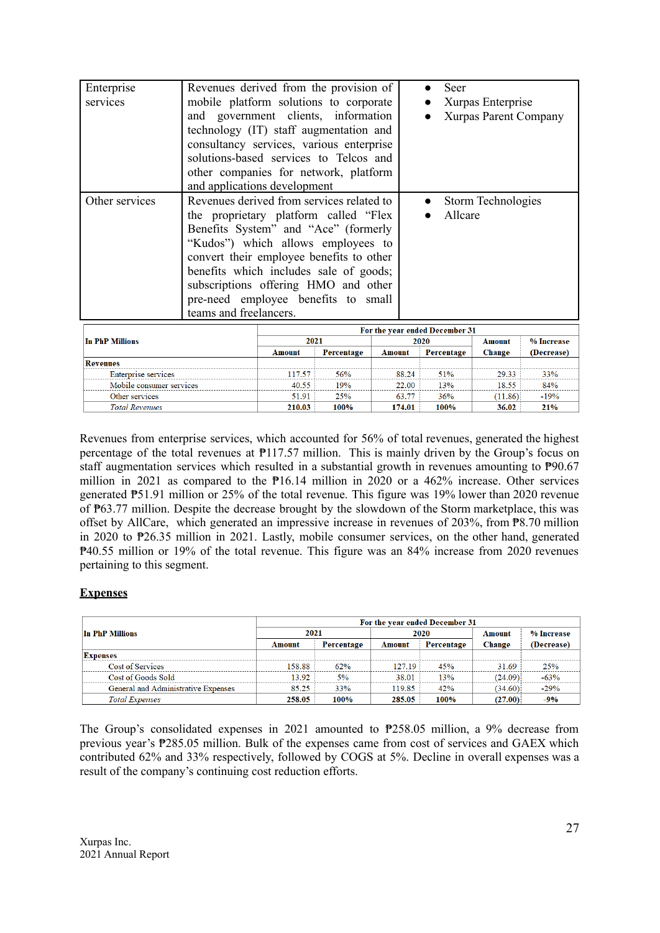| Enterprise<br>services                          | Revenues derived from the provision of<br>mobile platform solutions to corporate<br>and government clients, information<br>technology (IT) staff augmentation and<br>consultancy services, various enterprise<br>solutions-based services to Telcos and<br>other companies for network, platform                                                                                                 |                |            |               | Seer            | Xurpas Enterprise<br><b>Xurpas Parent Company</b> |                    |               |
|-------------------------------------------------|--------------------------------------------------------------------------------------------------------------------------------------------------------------------------------------------------------------------------------------------------------------------------------------------------------------------------------------------------------------------------------------------------|----------------|------------|---------------|-----------------|---------------------------------------------------|--------------------|---------------|
| Other services                                  | and applications development<br>Revenues derived from services related to<br>the proprietary platform called "Flex"<br>Benefits System" and "Ace" (formerly<br>"Kudos") which allows employees to<br>convert their employee benefits to other<br>benefits which includes sale of goods;<br>subscriptions offering HMO and other<br>pre-need employee benefits to small<br>teams and freelancers. |                |            |               |                 | Allcare                                           | Storm Technologies |               |
|                                                 |                                                                                                                                                                                                                                                                                                                                                                                                  |                |            |               |                 | For the year ended December 31                    |                    |               |
| <b>In PhP Millions</b>                          | 2021                                                                                                                                                                                                                                                                                                                                                                                             |                |            |               | 2020            | <b>Amount</b>                                     | % Increase         |               |
|                                                 |                                                                                                                                                                                                                                                                                                                                                                                                  | <b>Amount</b>  | Percentage | <b>Amount</b> |                 | Percentage                                        | Change             | (Decrease)    |
| <b>Revenues</b>                                 |                                                                                                                                                                                                                                                                                                                                                                                                  |                |            |               |                 |                                                   |                    |               |
| Enterprise services<br>Mobile consumer services |                                                                                                                                                                                                                                                                                                                                                                                                  | 117.57         | 56%        |               | 88.24           | 51%                                               | 29.33              | 33%           |
| Other services                                  |                                                                                                                                                                                                                                                                                                                                                                                                  | 40.55<br>51.91 | 19%<br>25% |               | 22.00           | 13%<br>36%                                        | 18.55              | 84%<br>$-19%$ |
| <b>Total Revenues</b>                           |                                                                                                                                                                                                                                                                                                                                                                                                  | 210.03         | 100%       |               | 63.77<br>174.01 | 100%                                              | (11.86)<br>36.02   | 21%           |

Revenues from enterprise services, which accounted for 56% of total revenues, generated the highest percentage of the total revenues at ₱117.57 million. This is mainly driven by the Group's focus on staff augmentation services which resulted in a substantial growth in revenues amounting to  $P90.67$ million in 2021 as compared to the ₱16.14 million in 2020 or a 462% increase. Other services generated ₱51.91 million or 25% of the total revenue. This figure was 19% lower than 2020 revenue of ₱63.77 million. Despite the decrease brought by the slowdown of the Storm marketplace, this was offset by AllCare, which generated an impressive increase in revenues of 203%, from ₱8.70 million in 2020 to ₱26.35 million in 2021. Lastly, mobile consumer services, on the other hand, generated ₱40.55 million or 19% of the total revenue. This figure was an 84% increase from 2020 revenues pertaining to this segment.

# **Expenses**

|                                     | For the year ended December 31 |            |        |            |         |            |  |
|-------------------------------------|--------------------------------|------------|--------|------------|---------|------------|--|
| In PhP Millions                     | 2021                           |            | 2020   |            | Amount  | % Increase |  |
|                                     | Amount                         | Percentage | Amount | Percentage | Change  | (Decrease) |  |
| <b>Expenses</b>                     |                                |            |        |            |         |            |  |
| <b>Cost of Services</b>             | 158.88                         | 62%        | 127.19 | 45%        | 31.69   | <b>25%</b> |  |
| Cost of Goods Sold                  | 13.92                          | 5%         | 38.01  | 13%        | (24.09) | $-63%$     |  |
| General and Administrative Expenses | 85.25                          | 33%        | 119.85 | 42%        | (34.60) | $-29%$     |  |
| <b>Total Expenses</b>               | 258.05                         | 100%       | 285.05 | 100%       | (27.00) | $-9%$      |  |

The Group's consolidated expenses in 2021 amounted to ₱258.05 million, a 9% decrease from previous year's ₱285.05 million. Bulk of the expenses came from cost of services and GAEX which contributed 62% and 33% respectively, followed by COGS at 5%. Decline in overall expenses was a result of the company's continuing cost reduction efforts.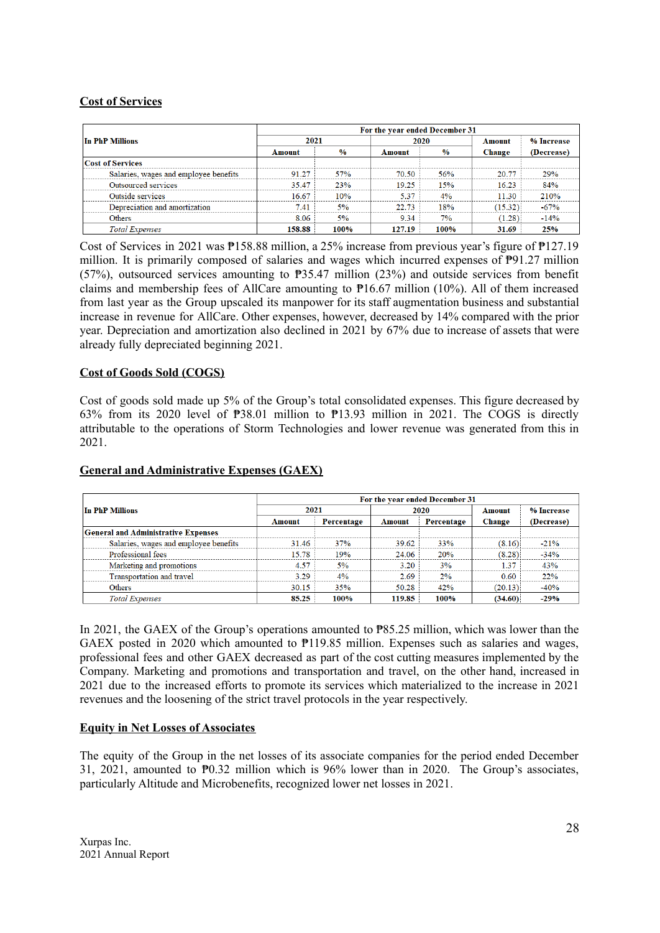### **Cost of Services**

|                                       | For the year ended December 31 |               |        |               |         |            |  |
|---------------------------------------|--------------------------------|---------------|--------|---------------|---------|------------|--|
| In PhP Millions                       | 2021                           |               | 2020   |               | Amount  | % Increase |  |
|                                       | Amount                         | $\frac{0}{0}$ | Amount | $\frac{6}{9}$ | Change  | (Decrease) |  |
| <b>Cost of Services</b>               |                                |               |        |               |         |            |  |
| Salaries, wages and employee benefits | 91.27                          | 57%           | 70.50  | 56%           | 20.77   | 29%        |  |
| <b>Outsourced services</b>            | 35.47                          | 23%           | 19.25  | 15%           | 16.23   | 84%        |  |
| Outside services                      | 16.67                          | 10%           | 5.37   | 4%            | 11.30   | 210%       |  |
| Depreciation and amortization         | 7.41                           | 5%            | 22.73  | 18%           | (15.32) | $-67%$     |  |
| Others                                | 8.06                           | 5%            | 9.34   | 7%            | (1.28)  | $-14%$     |  |
| <b>Total Expenses</b>                 | 158.88                         | 100%          | 127.19 | 100%          | 31.69   | 25%        |  |

Cost of Services in 2021 was ₱158.88 million, a 25% increase from previous year's figure of ₱127.19 million. It is primarily composed of salaries and wages which incurred expenses of ₱91.27 million (57%), outsourced services amounting to ₱35.47 million (23%) and outside services from benefit claims and membership fees of AllCare amounting to ₱16.67 million (10%). All of them increased from last year as the Group upscaled its manpower for its staff augmentation business and substantial increase in revenue for AllCare. Other expenses, however, decreased by 14% compared with the prior year. Depreciation and amortization also declined in 2021 by 67% due to increase of assets that were already fully depreciated beginning 2021.

### **Cost of Goods Sold (COGS)**

Cost of goods sold made up 5% of the Group's total consolidated expenses. This figure decreased by 63% from its 2020 level of ₱38.01 million to ₱13.93 million in 2021. The COGS is directly attributable to the operations of Storm Technologies and lower revenue was generated from this in 2021.

|                                            | For the year ended December 31 |            |        |            |         |            |  |
|--------------------------------------------|--------------------------------|------------|--------|------------|---------|------------|--|
| In PhP Millions                            | 2021                           |            | 2020   |            | Amount  | % Increase |  |
|                                            | Amount                         | Percentage | Amount | Percentage | Change  | (Decrease) |  |
| <b>General and Administrative Expenses</b> |                                |            |        |            |         |            |  |
| Salaries, wages and employee benefits      | 31.46                          | 37%        | 39.62  | 33%        | (8.16)  | $-21%$     |  |
| Professional fees                          | 15.78                          | 19%        | 24.06  | 20%        | (8.28)  | $-34%$     |  |
| Marketing and promotions                   | 4.57                           | 5%         | 3.20   | 3%         | 1.37    | 43%        |  |
| Transportation and travel                  | 3.29                           | $4\%$      | 2.69   | 2%         | 0.60    | 22%        |  |
| <b>Others</b>                              | 30.15                          | 35%        | 50.28  | 42%        | (20.13) | $-40%$     |  |
| <b>Total Expenses</b>                      | 85.25                          | 100%       | 119.85 | 100%       | (34.60) | $-29%$     |  |

### **General and Administrative Expenses (GAEX)**

In 2021, the GAEX of the Group's operations amounted to ₱85.25 million, which was lower than the GAEX posted in 2020 which amounted to ₱119.85 million. Expenses such as salaries and wages, professional fees and other GAEX decreased as part of the cost cutting measures implemented by the Company. Marketing and promotions and transportation and travel, on the other hand, increased in 2021 due to the increased efforts to promote its services which materialized to the increase in 2021 revenues and the loosening of the strict travel protocols in the year respectively.

# **Equity in Net Losses of Associates**

The equity of the Group in the net losses of its associate companies for the period ended December 31, 2021, amounted to ₱0.32 million which is 96% lower than in 2020. The Group's associates, particularly Altitude and Microbenefits, recognized lower net losses in 2021.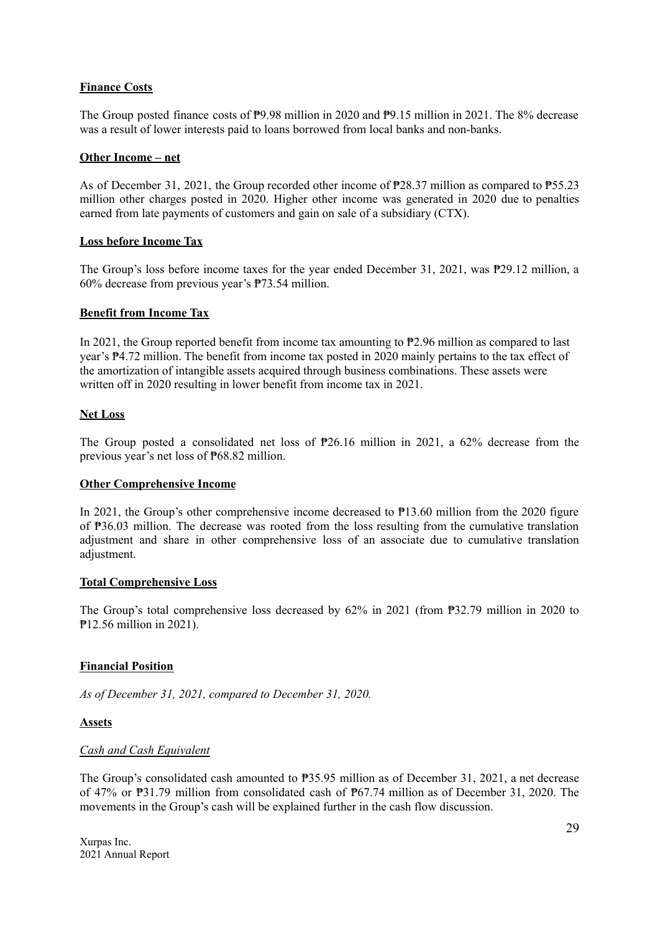# **Finance Costs**

The Group posted finance costs of ₱9.98 million in 2020 and ₱9.15 million in 2021. The 8% decrease was a result of lower interests paid to loans borrowed from local banks and non-banks.

### **Other Income – net**

As of December 31, 2021, the Group recorded other income of ₱28.37 million as compared to ₱55.23 million other charges posted in 2020. Higher other income was generated in 2020 due to penalties earned from late payments of customers and gain on sale of a subsidiary (CTX).

### **Loss before Income Tax**

The Group's loss before income taxes for the year ended December 31, 2021, was ₱29.12 million, a 60% decrease from previous year's ₱73.54 million.

#### **Benefit from Income Tax**

In 2021, the Group reported benefit from income tax amounting to ₱2.96 million as compared to last year's ₱4.72 million. The benefit from income tax posted in 2020 mainly pertains to the tax effect of the amortization of intangible assets acquired through business combinations. These assets were written off in 2020 resulting in lower benefit from income tax in 2021.

#### **Net Loss**

The Group posted a consolidated net loss of ₱26.16 million in 2021, a 62% decrease from the previous year's net loss of ₱68.82 million.

### **Other Comprehensive Income**

In 2021, the Group's other comprehensive income decreased to ₱13.60 million from the 2020 figure of ₱36.03 million. The decrease was rooted from the loss resulting from the cumulative translation adjustment and share in other comprehensive loss of an associate due to cumulative translation adjustment.

#### **Total Comprehensive Loss**

The Group's total comprehensive loss decreased by 62% in 2021 (from ₱32.79 million in 2020 to ₱12.56 million in 2021).

### **Financial Position**

*As of December 31, 2021, compared to December 31, 2020.*

### **Assets**

### *Cash and Cash Equivalent*

The Group's consolidated cash amounted to ₱35.95 million as of December 31, 2021, a net decrease of 47% or ₱31.79 million from consolidated cash of ₱67.74 million as of December 31, 2020. The movements in the Group's cash will be explained further in the cash flow discussion.

Xurpas Inc. 2021 Annual Report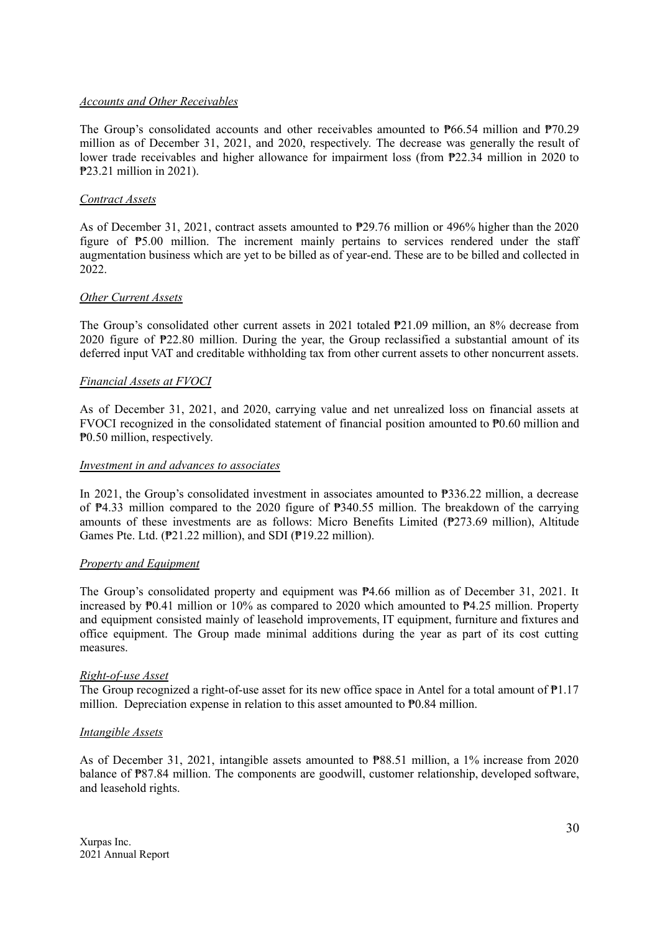### *Accounts and Other Receivables*

The Group's consolidated accounts and other receivables amounted to ₱66.54 million and ₱70.29 million as of December 31, 2021, and 2020, respectively. The decrease was generally the result of lower trade receivables and higher allowance for impairment loss (from ₱22.34 million in 2020 to ₱23.21 million in 2021).

#### *Contract Assets*

As of December 31, 2021, contract assets amounted to ₱29.76 million or 496% higher than the 2020 figure of ₱5.00 million. The increment mainly pertains to services rendered under the staff augmentation business which are yet to be billed as of year-end. These are to be billed and collected in 2022.

### *Other Current Assets*

The Group's consolidated other current assets in 2021 totaled ₱21.09 million, an 8% decrease from 2020 figure of ₱22.80 million. During the year, the Group reclassified a substantial amount of its deferred input VAT and creditable withholding tax from other current assets to other noncurrent assets.

#### *Financial Assets at FVOCI*

As of December 31, 2021, and 2020, carrying value and net unrealized loss on financial assets at FVOCI recognized in the consolidated statement of financial position amounted to ₱0.60 million and ₱0.50 million, respectively.

#### *Investment in and advances to associates*

In 2021, the Group's consolidated investment in associates amounted to ₱336.22 million, a decrease of ₱4.33 million compared to the 2020 figure of ₱340.55 million. The breakdown of the carrying amounts of these investments are as follows: Micro Benefits Limited (₱273.69 million), Altitude Games Pte. Ltd. (₱21.22 million), and SDI (₱19.22 million).

#### *Property and Equipment*

The Group's consolidated property and equipment was  $P4.66$  million as of December 31, 2021. It increased by ₱0.41 million or 10% as compared to 2020 which amounted to ₱4.25 million. Property and equipment consisted mainly of leasehold improvements, IT equipment, furniture and fixtures and office equipment. The Group made minimal additions during the year as part of its cost cutting measures.

#### *Right-of-use Asset*

The Group recognized a right-of-use asset for its new office space in Antel for a total amount of  $\mathbb{P}1.17$ million. Depreciation expense in relation to this asset amounted to  $P<sup>0.84</sup>$  million.

#### *Intangible Assets*

As of December 31, 2021, intangible assets amounted to ₱88.51 million, a 1% increase from 2020 balance of **P87.84** million. The components are goodwill, customer relationship, developed software, and leasehold rights.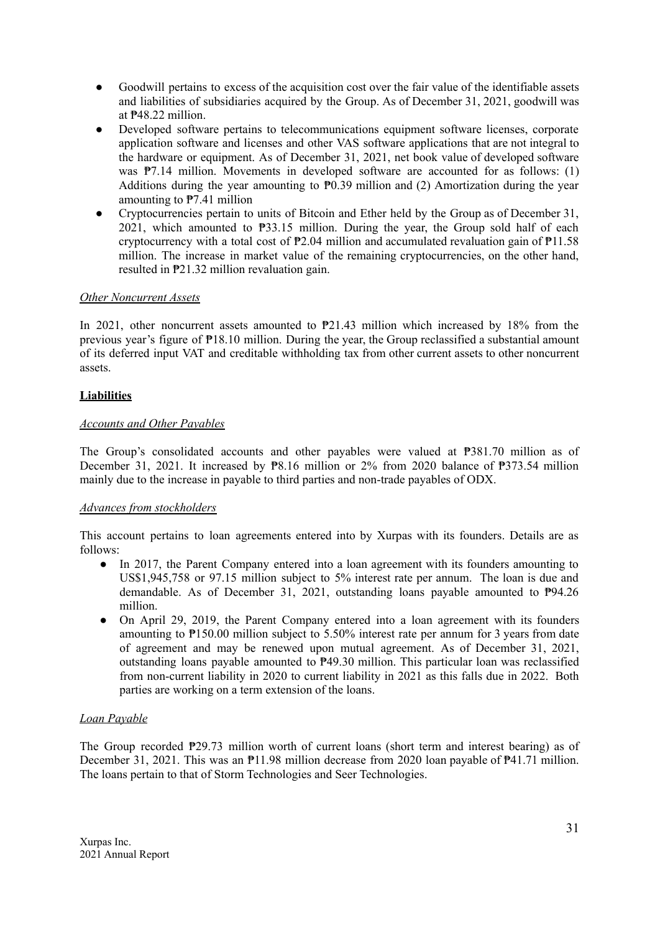- Goodwill pertains to excess of the acquisition cost over the fair value of the identifiable assets and liabilities of subsidiaries acquired by the Group. As of December 31, 2021, goodwill was at ₱48.22 million.
- Developed software pertains to telecommunications equipment software licenses, corporate application software and licenses and other VAS software applications that are not integral to the hardware or equipment. As of December 31, 2021, net book value of developed software was  $\mathbb{P}7.14$  million. Movements in developed software are accounted for as follows: (1) Additions during the year amounting to  $P<sup>0.39</sup>$  million and (2) Amortization during the year amounting to ₱7.41 million
- Cryptocurrencies pertain to units of Bitcoin and Ether held by the Group as of December 31, 2021, which amounted to ₱33.15 million. During the year, the Group sold half of each cryptocurrency with a total cost of  $P2.04$  million and accumulated revaluation gain of  $P11.58$ million. The increase in market value of the remaining cryptocurrencies, on the other hand, resulted in ₱21.32 million revaluation gain.

# *Other Noncurrent Assets*

In 2021, other noncurrent assets amounted to ₱21.43 million which increased by 18% from the previous year's figure of ₱18.10 million. During the year, the Group reclassified a substantial amount of its deferred input VAT and creditable withholding tax from other current assets to other noncurrent assets.

### **Liabilities**

### *Accounts and Other Payables*

The Group's consolidated accounts and other payables were valued at ₱381.70 million as of December 31, 2021. It increased by  $\mathbb{P}8.16$  million or 2% from 2020 balance of  $\mathbb{P}373.54$  million mainly due to the increase in payable to third parties and non-trade payables of ODX.

### *Advances from stockholders*

This account pertains to loan agreements entered into by Xurpas with its founders. Details are as follows:

- In 2017, the Parent Company entered into a loan agreement with its founders amounting to US\$1,945,758 or 97.15 million subject to 5% interest rate per annum. The loan is due and demandable. As of December 31, 2021, outstanding loans payable amounted to ₱94.26 million.
- On April 29, 2019, the Parent Company entered into a loan agreement with its founders amounting to ₱150.00 million subject to 5.50% interest rate per annum for 3 years from date of agreement and may be renewed upon mutual agreement. As of December 31, 2021, outstanding loans payable amounted to ₱49.30 million. This particular loan was reclassified from non-current liability in 2020 to current liability in 2021 as this falls due in 2022. Both parties are working on a term extension of the loans.

# *Loan Payable*

The Group recorded ₱29.73 million worth of current loans (short term and interest bearing) as of December 31, 2021. This was an  $\mathbb{P}11.98$  million decrease from 2020 loan payable of  $\mathbb{P}41.71$  million. The loans pertain to that of Storm Technologies and Seer Technologies.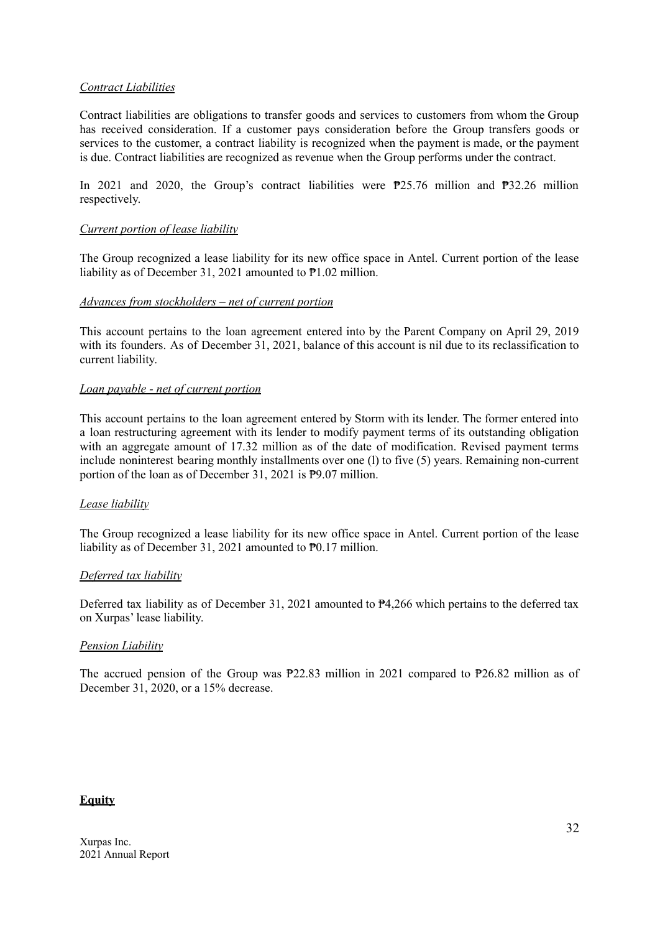### *Contract Liabilities*

Contract liabilities are obligations to transfer goods and services to customers from whom the Group has received consideration. If a customer pays consideration before the Group transfers goods or services to the customer, a contract liability is recognized when the payment is made, or the payment is due. Contract liabilities are recognized as revenue when the Group performs under the contract.

In 2021 and 2020, the Group's contract liabilities were ₱25.76 million and ₱32.26 million respectively.

### *Current portion of lease liability*

The Group recognized a lease liability for its new office space in Antel. Current portion of the lease liability as of December 31, 2021 amounted to ₱1.02 million.

### *Advances from stockholders – net of current portion*

This account pertains to the loan agreement entered into by the Parent Company on April 29, 2019 with its founders. As of December 31, 2021, balance of this account is nil due to its reclassification to current liability.

#### *Loan payable - net of current portion*

This account pertains to the loan agreement entered by Storm with its lender. The former entered into a loan restructuring agreement with its lender to modify payment terms of its outstanding obligation with an aggregate amount of 17.32 million as of the date of modification. Revised payment terms include noninterest bearing monthly installments over one (l) to five (5) years. Remaining non-current portion of the loan as of December 31, 2021 is ₱9.07 million.

### *Lease liability*

The Group recognized a lease liability for its new office space in Antel. Current portion of the lease liability as of December 31, 2021 amounted to ₱0.17 million.

### *Deferred tax liability*

Deferred tax liability as of December 31, 2021 amounted to ₱4,266 which pertains to the deferred tax on Xurpas' lease liability.

### *Pension Liability*

The accrued pension of the Group was ₱22.83 million in 2021 compared to ₱26.82 million as of December 31, 2020, or a 15% decrease.

### **Equity**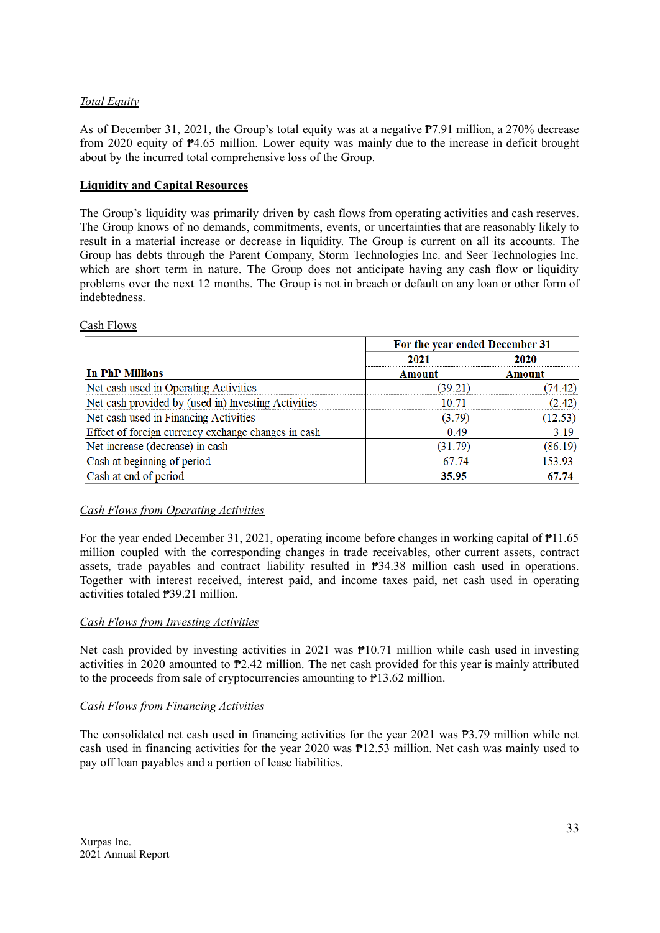# *Total Equity*

As of December 31, 2021, the Group's total equity was at a negative ₱7.91 million, a 270% decrease from 2020 equity of ₱4.65 million. Lower equity was mainly due to the increase in deficit brought about by the incurred total comprehensive loss of the Group.

# **Liquidity and Capital Resources**

The Group's liquidity was primarily driven by cash flows from operating activities and cash reserves. The Group knows of no demands, commitments, events, or uncertainties that are reasonably likely to result in a material increase or decrease in liquidity. The Group is current on all its accounts. The Group has debts through the Parent Company, Storm Technologies Inc. and Seer Technologies Inc. which are short term in nature. The Group does not anticipate having any cash flow or liquidity problems over the next 12 months. The Group is not in breach or default on any loan or other form of indebtedness.

### Cash Flows

|                                                     | For the year ended December 31 |         |
|-----------------------------------------------------|--------------------------------|---------|
|                                                     | 2021                           | 2020    |
| In PhP Millions                                     | Amount                         | Amount  |
| Net cash used in Operating Activities               | (39.21)                        | (74.42) |
| Net cash provided by (used in) Investing Activities | 10.71                          | (2.42)  |
| Net cash used in Financing Activities               | (3.79)                         | (12.53) |
| Effect of foreign currency exchange changes in cash | 0.49                           | 3.19    |
| Net increase (decrease) in cash                     | (31.79)                        | (86.19) |
| Cash at beginning of period                         | 67.74                          | 153.93  |
| Cash at end of period                               | 35.95                          | 67.74   |

# *Cash Flows from Operating Activities*

For the year ended December 31, 2021, operating income before changes in working capital of  $\text{P}11.65$ million coupled with the corresponding changes in trade receivables, other current assets, contract assets, trade payables and contract liability resulted in ₱34.38 million cash used in operations. Together with interest received, interest paid, and income taxes paid, net cash used in operating activities totaled ₱39.21 million.

### *Cash Flows from Investing Activities*

Net cash provided by investing activities in 2021 was  $P10.71$  million while cash used in investing activities in 2020 amounted to ₱2.42 million. The net cash provided for this year is mainly attributed to the proceeds from sale of cryptocurrencies amounting to ₱13.62 million.

# *Cash Flows from Financing Activities*

The consolidated net cash used in financing activities for the year 2021 was ₱3.79 million while net cash used in financing activities for the year 2020 was ₱12.53 million. Net cash was mainly used to pay off loan payables and a portion of lease liabilities.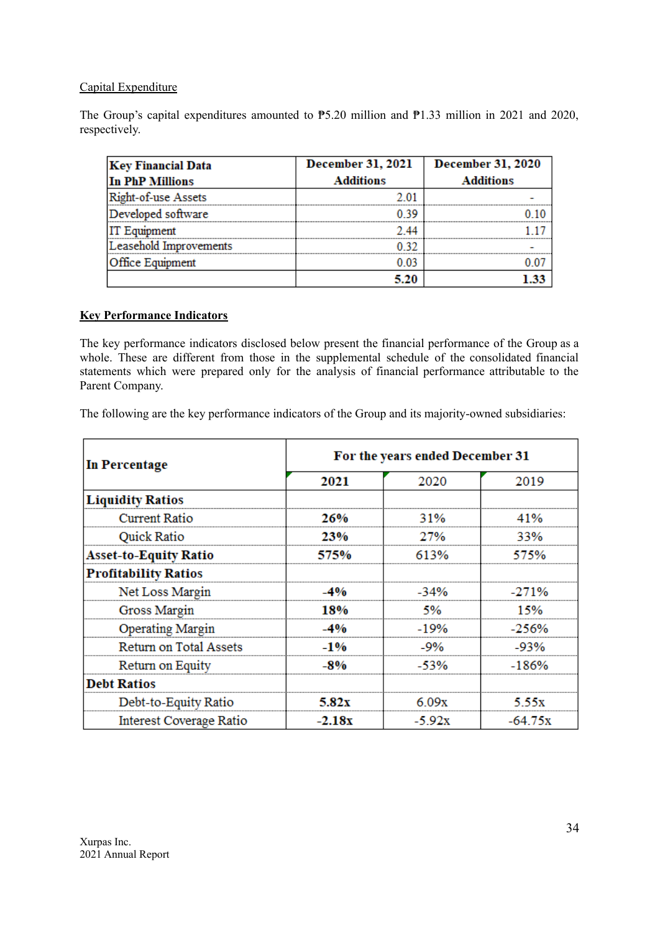# Capital Expenditure

The Group's capital expenditures amounted to  $\overline{P5.20}$  million and  $\overline{P1.33}$  million in 2021 and 2020, respectively.

| <b>Key Financial Data</b> | <b>December 31, 2021</b> | December 31, 2020 |
|---------------------------|--------------------------|-------------------|
| In PhP Millions           | <b>Additions</b>         | <b>Additions</b>  |
| Right-of-use Assets       |                          |                   |
| Developed software        |                          |                   |
| <b>IT Equipment</b>       |                          |                   |
| Leasehold Improvements    |                          |                   |
| <b>Office Equipment</b>   |                          |                   |
|                           |                          |                   |

### **Key Performance Indicators**

The key performance indicators disclosed below present the financial performance of the Group as a whole. These are different from those in the supplemental schedule of the consolidated financial statements which were prepared only for the analysis of financial performance attributable to the Parent Company.

The following are the key performance indicators of the Group and its majority-owned subsidiaries:

| In Percentage                  | For the years ended December 31 |         |           |  |  |
|--------------------------------|---------------------------------|---------|-----------|--|--|
|                                | 2021                            | 2020    | 2019      |  |  |
| <b>Liquidity Ratios</b>        |                                 |         |           |  |  |
| <b>Current Ratio</b>           | 26%                             | 31%     | 11%       |  |  |
| <b>Quick Ratio</b>             | 23%                             | 27%     | 33%       |  |  |
| <b>Asset-to-Equity Ratio</b>   | 575%                            | 613%    | 575%      |  |  |
| <b>Profitability Ratios</b>    |                                 |         |           |  |  |
| Net Loss Margin                |                                 | $-34%$  |           |  |  |
| Gross Margin                   | 18%                             | 5%      | 15%       |  |  |
| <b>Operating Margin</b>        | -4%                             | $-19%$  | $-256%$   |  |  |
| Return on Total Assets         | $-1\%$                          | $-9%$   | -93%      |  |  |
| Return on Equity               | -8%                             | -53%    | $-186%$   |  |  |
| <b>Debt Ratios</b>             |                                 |         |           |  |  |
| Debt-to-Equity Ratio           | 5.82x                           | 6.09x   | -5.5x     |  |  |
| <b>Interest Coverage Ratio</b> | $-2.18x$                        | $-592x$ | $-64.75x$ |  |  |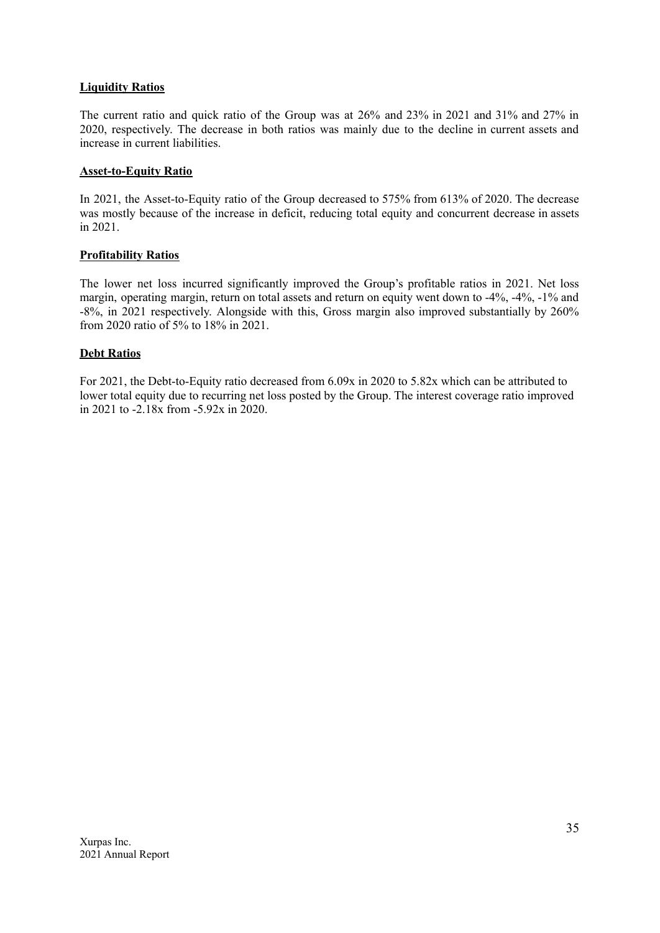### **Liquidity Ratios**

The current ratio and quick ratio of the Group was at 26% and 23% in 2021 and 31% and 27% in 2020, respectively. The decrease in both ratios was mainly due to the decline in current assets and increase in current liabilities.

### **Asset-to-Equity Ratio**

In 2021, the Asset-to-Equity ratio of the Group decreased to 575% from 613% of 2020. The decrease was mostly because of the increase in deficit, reducing total equity and concurrent decrease in assets in 2021.

### **Profitability Ratios**

The lower net loss incurred significantly improved the Group's profitable ratios in 2021. Net loss margin, operating margin, return on total assets and return on equity went down to -4%, -4%, -1% and -8%, in 2021 respectively. Alongside with this, Gross margin also improved substantially by 260% from 2020 ratio of 5% to 18% in 2021.

# **Debt Ratios**

For 2021, the Debt-to-Equity ratio decreased from 6.09x in 2020 to 5.82x which can be attributed to lower total equity due to recurring net loss posted by the Group. The interest coverage ratio improved in 2021 to -2.18x from -5.92x in 2020.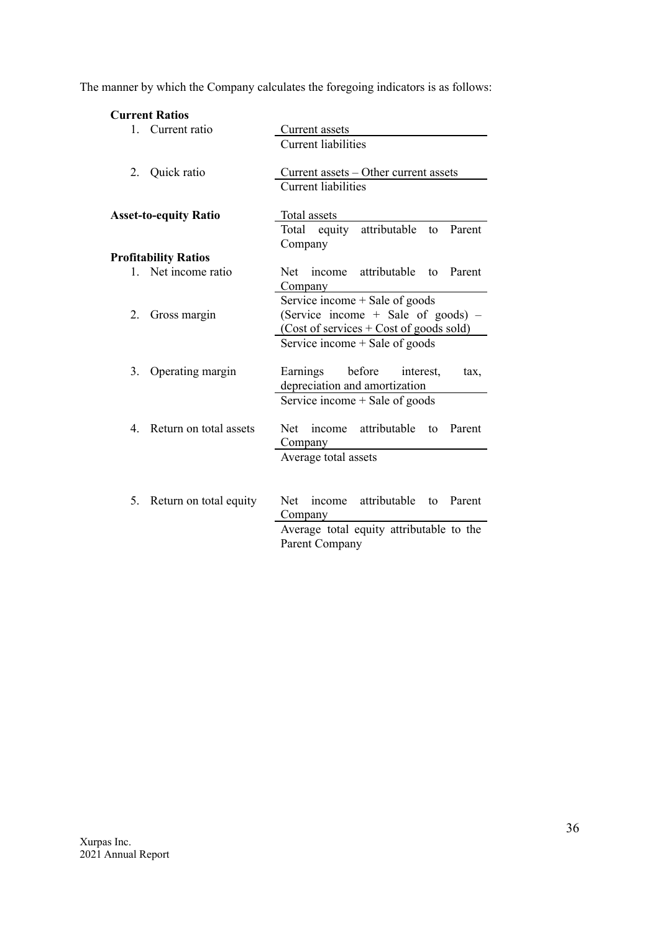The manner by which the Company calculates the foregoing indicators is as follows:

# **Current Ratios**

| $1 \quad$ | Current ratio                | Current assets<br><b>Current liabilities</b>                                                                          |
|-----------|------------------------------|-----------------------------------------------------------------------------------------------------------------------|
| 2.        | Quick ratio                  | Current assets – Other current assets<br><b>Current liabilities</b>                                                   |
|           | <b>Asset-to-equity Ratio</b> | Total assets                                                                                                          |
|           |                              | attributable<br>Parent<br>Total equity<br>to<br>Company                                                               |
|           | <b>Profitability Ratios</b>  |                                                                                                                       |
| $1 \quad$ | Net income ratio             | income attributable<br>Net<br>Parent<br>to<br>Company                                                                 |
| 2.        | Gross margin                 | Service income + Sale of goods<br>(Service income $+$ Sale of goods) $-$<br>$(Cost of services + Cost of goods sold)$ |
| 3.        | Operating margin             | Service income + Sale of goods<br>before<br>Earnings<br>interest,<br>tax,                                             |
|           |                              | depreciation and amortization<br>Service income + Sale of goods                                                       |
| 4         | Return on total assets       | income attributable<br>Parent<br>Net<br>to<br>Company                                                                 |
|           |                              | Average total assets                                                                                                  |
| 5.        | Return on total equity       | income attributable to<br>Net<br>Parent<br>Company                                                                    |
|           |                              | Average total equity attributable to the<br>Parent Company                                                            |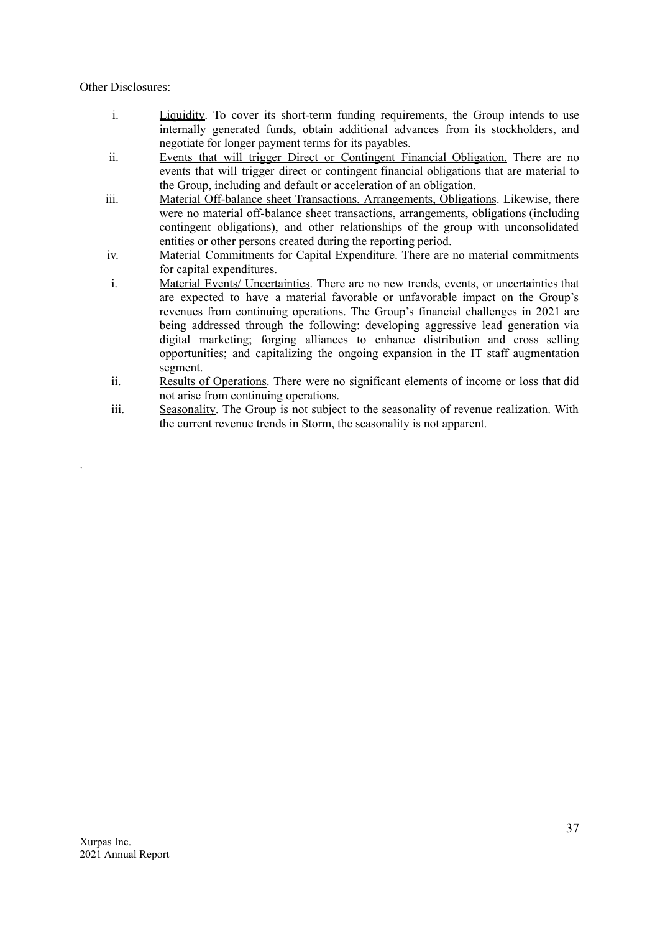Other Disclosures:

.

- i. Liquidity. To cover its short-term funding requirements, the Group intends to use internally generated funds, obtain additional advances from its stockholders, and negotiate for longer payment terms for its payables.
- ii. Events that will trigger Direct or Contingent Financial Obligation. There are no events that will trigger direct or contingent financial obligations that are material to the Group, including and default or acceleration of an obligation.
- iii. Material Off-balance sheet Transactions, Arrangements, Obligations. Likewise, there were no material off-balance sheet transactions, arrangements, obligations (including contingent obligations), and other relationships of the group with unconsolidated entities or other persons created during the reporting period.
- iv. Material Commitments for Capital Expenditure. There are no material commitments for capital expenditures.
- i. Material Events/ Uncertainties. There are no new trends, events, or uncertainties that are expected to have a material favorable or unfavorable impact on the Group's revenues from continuing operations. The Group's financial challenges in 2021 are being addressed through the following: developing aggressive lead generation via digital marketing; forging alliances to enhance distribution and cross selling opportunities; and capitalizing the ongoing expansion in the IT staff augmentation segment.
- ii. Results of Operations. There were no significant elements of income or loss that did not arise from continuing operations.
- iii. Seasonality. The Group is not subject to the seasonality of revenue realization. With the current revenue trends in Storm, the seasonality is not apparent.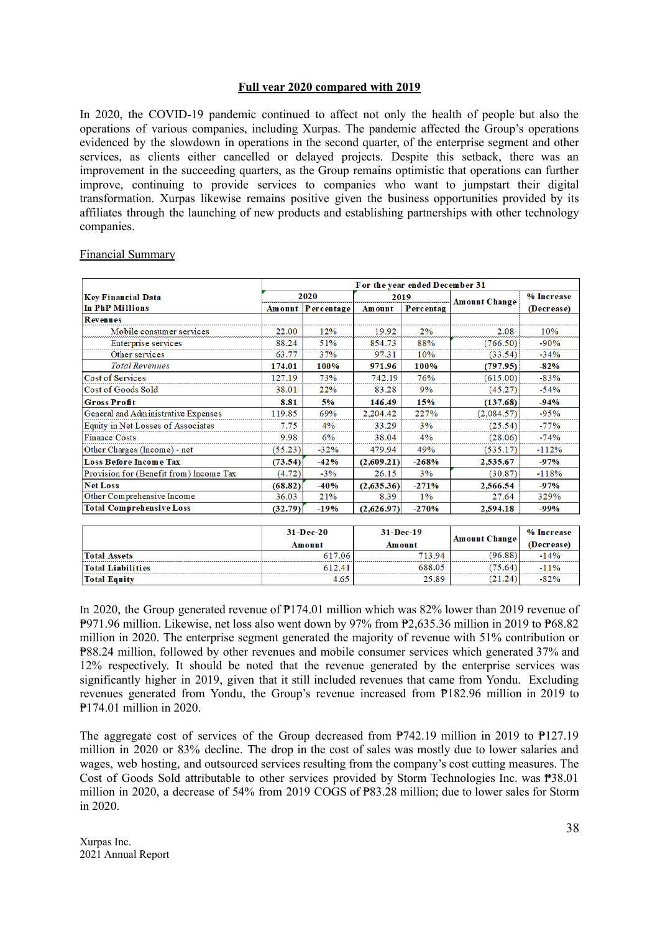#### **Full year 2020 compared with 2019**

In 2020, the COVID-19 pandemic continued to affect not only the health of people but also the operations of various companies, including Xurpas. The pandemic affected the Group's operations evidenced by the slowdown in operations in the second quarter, of the enterprise segment and other services, as clients either cancelled or delayed projects. Despite this setback, there was an improvement in the succeeding quarters, as the Group remains optimistic that operations can further improve, continuing to provide services to companies who want to jumpstart their digital transformation. Xurpas likewise remains positive given the business opportunities provided by its affiliates through the launching of new products and establishing partnerships with other technology companies.

|                                         | For the year ended December 31 |                   |                            |         |                      |            |
|-----------------------------------------|--------------------------------|-------------------|----------------------------|---------|----------------------|------------|
| <b>Key Financial Data</b>               | 2020                           |                   | 2019                       |         | <b>Amount Change</b> | % Increase |
| In PhP Millions                         |                                | Amount Percentage | Percentag<br><b>Amount</b> |         |                      | (Decrease) |
| <b>Revenues</b>                         |                                |                   |                            |         |                      |            |
| Mobile consumer services                | 22.00                          | 12%               | 19.92                      | 2%      | 2.08                 | 10%        |
| Enterprise services                     | 88.24                          | 51%               | 854.73                     | 88%     | (766.50)             | $-90%$     |
| Other services                          | 63.77                          | 37%               | 97.31                      | 10%     | (33.54)              | $-34%$     |
| <b>Total Revenues</b>                   | 174.01                         | 100%              | 971.96                     | 100%    | (797.95)             | $-82%$     |
| <b>Cost of Services</b>                 | 127.19                         | 73%               | 742.19                     | 76%     | (615.00)             | $-83%$     |
| Cost of Goods Sold                      | 38.01                          | 22%               | 83.28                      | 9%      | (45.27)              | $-54%$     |
| <b>Gross Profit</b>                     | 8.81                           | 5%                | 146.49                     | 15%     | (137.68)             | $-94%$     |
| General and Administrative Expenses     | 119.85                         | 69%               | 2,204.42                   | 227%    | (2,084.57)           | $-95%$     |
| Equity in Net Losses of Associates      | 7.75                           | 4%                | 33.29                      | 3%      | (25.54)              | $-77%$     |
| <b>Finance Costs</b>                    | 9.98                           | 6%                | 38.04                      | 4%      | (28.06)              | $-74%$     |
| Other Charges (Income) - net            | (55.23)                        | $-32%$            | 479.94                     | 49%     | (535.17)             | $-112%$    |
| <b>Loss Before Income Tax</b>           | (73.54)                        | $-42%$            | (2,609.21)                 | $-268%$ | 2,535.67             | $-97%$     |
| Provision for (Benefit from) Income Tax | (4.72)                         | $-3%$             | 26.15                      | 3%      | (30.87)              | $-118%$    |
| <b>Net Loss</b>                         | (68.82)                        | $-40%$            | (2,635.36)                 | $-271%$ | 2,566.54             | $-97%$     |
| Other Comprehensive Income              | 36.03                          | 21%               | 8.39                       | $1\%$   | 27.64                | 329%       |
| <b>Total Comprehensive Loss</b>         | (32.79)                        | $-19%$            | (2,626.97)                 | $-270%$ | 2.594.18             | $-99%$     |

#### Financial Summary

|                     | $31-Dec-20$ | $31-Dec-19$   | <b>Amount Change</b> | % Increase |
|---------------------|-------------|---------------|----------------------|------------|
|                     | Amount      | <b>Amount</b> |                      | (Decrease) |
| <b>Total Assets</b> | 617.06      | 713.94        | (96.88)              | $-14%$     |
| Total Liabilities   | 612.41      | 688.05        | (75.64)              | $-11%$     |
| <b>Total Equity</b> | 4.65        | 25.89         | (21.24)              | $-82%$     |

In 2020, the Group generated revenue of ₱174.01 million which was 82% lower than 2019 revenue of ₱971.96 million. Likewise, net loss also went down by 97% from ₱2,635.36 million in 2019 to ₱68.82 million in 2020. The enterprise segment generated the majority of revenue with 51% contribution or ₱88.24 million, followed by other revenues and mobile consumer services which generated 37% and 12% respectively. It should be noted that the revenue generated by the enterprise services was significantly higher in 2019, given that it still included revenues that came from Yondu. Excluding revenues generated from Yondu, the Group's revenue increased from ₱182.96 million in 2019 to ₱174.01 million in 2020.

The aggregate cost of services of the Group decreased from  $P742.19$  million in 2019 to  $P127.19$ million in 2020 or 83% decline. The drop in the cost of sales was mostly due to lower salaries and wages, web hosting, and outsourced services resulting from the company's cost cutting measures. The Cost of Goods Sold attributable to other services provided by Storm Technologies Inc. was ₱38.01 million in 2020, a decrease of 54% from 2019 COGS of ₱83.28 million; due to lower sales for Storm in 2020.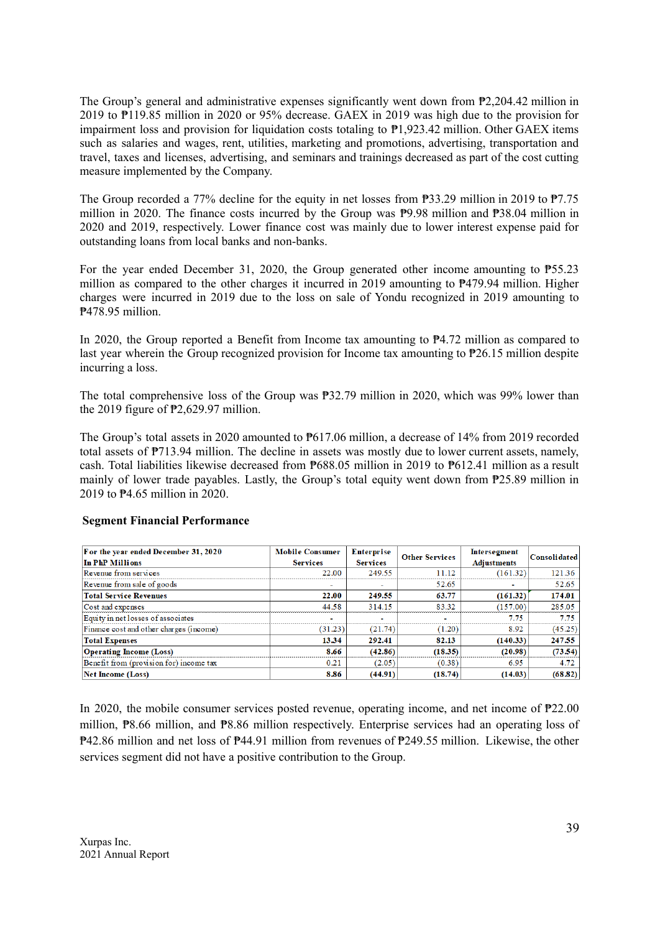The Group's general and administrative expenses significantly went down from  $\mathbb{P}2,204.42$  million in 2019 to ₱119.85 million in 2020 or 95% decrease. GAEX in 2019 was high due to the provision for impairment loss and provision for liquidation costs totaling to  $P1.923.42$  million. Other GAEX items such as salaries and wages, rent, utilities, marketing and promotions, advertising, transportation and travel, taxes and licenses, advertising, and seminars and trainings decreased as part of the cost cutting measure implemented by the Company.

The Group recorded a 77% decline for the equity in net losses from ₱33.29 million in 2019 to ₱7.75 million in 2020. The finance costs incurred by the Group was ₱9.98 million and ₱38.04 million in 2020 and 2019, respectively. Lower finance cost was mainly due to lower interest expense paid for outstanding loans from local banks and non-banks.

For the year ended December 31, 2020, the Group generated other income amounting to ₱55.23 million as compared to the other charges it incurred in 2019 amounting to ₱479.94 million. Higher charges were incurred in 2019 due to the loss on sale of Yondu recognized in 2019 amounting to ₱478.95 million.

In 2020, the Group reported a Benefit from Income tax amounting to ₱4.72 million as compared to last year wherein the Group recognized provision for Income tax amounting to ₱26.15 million despite incurring a loss.

The total comprehensive loss of the Group was ₱32.79 million in 2020, which was 99% lower than the 2019 figure of ₱2,629.97 million.

The Group's total assets in 2020 amounted to  $P617.06$  million, a decrease of 14% from 2019 recorded total assets of ₱713.94 million. The decline in assets was mostly due to lower current assets, namely, cash. Total liabilities likewise decreased from ₱688.05 million in 2019 to ₱612.41 million as a result mainly of lower trade payables. Lastly, the Group's total equity went down from ₱25.89 million in 2019 to ₱4.65 million in 2020.

| For the year ended December 31, 2020<br>In PhP Millions | <b>Mobile Consumer</b><br><b>Services</b> | Enterprise<br><b>Services</b> | <b>Other Services</b> | Intersegment<br><b>Adjustments</b> | <b>Consolidated</b> |
|---------------------------------------------------------|-------------------------------------------|-------------------------------|-----------------------|------------------------------------|---------------------|
| Revenue from services                                   | 22.00                                     | 249.55                        | 11.12                 | (161.32)                           | 121.36              |
| Revenue from sale of goods                              | ۰                                         |                               | 52.65                 |                                    | 52.65               |
| <b>Total Service Revenues</b>                           | 22.00                                     | 249.55                        | 63.77                 | (161.32)                           | 174.01              |
| Cost and expenses                                       | 44.58                                     | 314.15                        | 83.32                 | (157.00)                           | 285.05              |
| Equity in net losses of associates                      | $\blacksquare$                            | -                             | $\sim$                | 7.75                               | 7.75                |
| Finance cost and other charges (income)                 | (31.23)                                   | (21.74)                       | (1.20)                | 8.92                               | (45.25)             |
| <b>Total Expenses</b>                                   | 13.34                                     | 292.41                        | 82.13                 | (140.33)                           | 247.55              |
| <b>Operating Income (Loss)</b>                          | 8.66                                      | (42.86)                       | (18.35)               | (20.98)                            | (73.54)             |
| Benefit from (provision for) income tax                 | 0.21                                      | (2.05)                        | (0.38)                | 6.95                               | 4.72                |
| Net Income (Loss)                                       | 8.86                                      | (44.91)                       | (18.74)               | (14.03)                            | (68.82)             |

#### **Segment Financial Performance**

In 2020, the mobile consumer services posted revenue, operating income, and net income of ₱22.00 million, ₱8.66 million, and ₱8.86 million respectively. Enterprise services had an operating loss of ₱42.86 million and net loss of ₱44.91 million from revenues of ₱249.55 million. Likewise, the other services segment did not have a positive contribution to the Group.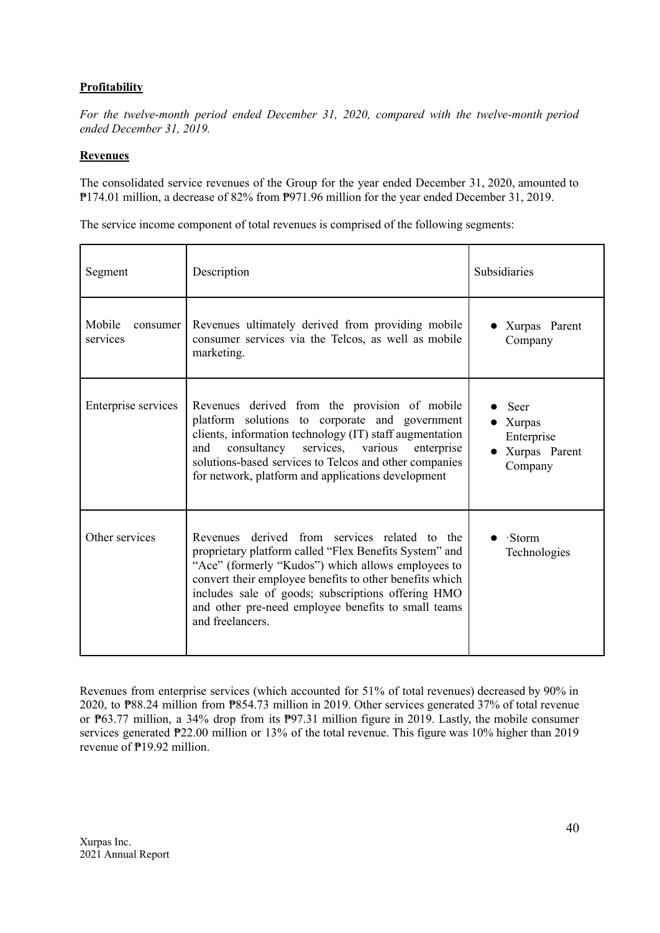## **Profitability**

*For the twelve-month period ended December 31, 2020, compared with the twelve-month period ended December 31, 2019.*

#### **Revenues**

The consolidated service revenues of the Group for the year ended December 31, 2020, amounted to ₱174.01 million, a decrease of 82% from ₱971.96 million for the year ended December 31, 2019.

The service income component of total revenues is comprised of the following segments:

| Segment                        | Description                                                                                                                                                                                                                                                                                                                                               | Subsidiaries                                               |
|--------------------------------|-----------------------------------------------------------------------------------------------------------------------------------------------------------------------------------------------------------------------------------------------------------------------------------------------------------------------------------------------------------|------------------------------------------------------------|
| Mobile<br>consumer<br>services | Revenues ultimately derived from providing mobile<br>consumer services via the Telcos, as well as mobile<br>marketing.                                                                                                                                                                                                                                    | • Xurpas Parent<br>Company                                 |
| Enterprise services            | Revenues derived from the provision of mobile<br>platform solutions to corporate and government<br>clients, information technology (IT) staff augmentation<br>consultancy<br>and<br>services, various<br>enterprise<br>solutions-based services to Telcos and other companies<br>for network, platform and applications development                       | Seer<br>Xurpas<br>Enterprise<br>• Xurpas Parent<br>Company |
| Other services                 | Revenues derived from services related to the<br>proprietary platform called "Flex Benefits System" and<br>"Ace" (formerly "Kudos") which allows employees to<br>convert their employee benefits to other benefits which<br>includes sale of goods; subscriptions offering HMO<br>and other pre-need employee benefits to small teams<br>and freelancers. | $\cdot$ Storm<br>Technologies                              |

Revenues from enterprise services (which accounted for 51% of total revenues) decreased by 90% in 2020, to ₱88.24 million from ₱854.73 million in 2019. Other services generated 37% of total revenue or ₱63.77 million, a 34% drop from its ₱97.31 million figure in 2019. Lastly, the mobile consumer services generated  $P22.00$  million or 13% of the total revenue. This figure was 10% higher than 2019 revenue of ₱19.92 million.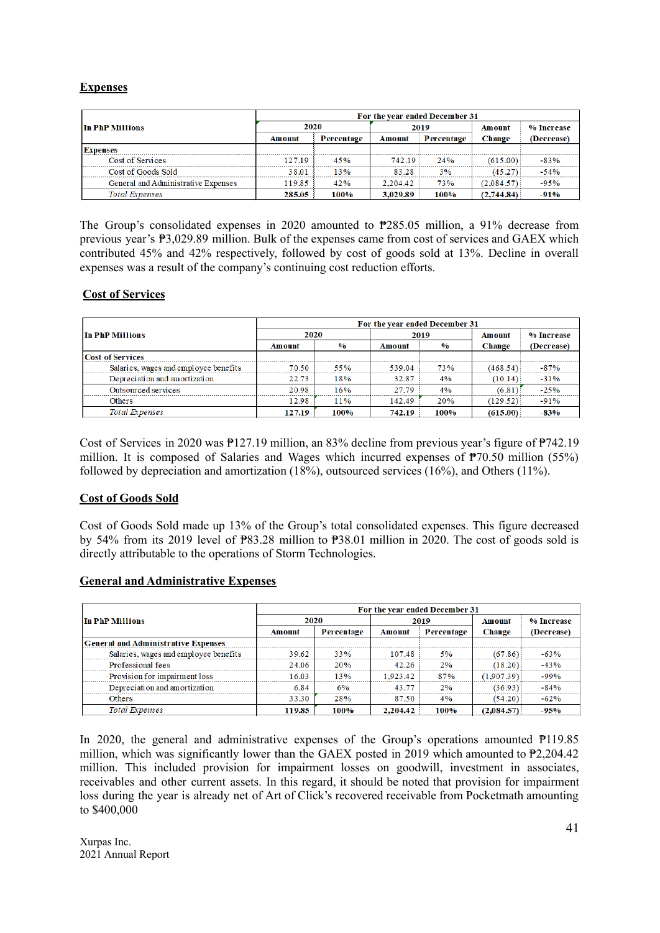## **Expenses**

|                                     | For the year ended December 31 |            |          |            |               |            |  |
|-------------------------------------|--------------------------------|------------|----------|------------|---------------|------------|--|
| In PhP Millions                     | 2020                           |            | 2019     |            | Amount        | % Increase |  |
|                                     | Amount                         | Percentage | Amount   | Percentage | <b>Change</b> | (Decrease) |  |
| <b>Expenses</b>                     |                                |            |          |            |               |            |  |
| Cost of Services                    | 127.19                         | 45%        | 742.19   | 24%        | (615.00)      | $-83%$     |  |
| Cost of Goods Sold                  | 38.01                          | 13%        | 83.28    | 3%         | (45.27)       | $-54%$     |  |
| General and Administrative Expenses | 119.85                         | 42%        | 2,204.42 | 73%        | (2.084.57)    | $-95%$     |  |
| <b>Total Expenses</b>               | 285.05                         | 100%       | 3,029.89 | 100%       | (2,744.84)    | $-91%$     |  |

The Group's consolidated expenses in 2020 amounted to ₱285.05 million, a 91% decrease from previous year's ₱3,029.89 million. Bulk of the expenses came from cost of services and GAEX which contributed 45% and 42% respectively, followed by cost of goods sold at 13%. Decline in overall expenses was a result of the company's continuing cost reduction efforts.

#### **Cost of Services**

|                                       | For the year ended December 31 |               |        |               |               |            |  |
|---------------------------------------|--------------------------------|---------------|--------|---------------|---------------|------------|--|
| In PhP Millions                       | 2020                           |               | 2019   |               | <b>Amount</b> | % Increase |  |
|                                       | <b>Amount</b>                  | $\frac{0}{0}$ | Amount | $\frac{0}{0}$ | <b>Change</b> | (Decrease) |  |
| <b>Cost of Services</b>               |                                |               |        |               |               |            |  |
| Salaries, wages and employee benefits | 70.50                          | 55%           | 539.04 | 73%           | (468.54)      | $-87%$     |  |
| Depreciation and amortization         | 22.73                          | 18%           | 32.87  | 4%            | (10.14)       | $-31%$     |  |
| Outsourced services                   | 20.98                          | 16%           | 27.79  | 4%            | (6.81)        | $-25%$     |  |
| Others                                | 12.98                          | 11%           | 142.49 | 20%           | (129.52)      | $-91%$     |  |
| <b>Total Expenses</b>                 | 127.19                         | 100%          | 742.19 | 100%          | (615.00)      | $-83%$     |  |

Cost of Services in 2020 was ₱127.19 million, an 83% decline from previous year's figure of ₱742.19 million. It is composed of Salaries and Wages which incurred expenses of ₱70.50 million (55%) followed by depreciation and amortization (18%), outsourced services (16%), and Others (11%).

#### **Cost of Goods Sold**

Cost of Goods Sold made up 13% of the Group's total consolidated expenses. This figure decreased by 54% from its 2019 level of ₱83.28 million to ₱38.01 million in 2020. The cost of goods sold is directly attributable to the operations of Storm Technologies.

## **General and Administrative Expenses**

|                                            | For the year ended December 31 |            |          |            |               |            |  |
|--------------------------------------------|--------------------------------|------------|----------|------------|---------------|------------|--|
| In PhP Millions                            | 2020                           |            | 2019     |            | <b>Amount</b> | % Increase |  |
|                                            | Amount                         | Percentage | Amount   | Percentage | <b>Change</b> | (Decrease) |  |
| <b>General and Administrative Expenses</b> |                                |            |          |            |               |            |  |
| Salaries, wages and employee benefits      | 39.62                          | 33%        | 107.48   | 5%         | (67.86)       | $-63%$     |  |
| Professional fees                          | 24.06                          | 20%        | 42.26    | 2%         | (18.20)       | $-43%$     |  |
| Provision for impairment loss              | 16.03                          | 13%        | 1,923.42 | 87%        | (1.907.39)    | $-99%$     |  |
| Depreciation and amortization              | 6.84                           | 6%         | 43.77    | 2%         | (36.93)       | $-84%$     |  |
| <b>Others</b>                              | 33.30                          | 28%        | 87.50    | 4%         | (54.20)       | $-62%$     |  |
| <b>Total Expenses</b>                      | 119.85                         | 100%       | 2,204.42 | 100%       | (2,084.57)    | $-95%$     |  |

In 2020, the general and administrative expenses of the Group's operations amounted ₱119.85 million, which was significantly lower than the GAEX posted in 2019 which amounted to ₱2,204.42 million. This included provision for impairment losses on goodwill, investment in associates, receivables and other current assets. In this regard, it should be noted that provision for impairment loss during the year is already net of Art of Click's recovered receivable from Pocketmath amounting to \$400,000

Xurpas Inc. 2021 Annual Report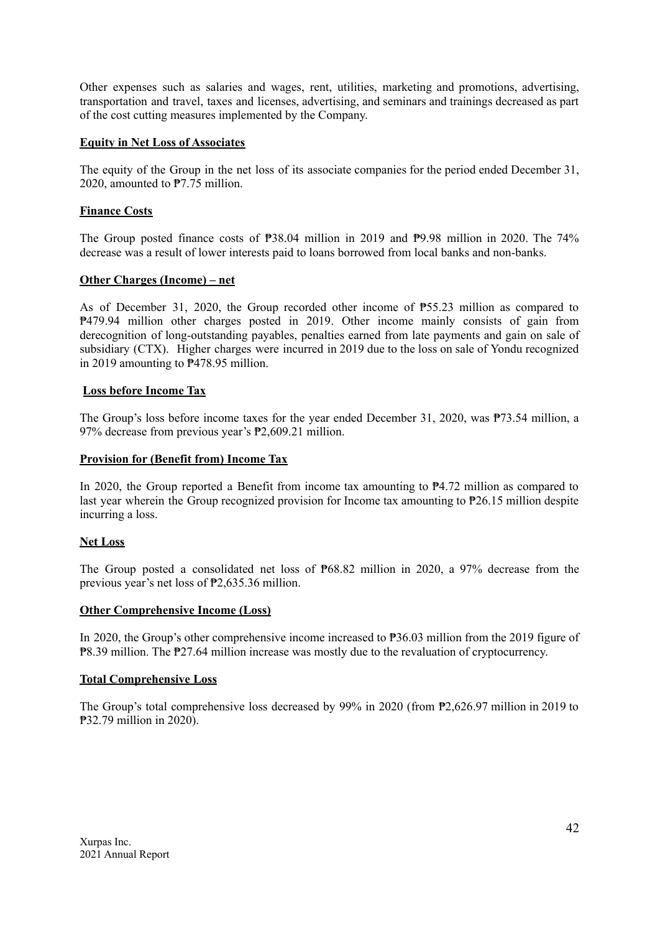Other expenses such as salaries and wages, rent, utilities, marketing and promotions, advertising, transportation and travel, taxes and licenses, advertising, and seminars and trainings decreased as part of the cost cutting measures implemented by the Company.

#### **Equity in Net Loss of Associates**

The equity of the Group in the net loss of its associate companies for the period ended December 31, 2020, amounted to ₱7.75 million.

## **Finance Costs**

The Group posted finance costs of ₱38.04 million in 2019 and ₱9.98 million in 2020. The 74% decrease was a result of lower interests paid to loans borrowed from local banks and non-banks.

### **Other Charges (Income) – net**

As of December 31, 2020, the Group recorded other income of ₱55.23 million as compared to ₱479.94 million other charges posted in 2019. Other income mainly consists of gain from derecognition of long-outstanding payables, penalties earned from late payments and gain on sale of subsidiary (CTX). Higher charges were incurred in 2019 due to the loss on sale of Yondu recognized in 2019 amounting to ₱478.95 million.

### **Loss before Income Tax**

The Group's loss before income taxes for the year ended December 31, 2020, was ₱73.54 million, a 97% decrease from previous year's ₱2,609.21 million.

#### **Provision for (Benefit from) Income Tax**

In 2020, the Group reported a Benefit from income tax amounting to ₱4.72 million as compared to last year wherein the Group recognized provision for Income tax amounting to ₱26.15 million despite incurring a loss.

#### **Net Loss**

The Group posted a consolidated net loss of ₱68.82 million in 2020, a 97% decrease from the previous year's net loss of ₱2,635.36 million.

#### **Other Comprehensive Income (Loss)**

In 2020, the Group's other comprehensive income increased to  $P36.03$  million from the 2019 figure of ₱8.39 million. The ₱27.64 million increase was mostly due to the revaluation of cryptocurrency.

## **Total Comprehensive Loss**

The Group's total comprehensive loss decreased by 99% in 2020 (from ₱2,626.97 million in 2019 to ₱32.79 million in 2020).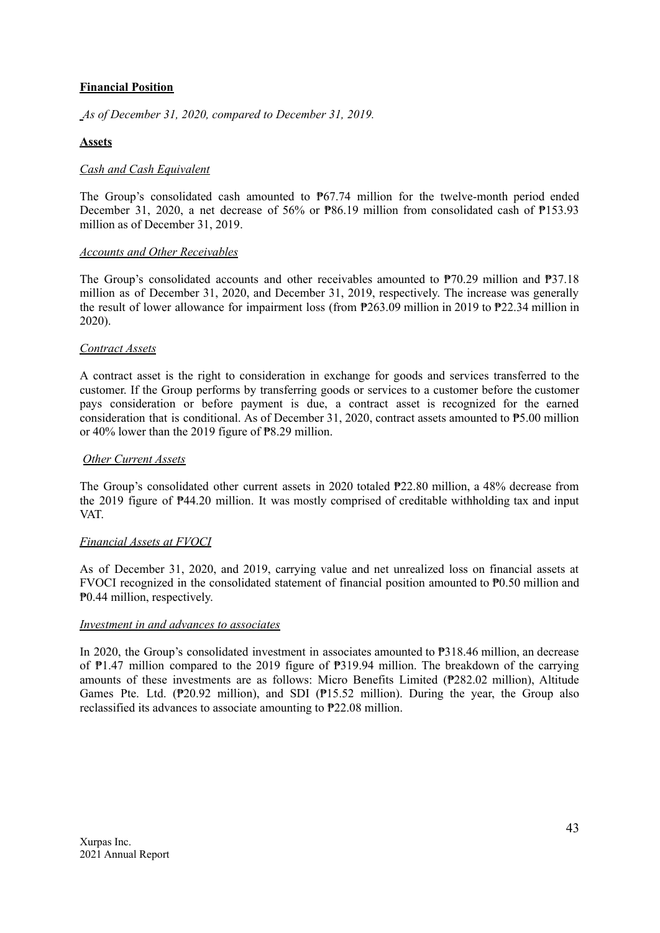## **Financial Position**

*As of December 31, 2020, compared to December 31, 2019.*

### **Assets**

#### *Cash and Cash Equivalent*

The Group's consolidated cash amounted to  $P67.74$  million for the twelve-month period ended December 31, 2020, a net decrease of 56% or ₱86.19 million from consolidated cash of ₱153.93 million as of December 31, 2019.

#### *Accounts and Other Receivables*

The Group's consolidated accounts and other receivables amounted to ₱70.29 million and ₱37.18 million as of December 31, 2020, and December 31, 2019, respectively. The increase was generally the result of lower allowance for impairment loss (from ₱263.09 million in 2019 to ₱22.34 million in 2020).

#### *Contract Assets*

A contract asset is the right to consideration in exchange for goods and services transferred to the customer. If the Group performs by transferring goods or services to a customer before the customer pays consideration or before payment is due, a contract asset is recognized for the earned consideration that is conditional. As of December 31, 2020, contract assets amounted to ₱5.00 million or 40% lower than the 2019 figure of ₱8.29 million.

#### *Other Current Assets*

The Group's consolidated other current assets in 2020 totaled ₱22.80 million, a 48% decrease from the 2019 figure of ₱44.20 million. It was mostly comprised of creditable withholding tax and input VAT.

#### *Financial Assets at FVOCI*

As of December 31, 2020, and 2019, carrying value and net unrealized loss on financial assets at FVOCI recognized in the consolidated statement of financial position amounted to ₱0.50 million and ₱0.44 million, respectively.

#### *Investment in and advances to associates*

In 2020, the Group's consolidated investment in associates amounted to ₱318.46 million, an decrease of ₱1.47 million compared to the 2019 figure of ₱319.94 million. The breakdown of the carrying amounts of these investments are as follows: Micro Benefits Limited (₱282.02 million), Altitude Games Pte. Ltd. ( $P$ 20.92 million), and SDI ( $P$ 15.52 million). During the year, the Group also reclassified its advances to associate amounting to ₱22.08 million.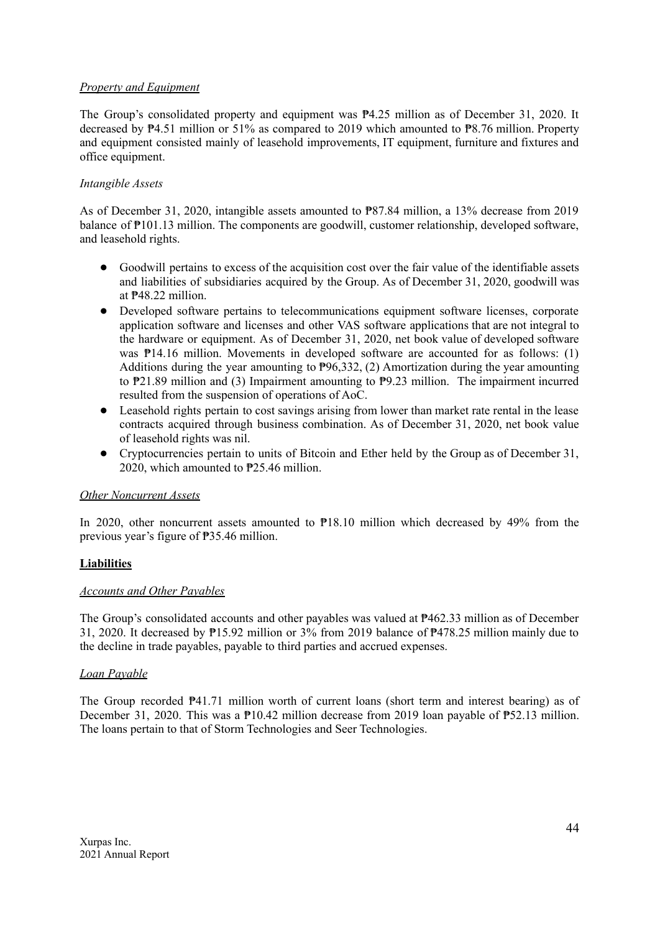## *Property and Equipment*

The Group's consolidated property and equipment was ₱4.25 million as of December 31, 2020. It decreased by ₱4.51 million or 51% as compared to 2019 which amounted to ₱8.76 million. Property and equipment consisted mainly of leasehold improvements. IT equipment, furniture and fixtures and office equipment.

### *Intangible Assets*

As of December 31, 2020, intangible assets amounted to ₱87.84 million, a 13% decrease from 2019 balance of ₱101.13 million. The components are goodwill, customer relationship, developed software, and leasehold rights.

- Goodwill pertains to excess of the acquisition cost over the fair value of the identifiable assets and liabilities of subsidiaries acquired by the Group. As of December 31, 2020, goodwill was at ₱48.22 million.
- Developed software pertains to telecommunications equipment software licenses, corporate application software and licenses and other VAS software applications that are not integral to the hardware or equipment. As of December 31, 2020, net book value of developed software was  $P14.16$  million. Movements in developed software are accounted for as follows: (1) Additions during the year amounting to ₱96,332, (2) Amortization during the year amounting to ₱21.89 million and (3) Impairment amounting to ₱9.23 million. The impairment incurred resulted from the suspension of operations of AoC.
- Leasehold rights pertain to cost savings arising from lower than market rate rental in the lease contracts acquired through business combination. As of December 31, 2020, net book value of leasehold rights was nil.
- Cryptocurrencies pertain to units of Bitcoin and Ether held by the Group as of December 31, 2020, which amounted to ₱25.46 million.

#### *Other Noncurrent Assets*

In 2020, other noncurrent assets amounted to  $P18.10$  million which decreased by 49% from the previous year's figure of ₱35.46 million.

#### **Liabilities**

#### *Accounts and Other Payables*

The Group's consolidated accounts and other payables was valued at ₱462.33 million as of December 31, 2020. It decreased by ₱15.92 million or 3% from 2019 balance of ₱478.25 million mainly due to the decline in trade payables, payable to third parties and accrued expenses.

#### *Loan Payable*

The Group recorded  $P$ 41.71 million worth of current loans (short term and interest bearing) as of December 31, 2020. This was a  $\mathbb{P}10.42$  million decrease from 2019 loan payable of  $\mathbb{P}52.13$  million. The loans pertain to that of Storm Technologies and Seer Technologies.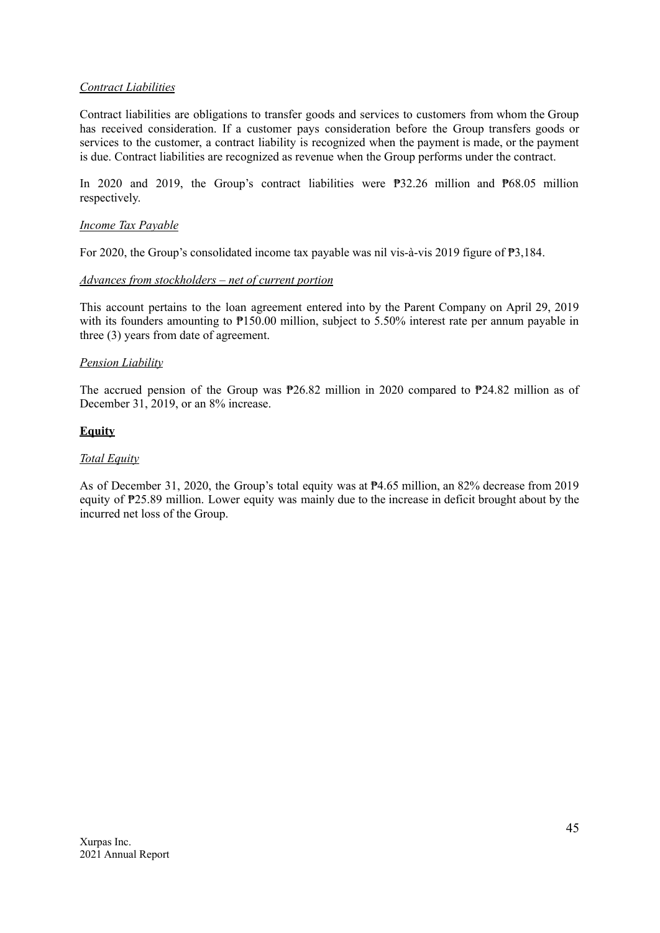## *Contract Liabilities*

Contract liabilities are obligations to transfer goods and services to customers from whom the Group has received consideration. If a customer pays consideration before the Group transfers goods or services to the customer, a contract liability is recognized when the payment is made, or the payment is due. Contract liabilities are recognized as revenue when the Group performs under the contract.

In 2020 and 2019, the Group's contract liabilities were ₱32.26 million and ₱68.05 million respectively.

#### *Income Tax Payable*

For 2020, the Group's consolidated income tax payable was nil vis-à-vis 2019 figure of ₱3,184.

#### *Advances from stockholders – net of current portion*

This account pertains to the loan agreement entered into by the Parent Company on April 29, 2019 with its founders amounting to  $P150.00$  million, subject to 5.50% interest rate per annum payable in three (3) years from date of agreement.

#### *Pension Liability*

The accrued pension of the Group was ₱26.82 million in 2020 compared to ₱24.82 million as of December 31, 2019, or an 8% increase.

#### **Equity**

#### *Total Equity*

As of December 31, 2020, the Group's total equity was at ₱4.65 million, an 82% decrease from 2019 equity of ₱25.89 million. Lower equity was mainly due to the increase in deficit brought about by the incurred net loss of the Group.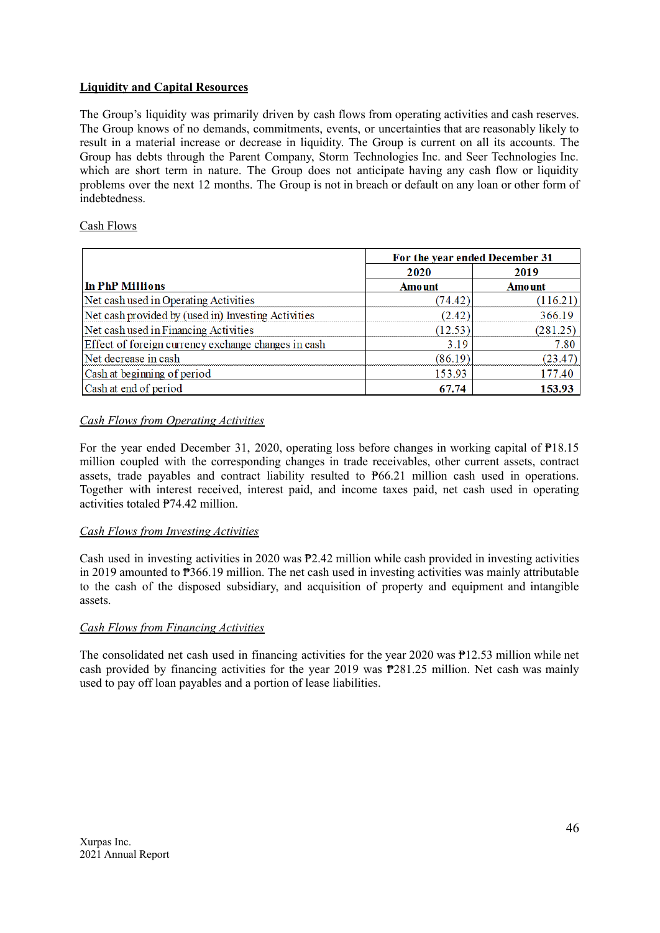## **Liquidity and Capital Resources**

The Group's liquidity was primarily driven by cash flows from operating activities and cash reserves. The Group knows of no demands, commitments, events, or uncertainties that are reasonably likely to result in a material increase or decrease in liquidity. The Group is current on all its accounts. The Group has debts through the Parent Company, Storm Technologies Inc. and Seer Technologies Inc. which are short term in nature. The Group does not anticipate having any cash flow or liquidity problems over the next 12 months. The Group is not in breach or default on any loan or other form of indebtedness.

## Cash Flows

|                                                     | For the year ended December 31 |               |
|-----------------------------------------------------|--------------------------------|---------------|
|                                                     | 2020                           | 2019          |
| In PhP Millions                                     | <b>Amount</b>                  | <b>Amount</b> |
| Net cash used in Operating Activities               | (74.42)                        | (116.21)      |
| Net cash provided by (used in) Investing Activities | (2.42)                         | 366.19        |
| Net cash used in Financing Activities               | (12.53)                        | (281.25)      |
| Effect of foreign currency exchange changes in cash | 3.19                           | 7.80          |
| Net decrease in cash                                | (86.19)                        | (23.47)       |
| Cash at beginning of period                         | 153.93                         | 177.40        |
| Cash at end of period                               | 67.74                          | 153.93        |

## *Cash Flows from Operating Activities*

For the year ended December 31, 2020, operating loss before changes in working capital of ₱18.15 million coupled with the corresponding changes in trade receivables, other current assets, contract assets, trade payables and contract liability resulted to ₱66.21 million cash used in operations. Together with interest received, interest paid, and income taxes paid, net cash used in operating activities totaled ₱74.42 million.

## *Cash Flows from Investing Activities*

Cash used in investing activities in 2020 was ₱2.42 million while cash provided in investing activities in 2019 amounted to ₱366.19 million. The net cash used in investing activities was mainly attributable to the cash of the disposed subsidiary, and acquisition of property and equipment and intangible assets.

## *Cash Flows from Financing Activities*

The consolidated net cash used in financing activities for the year 2020 was ₱12.53 million while net cash provided by financing activities for the year 2019 was  $P281.25$  million. Net cash was mainly used to pay off loan payables and a portion of lease liabilities.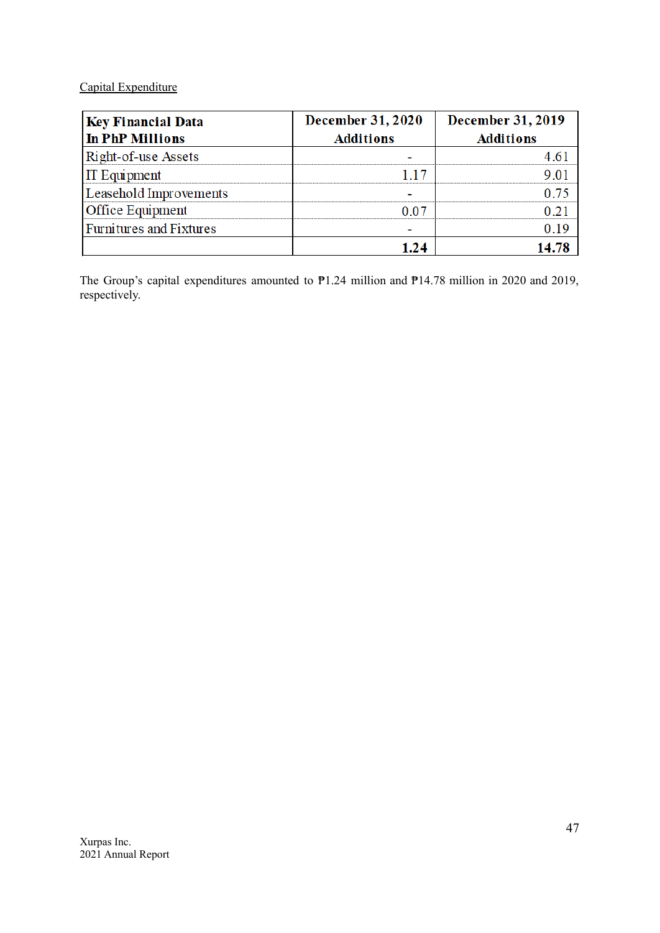## Capital Expenditure

| <b>Key Financial Data</b>      | <b>December 31, 2020</b> | <b>December 31, 2019</b> |
|--------------------------------|--------------------------|--------------------------|
| <b>In PhP Millions</b>         | <b>Additions</b>         | <b>Additions</b>         |
| Right-of-use Assets            |                          |                          |
| <b>IT Equipment</b>            |                          |                          |
| Leasehold Improvements         |                          |                          |
| <b>Office Equipment</b>        | 1 A 7                    |                          |
| <b>Furnitures and Fixtures</b> |                          |                          |
|                                |                          |                          |

The Group's capital expenditures amounted to  $P1.24$  million and  $P14.78$  million in 2020 and 2019, respectively.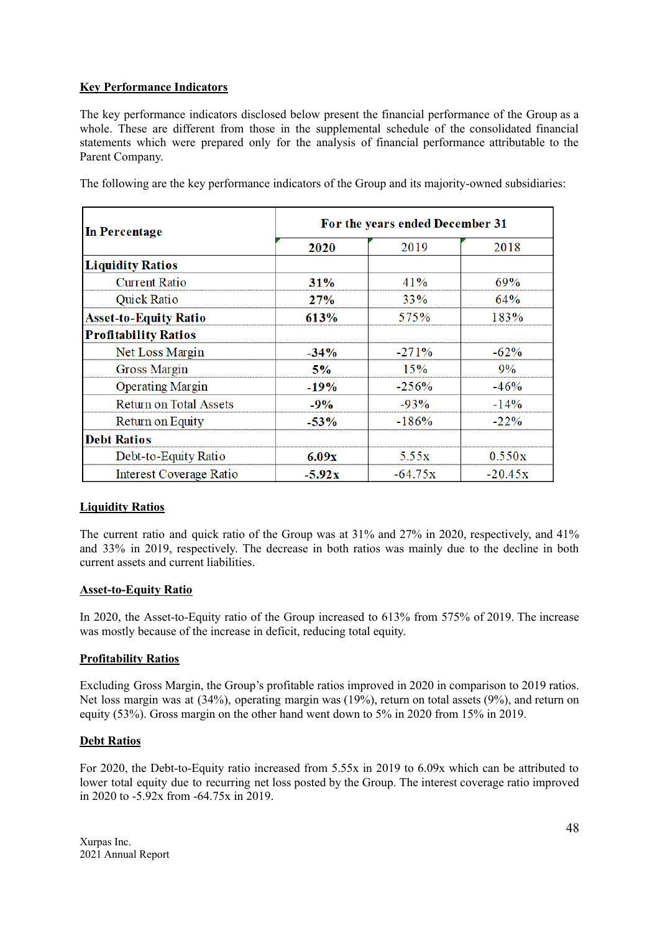## **Key Performance Indicators**

The key performance indicators disclosed below present the financial performance of the Group as a whole. These are different from those in the supplemental schedule of the consolidated financial statements which were prepared only for the analysis of financial performance attributable to the Parent Company.

| In Percentage                  | For the years ended December 31 |           |           |  |  |
|--------------------------------|---------------------------------|-----------|-----------|--|--|
|                                | 2020                            | 2019      | 2018      |  |  |
| <b>Liquidity Ratios</b>        |                                 |           |           |  |  |
| <b>Current Ratio</b>           | 31%                             | 41%       | 69%       |  |  |
| Quick Ratio                    | 27%                             | 33%       | $64\%$    |  |  |
| <b>Asset-to-Equity Ratio</b>   | 613%                            | 575%      | 183%      |  |  |
| <b>Profitability Ratios</b>    |                                 |           |           |  |  |
| Net Loss Margin                | $-34%$                          | $-271%$   | $-62%$    |  |  |
| <b>Gross Margin</b>            | 5%                              | 15%       | 9%        |  |  |
| <b>Operating Margin</b>        | $-19%$                          | $-256%$   | $-46%$    |  |  |
| <b>Return on Total Assets</b>  | $-9%$                           | $-93%$    | $-14%$    |  |  |
| Return on Equity               | $-53%$                          | $-186%$   | $-22%$    |  |  |
| <b>Debt Ratios</b>             |                                 |           |           |  |  |
| Debt-to-Equity Ratio           | 6.09x                           | 5.55x     | 0.550x    |  |  |
| <b>Interest Coverage Ratio</b> | $-5.92x$                        | $-64.75x$ | $-20.45x$ |  |  |

The following are the key performance indicators of the Group and its majority-owned subsidiaries:

## **Liquidity Ratios**

The current ratio and quick ratio of the Group was at 31% and 27% in 2020, respectively, and 41% and 33% in 2019, respectively. The decrease in both ratios was mainly due to the decline in both current assets and current liabilities.

#### **Asset-to-Equity Ratio**

In 2020, the Asset-to-Equity ratio of the Group increased to 613% from 575% of 2019. The increase was mostly because of the increase in deficit, reducing total equity.

## **Profitability Ratios**

Excluding Gross Margin, the Group's profitable ratios improved in 2020 in comparison to 2019 ratios. Net loss margin was at (34%), operating margin was (19%), return on total assets (9%), and return on equity (53%). Gross margin on the other hand went down to 5% in 2020 from 15% in 2019.

#### **Debt Ratios**

For 2020, the Debt-to-Equity ratio increased from 5.55x in 2019 to 6.09x which can be attributed to lower total equity due to recurring net loss posted by the Group. The interest coverage ratio improved in 2020 to  $-5.92x$  from  $-64.75x$  in 2019.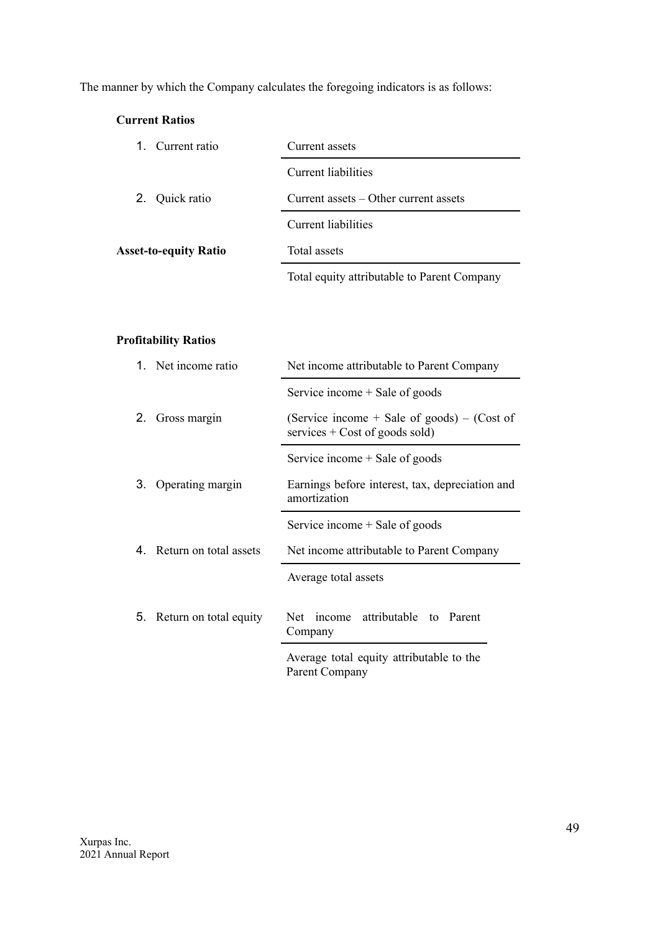The manner by which the Company calculates the foregoing indicators is as follows:

## **Current Ratios**

| 1. Current ratio             | Current assets                              |  |  |  |  |
|------------------------------|---------------------------------------------|--|--|--|--|
|                              | Current liabilities                         |  |  |  |  |
| 2. Quick ratio               | Current assets – Other current assets       |  |  |  |  |
|                              | Current liabilities                         |  |  |  |  |
| <b>Asset-to-equity Ratio</b> | Total assets                                |  |  |  |  |
|                              | Total equity attributable to Parent Company |  |  |  |  |

## **Profitability Ratios**

|    | 1. Net income ratio       | Net income attributable to Parent Company                                         |  |  |
|----|---------------------------|-----------------------------------------------------------------------------------|--|--|
|    |                           | Service income + Sale of goods                                                    |  |  |
| 2. | Gross margin              | (Service income $+$ Sale of goods) – (Cost of<br>services $+$ Cost of goods sold) |  |  |
|    |                           | Service income + Sale of goods                                                    |  |  |
| 3. | Operating margin          | Earnings before interest, tax, depreciation and<br>amortization                   |  |  |
|    |                           | Service income + Sale of goods                                                    |  |  |
|    | 4. Return on total assets | Net income attributable to Parent Company                                         |  |  |
|    |                           | Average total assets                                                              |  |  |
|    | 5. Return on total equity | income attributable to Parent<br><b>Net</b><br>Company                            |  |  |
|    |                           | Average total equity attributable to the<br>Parent Company                        |  |  |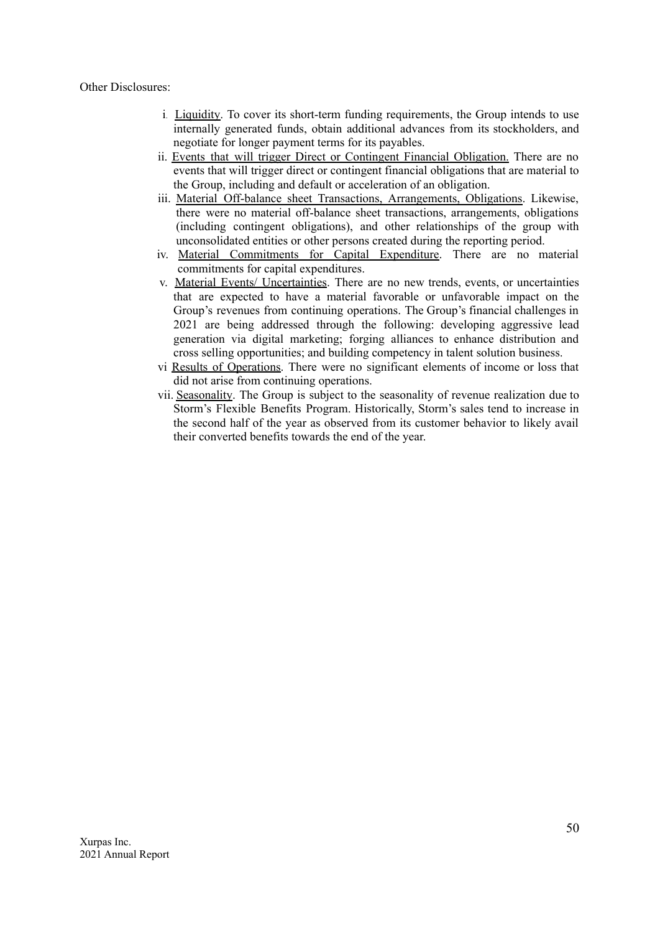#### Other Disclosures:

- i. Liquidity. To cover its short-term funding requirements, the Group intends to use internally generated funds, obtain additional advances from its stockholders, and negotiate for longer payment terms for its payables.
- ii. Events that will trigger Direct or Contingent Financial Obligation. There are no events that will trigger direct or contingent financial obligations that are material to the Group, including and default or acceleration of an obligation.
- iii. Material Off-balance sheet Transactions, Arrangements, Obligations. Likewise, there were no material off-balance sheet transactions, arrangements, obligations (including contingent obligations), and other relationships of the group with unconsolidated entities or other persons created during the reporting period.
- iv. Material Commitments for Capital Expenditure. There are no material commitments for capital expenditures.
- v. Material Events/ Uncertainties. There are no new trends, events, or uncertainties that are expected to have a material favorable or unfavorable impact on the Group's revenues from continuing operations. The Group's financial challenges in 2021 are being addressed through the following: developing aggressive lead generation via digital marketing; forging alliances to enhance distribution and cross selling opportunities; and building competency in talent solution business.
- vi Results of Operations. There were no significant elements of income or loss that did not arise from continuing operations.
- vii. Seasonality. The Group is subject to the seasonality of revenue realization due to Storm's Flexible Benefits Program. Historically, Storm's sales tend to increase in the second half of the year as observed from its customer behavior to likely avail their converted benefits towards the end of the year.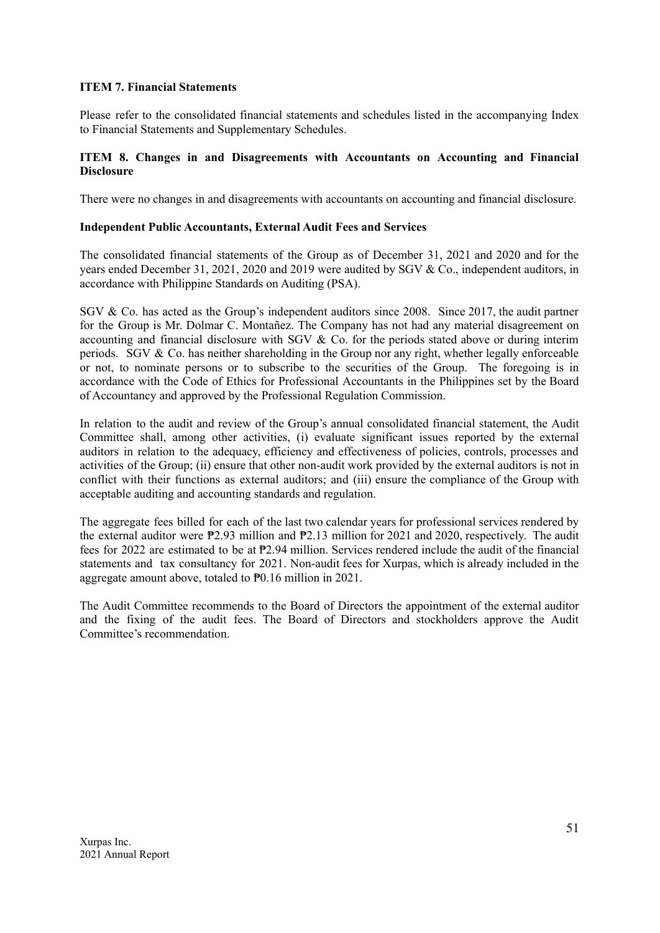### **ITEM 7. Financial Statements**

Please refer to the consolidated financial statements and schedules listed in the accompanying Index to Financial Statements and Supplementary Schedules.

### **ITEM 8. Changes in and Disagreements with Accountants on Accounting and Financial Disclosure**

There were no changes in and disagreements with accountants on accounting and financial disclosure.

#### **Independent Public Accountants, External Audit Fees and Services**

The consolidated financial statements of the Group as of December 31, 2021 and 2020 and for the years ended December 31, 2021, 2020 and 2019 were audited by SGV & Co., independent auditors, in accordance with Philippine Standards on Auditing (PSA).

SGV & Co. has acted as the Group's independent auditors since 2008. Since 2017, the audit partner for the Group is Mr. Dolmar C. Montañez. The Company has not had any material disagreement on accounting and financial disclosure with SGV & Co. for the periods stated above or during interim periods. SGV & Co. has neither shareholding in the Group nor any right, whether legally enforceable or not, to nominate persons or to subscribe to the securities of the Group. The foregoing is in accordance with the Code of Ethics for Professional Accountants in the Philippines set by the Board of Accountancy and approved by the Professional Regulation Commission.

In relation to the audit and review of the Group's annual consolidated financial statement, the Audit Committee shall, among other activities, (i) evaluate significant issues reported by the external auditors in relation to the adequacy, efficiency and effectiveness of policies, controls, processes and activities of the Group; (ii) ensure that other non-audit work provided by the external auditors is not in conflict with their functions as external auditors; and (iii) ensure the compliance of the Group with acceptable auditing and accounting standards and regulation.

The aggregate fees billed for each of the last two calendar years for professional services rendered by the external auditor were ₱2.93 million and ₱2.13 million for 2021 and 2020, respectively. The audit fees for 2022 are estimated to be at ₱2.94 million. Services rendered include the audit of the financial statements and tax consultancy for 2021. Non-audit fees for Xurpas, which is already included in the aggregate amount above, totaled to ₱0.16 million in 2021.

The Audit Committee recommends to the Board of Directors the appointment of the external auditor and the fixing of the audit fees. The Board of Directors and stockholders approve the Audit Committee's recommendation.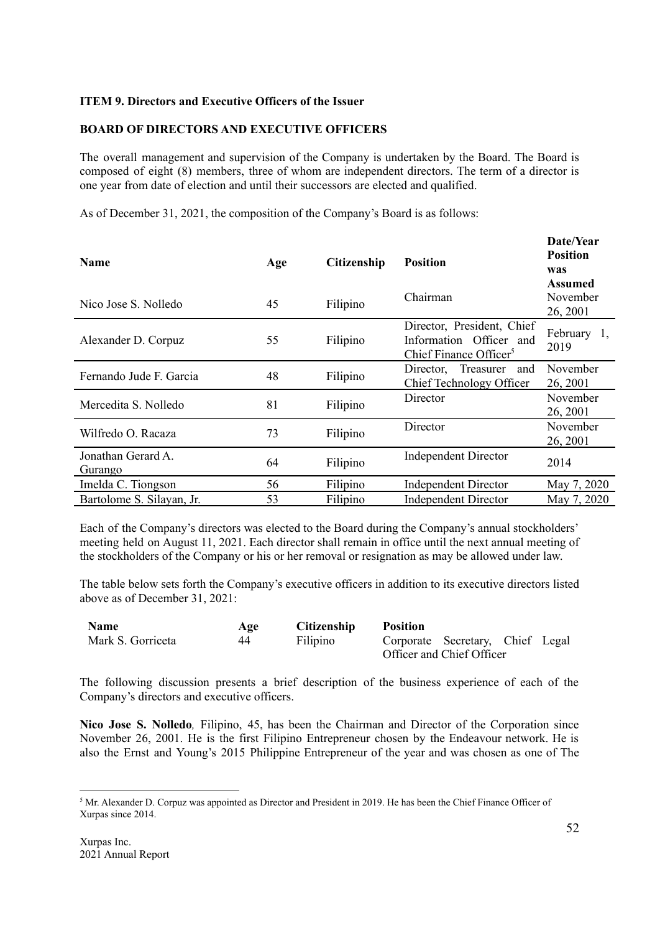## **ITEM 9. Directors and Executive Officers of the Issuer**

## **BOARD OF DIRECTORS AND EXECUTIVE OFFICERS**

The overall management and supervision of the Company is undertaken by the Board. The Board is composed of eight (8) members, three of whom are independent directors. The term of a director is one year from date of election and until their successors are elected and qualified.

As of December 31, 2021, the composition of the Company's Board is as follows:

| <b>Name</b>                   | Age | Citizenship | <b>Position</b>                                                                             | Date/Year<br><b>Position</b><br>was<br><b>Assumed</b> |
|-------------------------------|-----|-------------|---------------------------------------------------------------------------------------------|-------------------------------------------------------|
| Nico Jose S. Nolledo          | 45  | Filipino    | Chairman                                                                                    | November<br>26, 2001                                  |
| Alexander D. Corpuz           | 55  | Filipino    | Director, President, Chief<br>Information Officer and<br>Chief Finance Officer <sup>5</sup> | February 1,<br>2019                                   |
| Fernando Jude F. Garcia       | 48  | Filipino    | Treasurer<br>Director.<br>and<br>Chief Technology Officer                                   | November<br>26, 2001                                  |
| Mercedita S. Nolledo          | 81  | Filipino    | Director                                                                                    | November<br>26, 2001                                  |
| Wilfredo O. Racaza            | 73  | Filipino    | Director                                                                                    | November<br>26, 2001                                  |
| Jonathan Gerard A.<br>Gurango | 64  | Filipino    | <b>Independent Director</b>                                                                 | 2014                                                  |
| Imelda C. Tiongson            | 56  | Filipino    | <b>Independent Director</b>                                                                 | May 7, 2020                                           |
| Bartolome S. Silayan, Jr.     | 53  | Filipino    | <b>Independent Director</b>                                                                 | May 7, 2020                                           |

Each of the Company's directors was elected to the Board during the Company's annual stockholders' meeting held on August 11, 2021. Each director shall remain in office until the next annual meeting of the stockholders of the Company or his or her removal or resignation as may be allowed under law.

The table below sets forth the Company's executive officers in addition to its executive directors listed above as of December 31, 2021:

| <b>Name</b>       | Age | <b>Citizenship</b> | <b>Position</b> |                                  |  |
|-------------------|-----|--------------------|-----------------|----------------------------------|--|
| Mark S. Gorriceta | 44  | Filipino           |                 | Corporate Secretary, Chief Legal |  |
|                   |     |                    |                 | Officer and Chief Officer        |  |

The following discussion presents a brief description of the business experience of each of the Company's directors and executive officers.

**Nico Jose S. Nolledo***,* Filipino, 45, has been the Chairman and Director of the Corporation since November 26, 2001. He is the first Filipino Entrepreneur chosen by the Endeavour network. He is also the Ernst and Young's 2015 Philippine Entrepreneur of the year and was chosen as one of The

<sup>&</sup>lt;sup>5</sup> Mr. Alexander D. Corpuz was appointed as Director and President in 2019. He has been the Chief Finance Officer of Xurpas since 2014.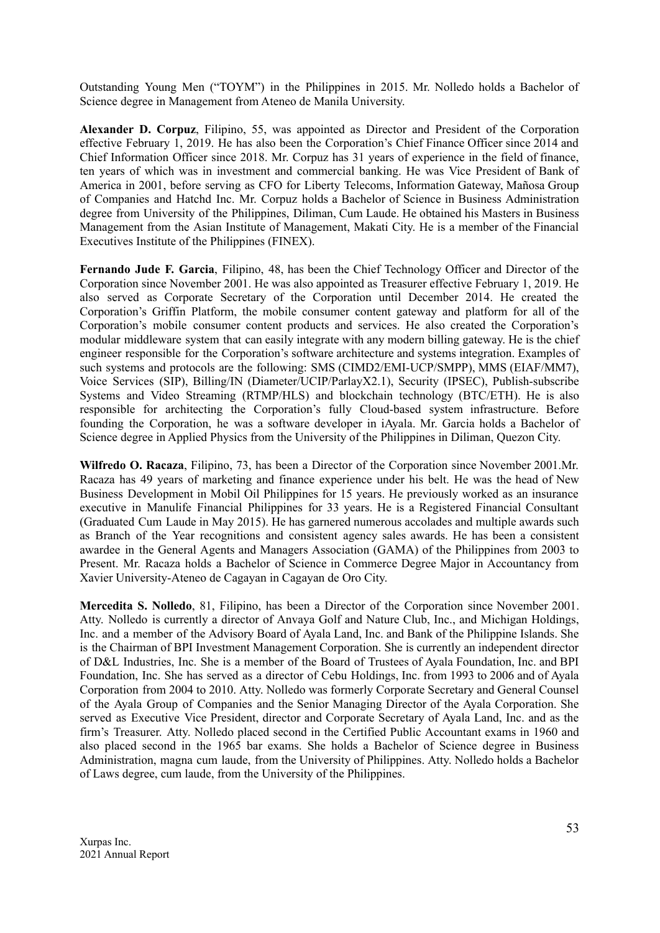Outstanding Young Men ("TOYM") in the Philippines in 2015. Mr. Nolledo holds a Bachelor of Science degree in Management from Ateneo de Manila University.

**Alexander D. Corpuz**, Filipino, 55, was appointed as Director and President of the Corporation effective February 1, 2019. He has also been the Corporation's Chief Finance Officer since 2014 and Chief Information Officer since 2018. Mr. Corpuz has 31 years of experience in the field of finance, ten years of which was in investment and commercial banking. He was Vice President of Bank of America in 2001, before serving as CFO for Liberty Telecoms, Information Gateway, Mañosa Group of Companies and Hatchd Inc. Mr. Corpuz holds a Bachelor of Science in Business Administration degree from University of the Philippines, Diliman, Cum Laude. He obtained his Masters in Business Management from the Asian Institute of Management, Makati City. He is a member of the Financial Executives Institute of the Philippines (FINEX).

**Fernando Jude F. Garcia**, Filipino, 48, has been the Chief Technology Officer and Director of the Corporation since November 2001. He was also appointed as Treasurer effective February 1, 2019. He also served as Corporate Secretary of the Corporation until December 2014. He created the Corporation's Griffin Platform, the mobile consumer content gateway and platform for all of the Corporation's mobile consumer content products and services. He also created the Corporation's modular middleware system that can easily integrate with any modern billing gateway. He is the chief engineer responsible for the Corporation's software architecture and systems integration. Examples of such systems and protocols are the following: SMS (CIMD2/EMI-UCP/SMPP), MMS (EIAF/MM7), Voice Services (SIP), Billing/IN (Diameter/UCIP/ParlayX2.1), Security (IPSEC), Publish-subscribe Systems and Video Streaming (RTMP/HLS) and blockchain technology (BTC/ETH). He is also responsible for architecting the Corporation's fully Cloud-based system infrastructure. Before founding the Corporation, he was a software developer in iAyala. Mr. Garcia holds a Bachelor of Science degree in Applied Physics from the University of the Philippines in Diliman, Quezon City.

**Wilfredo O. Racaza**, Filipino, 73, has been a Director of the Corporation since November 2001.Mr. Racaza has 49 years of marketing and finance experience under his belt. He was the head of New Business Development in Mobil Oil Philippines for 15 years. He previously worked as an insurance executive in Manulife Financial Philippines for 33 years. He is a Registered Financial Consultant (Graduated Cum Laude in May 2015). He has garnered numerous accolades and multiple awards such as Branch of the Year recognitions and consistent agency sales awards. He has been a consistent awardee in the General Agents and Managers Association (GAMA) of the Philippines from 2003 to Present. Mr. Racaza holds a Bachelor of Science in Commerce Degree Major in Accountancy from Xavier University-Ateneo de Cagayan in Cagayan de Oro City.

**Mercedita S. Nolledo**, 81, Filipino, has been a Director of the Corporation since November 2001. Atty. Nolledo is currently a director of Anvaya Golf and Nature Club, Inc., and Michigan Holdings, Inc. and a member of the Advisory Board of Ayala Land, Inc. and Bank of the Philippine Islands. She is the Chairman of BPI Investment Management Corporation. She is currently an independent director of D&L Industries, Inc. She is a member of the Board of Trustees of Ayala Foundation, Inc. and BPI Foundation, Inc. She has served as a director of Cebu Holdings, Inc. from 1993 to 2006 and of Ayala Corporation from 2004 to 2010. Atty. Nolledo was formerly Corporate Secretary and General Counsel of the Ayala Group of Companies and the Senior Managing Director of the Ayala Corporation. She served as Executive Vice President, director and Corporate Secretary of Ayala Land, Inc. and as the firm's Treasurer. Atty. Nolledo placed second in the Certified Public Accountant exams in 1960 and also placed second in the 1965 bar exams. She holds a Bachelor of Science degree in Business Administration, magna cum laude, from the University of Philippines. Atty. Nolledo holds a Bachelor of Laws degree, cum laude, from the University of the Philippines.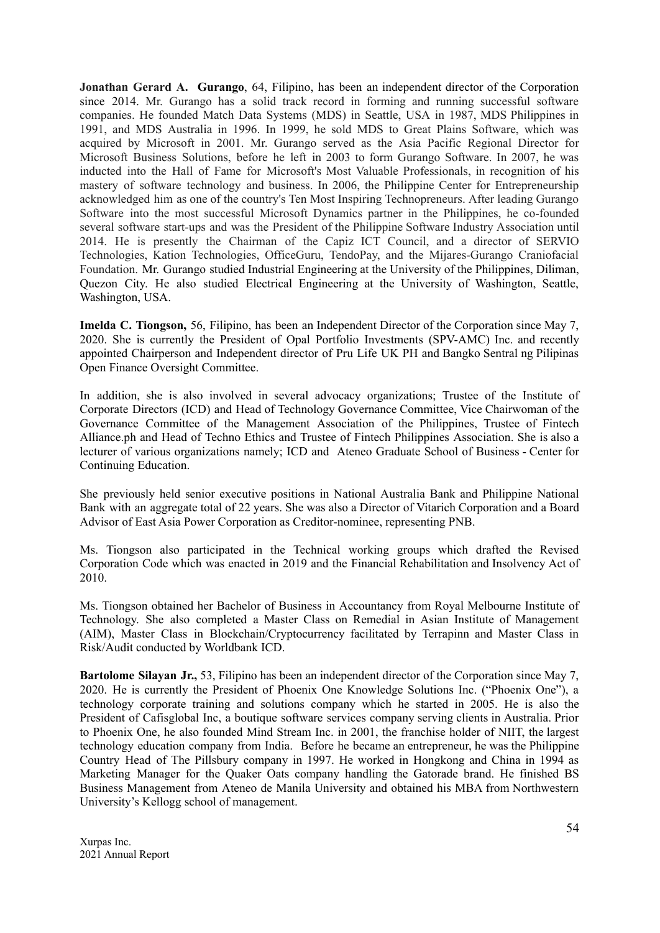**Jonathan Gerard A. Gurango**, 64, Filipino, has been an independent director of the Corporation since 2014. Mr. Gurango has a solid track record in forming and running successful software companies. He founded Match Data Systems (MDS) in Seattle, USA in 1987, MDS Philippines in 1991, and MDS Australia in 1996. In 1999, he sold MDS to Great Plains Software, which was acquired by Microsoft in 2001. Mr. Gurango served as the Asia Pacific Regional Director for Microsoft Business Solutions, before he left in 2003 to form Gurango Software. In 2007, he was inducted into the Hall of Fame for Microsoft's Most Valuable Professionals, in recognition of his mastery of software technology and business. In 2006, the Philippine Center for Entrepreneurship acknowledged him as one of the country's Ten Most Inspiring Technopreneurs. After leading Gurango Software into the most successful Microsoft Dynamics partner in the Philippines, he co-founded several software start-ups and was the President of the Philippine Software Industry Association until 2014. He is presently the Chairman of the Capiz ICT Council, and a director of SERVIO Technologies, Kation Technologies, OfficeGuru, TendoPay, and the Mijares-Gurango Craniofacial Foundation. Mr. Gurango studied Industrial Engineering at the University of the Philippines, Diliman, Quezon City. He also studied Electrical Engineering at the University of Washington, Seattle, Washington, USA.

**Imelda C. Tiongson,** 56, Filipino, has been an Independent Director of the Corporation since May 7, 2020. She is currently the President of Opal Portfolio Investments (SPV-AMC) Inc. and recently appointed Chairperson and Independent director of Pru Life UK PH and Bangko Sentral ng Pilipinas Open Finance Oversight Committee.

In addition, she is also involved in several advocacy organizations; Trustee of the Institute of Corporate Directors (ICD) and Head of Technology Governance Committee, Vice Chairwoman of the Governance Committee of the Management Association of the Philippines, Trustee of Fintech Alliance.ph and Head of Techno Ethics and Trustee of Fintech Philippines Association. She is also a lecturer of various organizations namely; ICD and Ateneo Graduate School of Business - Center for Continuing Education.

She previously held senior executive positions in National Australia Bank and Philippine National Bank with an aggregate total of 22 years. She was also a Director of Vitarich Corporation and a Board Advisor of East Asia Power Corporation as Creditor-nominee, representing PNB.

Ms. Tiongson also participated in the Technical working groups which drafted the Revised Corporation Code which was enacted in 2019 and the Financial Rehabilitation and Insolvency Act of  $2010$ .

Ms. Tiongson obtained her Bachelor of Business in Accountancy from Royal Melbourne Institute of Technology. She also completed a Master Class on Remedial in Asian Institute of Management (AIM), Master Class in Blockchain/Cryptocurrency facilitated by Terrapinn and Master Class in Risk/Audit conducted by Worldbank ICD.

**Bartolome Silayan Jr.,** 53, Filipino has been an independent director of the Corporation since May 7, 2020. He is currently the President of Phoenix One Knowledge Solutions Inc. ("Phoenix One"), a technology corporate training and solutions company which he started in 2005. He is also the President of Cafisglobal Inc, a boutique software services company serving clients in Australia. Prior to Phoenix One, he also founded Mind Stream Inc. in 2001, the franchise holder of NIIT, the largest technology education company from India. Before he became an entrepreneur, he was the Philippine Country Head of The Pillsbury company in 1997. He worked in Hongkong and China in 1994 as Marketing Manager for the Quaker Oats company handling the Gatorade brand. He finished BS Business Management from Ateneo de Manila University and obtained his MBA from Northwestern University's Kellogg school of management.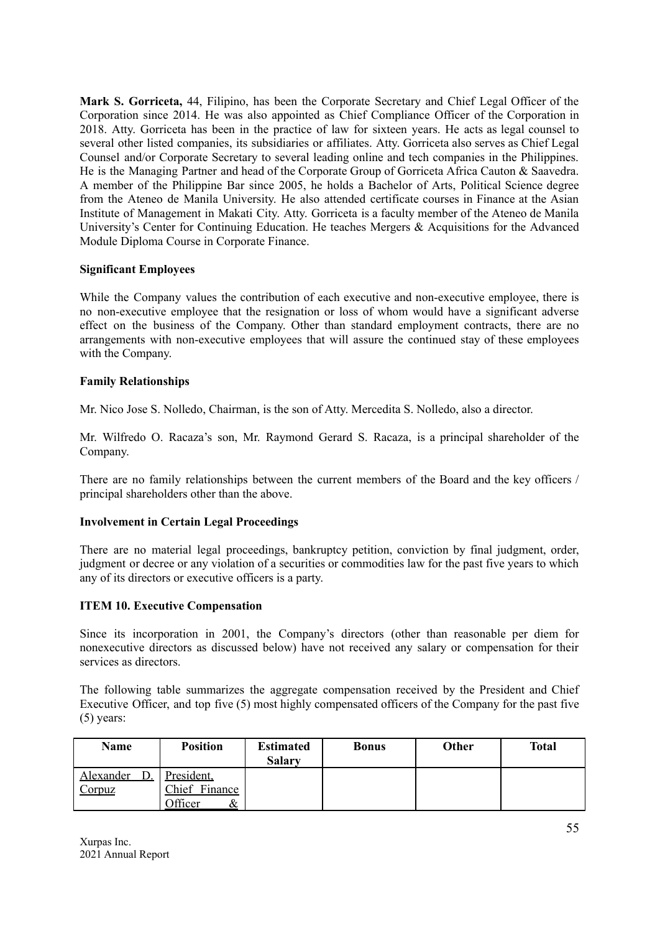**Mark S. Gorriceta,** 44, Filipino, has been the Corporate Secretary and Chief Legal Officer of the Corporation since 2014. He was also appointed as Chief Compliance Officer of the Corporation in 2018. Atty. Gorriceta has been in the practice of law for sixteen years. He acts as legal counsel to several other listed companies, its subsidiaries or affiliates. Atty. Gorriceta also serves as Chief Legal Counsel and/or Corporate Secretary to several leading online and tech companies in the Philippines. He is the Managing Partner and head of the Corporate Group of Gorriceta Africa Cauton & Saavedra. A member of the Philippine Bar since 2005, he holds a Bachelor of Arts, Political Science degree from the Ateneo de Manila University. He also attended certificate courses in Finance at the Asian Institute of Management in Makati City. Atty. Gorriceta is a faculty member of the Ateneo de Manila University's Center for Continuing Education. He teaches Mergers & Acquisitions for the Advanced Module Diploma Course in Corporate Finance.

### **Significant Employees**

While the Company values the contribution of each executive and non-executive employee, there is no non-executive employee that the resignation or loss of whom would have a significant adverse effect on the business of the Company. Other than standard employment contracts, there are no arrangements with non-executive employees that will assure the continued stay of these employees with the Company.

### **Family Relationships**

Mr. Nico Jose S. Nolledo, Chairman, is the son of Atty. Mercedita S. Nolledo, also a director.

Mr. Wilfredo O. Racaza's son, Mr. Raymond Gerard S. Racaza, is a principal shareholder of the Company.

There are no family relationships between the current members of the Board and the key officers / principal shareholders other than the above.

## **Involvement in Certain Legal Proceedings**

There are no material legal proceedings, bankruptcy petition, conviction by final judgment, order, judgment or decree or any violation of a securities or commodities law for the past five years to which any of its directors or executive officers is a party.

## **ITEM 10. Executive Compensation**

Since its incorporation in 2001, the Company's directors (other than reasonable per diem for nonexecutive directors as discussed below) have not received any salary or compensation for their services as directors.

The following table summarizes the aggregate compensation received by the President and Chief Executive Officer, and top five (5) most highly compensated officers of the Company for the past five (5) years:

| <b>Name</b>     | <b>Position</b>     | <b>Estimated</b> | <b>Bonus</b> | Other | <b>Total</b> |
|-----------------|---------------------|------------------|--------------|-------|--------------|
|                 |                     | <b>Salary</b>    |              |       |              |
| Alexander<br>D. | President.          |                  |              |       |              |
| Corpuz          | Chief Finance       |                  |              |       |              |
|                 | <b>Officer</b><br>& |                  |              |       |              |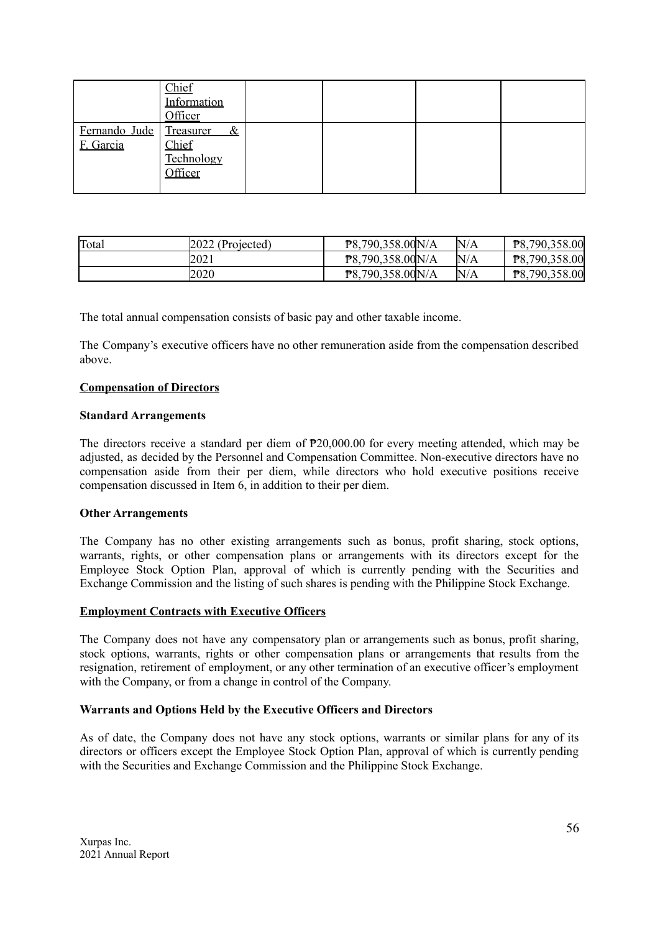|                            | Chief<br>Information<br>Officer               |  |  |
|----------------------------|-----------------------------------------------|--|--|
| Fernando Jude<br>F. Garcia | Treasurer &<br>Chief<br>Technology<br>Officer |  |  |

| Total | 2022 (Projected) | P8,790,358.00N/A | N/A | P8,790,358.00 |
|-------|------------------|------------------|-----|---------------|
|       | 2021             | P8,790,358.00N/A | N/A | P8,790,358.00 |
|       | 2020             | P8,790,358.00N/A | N/A | P8,790,358.00 |

The total annual compensation consists of basic pay and other taxable income.

The Company's executive officers have no other remuneration aside from the compensation described above.

#### **Compensation of Directors**

#### **Standard Arrangements**

The directors receive a standard per diem of  $P20,000,00$  for every meeting attended, which may be adjusted, as decided by the Personnel and Compensation Committee. Non-executive directors have no compensation aside from their per diem, while directors who hold executive positions receive compensation discussed in Item 6, in addition to their per diem.

#### **Other Arrangements**

The Company has no other existing arrangements such as bonus, profit sharing, stock options, warrants, rights, or other compensation plans or arrangements with its directors except for the Employee Stock Option Plan, approval of which is currently pending with the Securities and Exchange Commission and the listing of such shares is pending with the Philippine Stock Exchange.

#### **Employment Contracts with Executive Officers**

The Company does not have any compensatory plan or arrangements such as bonus, profit sharing, stock options, warrants, rights or other compensation plans or arrangements that results from the resignation, retirement of employment, or any other termination of an executive officer's employment with the Company, or from a change in control of the Company.

#### **Warrants and Options Held by the Executive Officers and Directors**

As of date, the Company does not have any stock options, warrants or similar plans for any of its directors or officers except the Employee Stock Option Plan, approval of which is currently pending with the Securities and Exchange Commission and the Philippine Stock Exchange.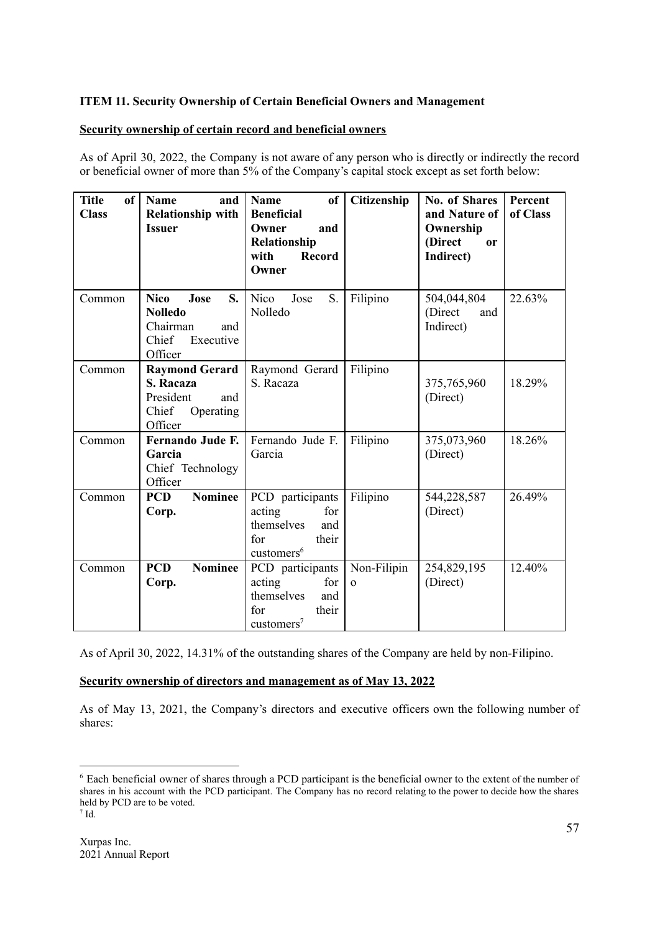## **ITEM 11. Security Ownership of Certain Beneficial Owners and Management**

### **Security ownership of certain record and beneficial owners**

As of April 30, 2022, the Company is not aware of any person who is directly or indirectly the record or beneficial owner of more than 5% of the Company's capital stock except as set forth below:

| <b>Title</b><br><sub>of</sub><br><b>Class</b> | <b>Name</b><br>and<br><b>Relationship with</b><br><b>Issuer</b>                                 | <sub>of</sub><br>Name<br><b>Beneficial</b><br>Owner<br>and<br>Relationship<br><b>Record</b><br>with<br>Owner | Citizenship             | No. of Shares<br>and Nature of<br>Ownership<br>(Direct<br><sub>or</sub><br>Indirect) | Percent<br>of Class |
|-----------------------------------------------|-------------------------------------------------------------------------------------------------|--------------------------------------------------------------------------------------------------------------|-------------------------|--------------------------------------------------------------------------------------|---------------------|
| Common                                        | <b>Nico</b><br>Jose<br>S.<br><b>Nolledo</b><br>and<br>Chairman<br>Chief<br>Executive<br>Officer | Nico<br>S.<br>Jose<br>Nolledo                                                                                | Filipino                | 504,044,804<br>(Direct<br>and<br>Indirect)                                           | 22.63%              |
| Common                                        | <b>Raymond Gerard</b><br>S. Racaza<br>President<br>and<br>Chief<br>Operating<br>Officer         | Raymond Gerard<br>S. Racaza                                                                                  | Filipino                | 375,765,960<br>(Direct)                                                              | 18.29%              |
| Common                                        | Fernando Jude F.<br>Garcia<br>Chief Technology<br>Officer                                       | Fernando Jude F.<br>Garcia                                                                                   | Filipino                | 375,073,960<br>(Direct)                                                              | 18.26%              |
| Common                                        | <b>Nominee</b><br><b>PCD</b><br>Corp.                                                           | PCD participants<br>acting<br>for<br>themselves<br>and<br>their<br>for<br>customers <sup>6</sup>             | Filipino                | 544,228,587<br>(Direct)                                                              | 26.49%              |
| Common                                        | <b>Nominee</b><br><b>PCD</b><br>Corp.                                                           | PCD participants<br>acting<br>for<br>themselves<br>and<br>for<br>their<br>$\text{customers}^7$               | Non-Filipin<br>$\Omega$ | 254,829,195<br>(Direct)                                                              | 12.40%              |

As of April 30, 2022, 14.31% of the outstanding shares of the Company are held by non-Filipino.

## **Security ownership of directors and management as of May 13, 2022**

As of May 13, 2021, the Company's directors and executive officers own the following number of shares:

 $7$  Id. <sup>6</sup> Each beneficial owner of shares through a PCD participant is the beneficial owner to the extent of the number of shares in his account with the PCD participant. The Company has no record relating to the power to decide how the shares held by PCD are to be voted.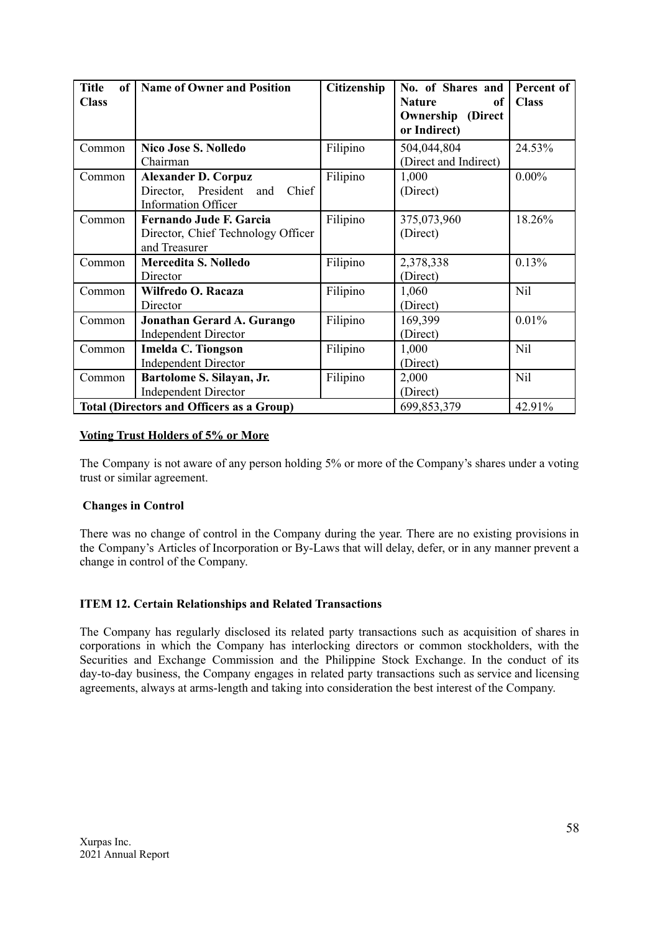| <b>Title</b><br>of <sub>1</sub> | <b>Name of Owner and Position</b>                | <b>Citizenship</b> | No. of Shares and        | Percent of   |
|---------------------------------|--------------------------------------------------|--------------------|--------------------------|--------------|
| <b>Class</b>                    |                                                  |                    | <b>Nature</b><br>0f      | <b>Class</b> |
|                                 |                                                  |                    | <b>Ownership</b> (Direct |              |
|                                 |                                                  |                    | or Indirect)             |              |
| Common                          | <b>Nico Jose S. Nolledo</b>                      | Filipino           | 504,044,804              | 24.53%       |
|                                 | Chairman                                         |                    | (Direct and Indirect)    |              |
| Common                          | <b>Alexander D. Corpuz</b>                       | Filipino           | 1,000                    | $0.00\%$     |
|                                 | Director, President<br>Chief<br>and              |                    | (Direct)                 |              |
|                                 | <b>Information Officer</b>                       |                    |                          |              |
| Common                          | <b>Fernando Jude F. Garcia</b>                   | Filipino           | 375,073,960              | 18.26%       |
|                                 | Director, Chief Technology Officer               |                    | (Direct)                 |              |
|                                 | and Treasurer                                    |                    |                          |              |
| Common                          | <b>Mercedita S. Nolledo</b>                      | Filipino           | 2,378,338                | 0.13%        |
|                                 | Director                                         |                    | (Direct)                 |              |
| Common                          | Wilfredo O. Racaza                               | Filipino           | 1,060                    | Nil          |
|                                 | Director                                         |                    | (Direct)                 |              |
| Common                          | Jonathan Gerard A. Gurango                       | Filipino           | 169,399                  | 0.01%        |
|                                 | <b>Independent Director</b>                      |                    | (Direct)                 |              |
| Common                          | Imelda C. Tiongson                               | Filipino           | 1,000                    | Nil          |
|                                 | <b>Independent Director</b>                      |                    | (Direct)                 |              |
| Common                          | Bartolome S. Silayan, Jr.                        | Filipino           | 2,000                    | Nil          |
|                                 | <b>Independent Director</b>                      |                    | (Direct)                 |              |
|                                 | <b>Total (Directors and Officers as a Group)</b> |                    | 699,853,379              | 42.91%       |

## **Voting Trust Holders of 5% or More**

The Company is not aware of any person holding 5% or more of the Company's shares under a voting trust or similar agreement.

#### **Changes in Control**

There was no change of control in the Company during the year. There are no existing provisions in the Company's Articles of Incorporation or By-Laws that will delay, defer, or in any manner prevent a change in control of the Company.

## **ITEM 12. Certain Relationships and Related Transactions**

The Company has regularly disclosed its related party transactions such as acquisition of shares in corporations in which the Company has interlocking directors or common stockholders, with the Securities and Exchange Commission and the Philippine Stock Exchange. In the conduct of its day-to-day business, the Company engages in related party transactions such as service and licensing agreements, always at arms-length and taking into consideration the best interest of the Company.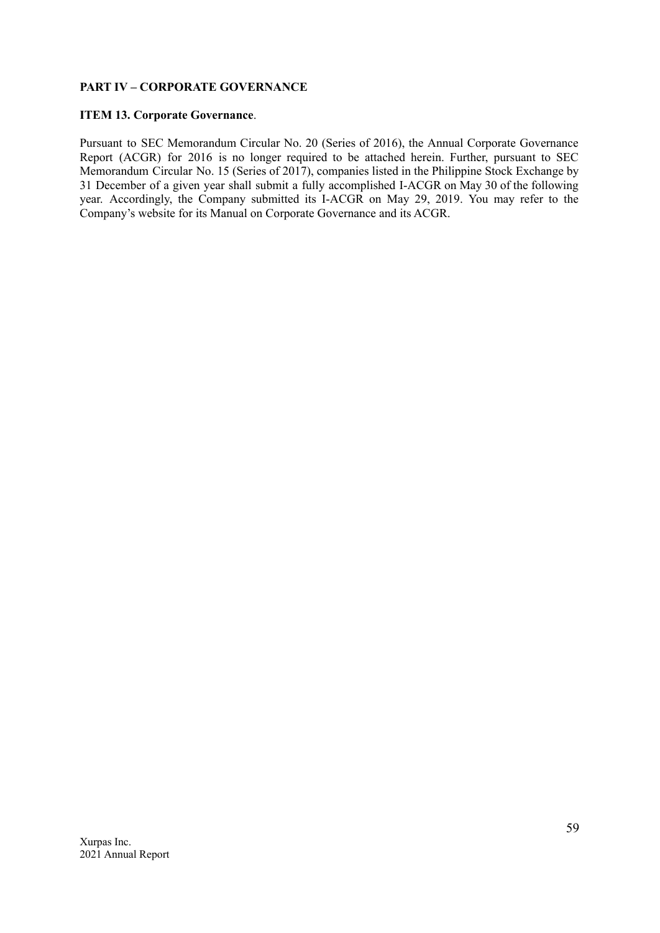## **PART IV – CORPORATE GOVERNANCE**

#### **ITEM 13. Corporate Governance**.

Pursuant to SEC Memorandum Circular No. 20 (Series of 2016), the Annual Corporate Governance Report (ACGR) for 2016 is no longer required to be attached herein. Further, pursuant to SEC Memorandum Circular No. 15 (Series of 2017), companies listed in the Philippine Stock Exchange by 31 December of a given year shall submit a fully accomplished I-ACGR on May 30 of the following year. Accordingly, the Company submitted its I-ACGR on May 29, 2019. You may refer to the Company's website for its Manual on Corporate Governance and its ACGR.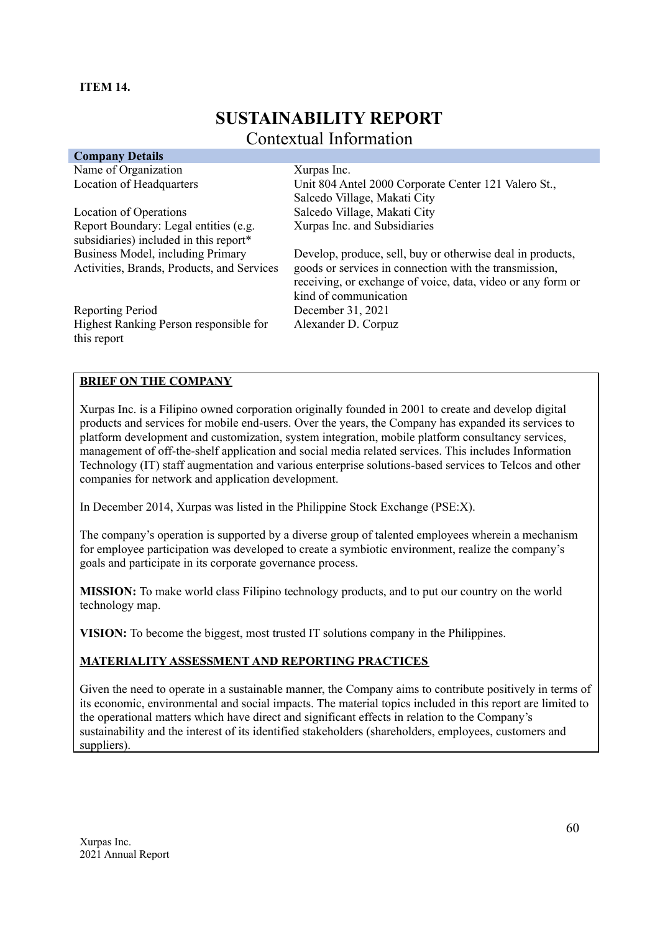#### **ITEM 14.**

# **SUSTAINABILITY REPORT** Contextual Information

| <b>Company Details</b>                                |                                                             |
|-------------------------------------------------------|-------------------------------------------------------------|
| Name of Organization                                  | Xurpas Inc.                                                 |
| Location of Headquarters                              | Unit 804 Antel 2000 Corporate Center 121 Valero St.,        |
|                                                       | Salcedo Village, Makati City                                |
| Location of Operations                                | Salcedo Village, Makati City                                |
| Report Boundary: Legal entities (e.g.                 | Xurpas Inc. and Subsidiaries                                |
| subsidiaries) included in this report*                |                                                             |
| Business Model, including Primary                     | Develop, produce, sell, buy or otherwise deal in products,  |
| Activities, Brands, Products, and Services            | goods or services in connection with the transmission,      |
|                                                       | receiving, or exchange of voice, data, video or any form or |
|                                                       | kind of communication                                       |
| Reporting Period                                      | December 31, 2021                                           |
| Highest Ranking Person responsible for<br>this report | Alexander D. Corpuz                                         |
|                                                       |                                                             |

## **BRIEF ON THE COMPANY**

Xurpas Inc. is a Filipino owned corporation originally founded in 2001 to create and develop digital products and services for mobile end-users. Over the years, the Company has expanded its services to platform development and customization, system integration, mobile platform consultancy services, management of off-the-shelf application and social media related services. This includes Information Technology (IT) staff augmentation and various enterprise solutions-based services to Telcos and other companies for network and application development.

In December 2014, Xurpas was listed in the Philippine Stock Exchange (PSE:X).

The company's operation is supported by a diverse group of talented employees wherein a mechanism for employee participation was developed to create a symbiotic environment, realize the company's goals and participate in its corporate governance process.

**MISSION:** To make world class Filipino technology products, and to put our country on the world technology map.

**VISION:** To become the biggest, most trusted IT solutions company in the Philippines.

## **MATERIALITY ASSESSMENT AND REPORTING PRACTICES**

Given the need to operate in a sustainable manner, the Company aims to contribute positively in terms of its economic, environmental and social impacts. The material topics included in this report are limited to the operational matters which have direct and significant effects in relation to the Company's sustainability and the interest of its identified stakeholders (shareholders, employees, customers and suppliers).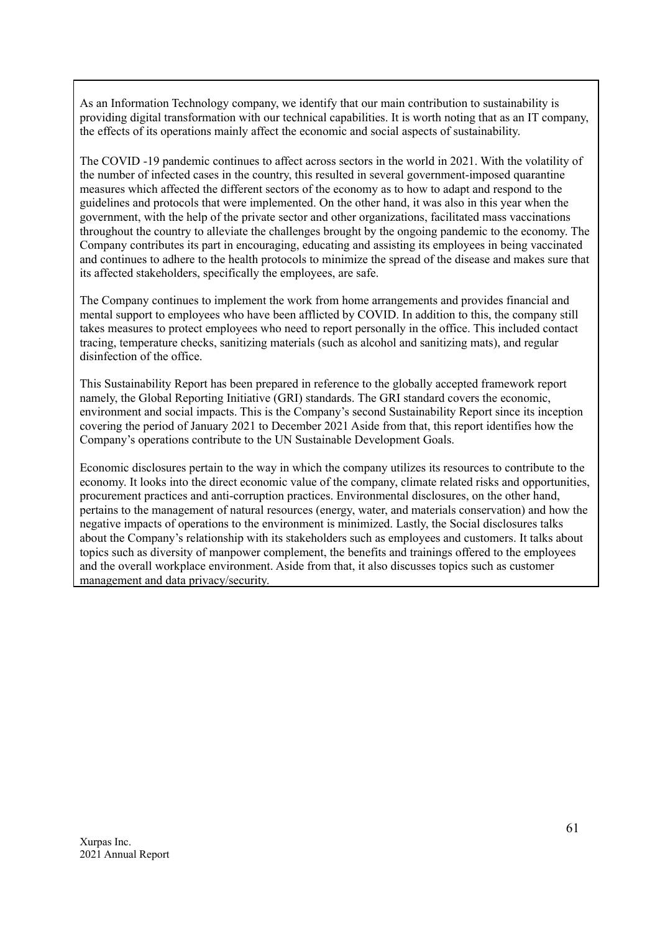As an Information Technology company, we identify that our main contribution to sustainability is providing digital transformation with our technical capabilities. It is worth noting that as an IT company, the effects of its operations mainly affect the economic and social aspects of sustainability.

The COVID -19 pandemic continues to affect across sectors in the world in 2021. With the volatility of the number of infected cases in the country, this resulted in several government-imposed quarantine measures which affected the different sectors of the economy as to how to adapt and respond to the guidelines and protocols that were implemented. On the other hand, it was also in this year when the government, with the help of the private sector and other organizations, facilitated mass vaccinations throughout the country to alleviate the challenges brought by the ongoing pandemic to the economy. The Company contributes its part in encouraging, educating and assisting its employees in being vaccinated and continues to adhere to the health protocols to minimize the spread of the disease and makes sure that its affected stakeholders, specifically the employees, are safe.

The Company continues to implement the work from home arrangements and provides financial and mental support to employees who have been afflicted by COVID. In addition to this, the company still takes measures to protect employees who need to report personally in the office. This included contact tracing, temperature checks, sanitizing materials (such as alcohol and sanitizing mats), and regular disinfection of the office.

This Sustainability Report has been prepared in reference to the globally accepted framework report namely, the Global Reporting Initiative (GRI) standards. The GRI standard covers the economic, environment and social impacts. This is the Company's second Sustainability Report since its inception covering the period of January 2021 to December 2021 Aside from that, this report identifies how the Company's operations contribute to the UN Sustainable Development Goals.

Economic disclosures pertain to the way in which the company utilizes its resources to contribute to the economy. It looks into the direct economic value of the company, climate related risks and opportunities, procurement practices and anti-corruption practices. Environmental disclosures, on the other hand, pertains to the management of natural resources (energy, water, and materials conservation) and how the negative impacts of operations to the environment is minimized. Lastly, the Social disclosures talks about the Company's relationship with its stakeholders such as employees and customers. It talks about topics such as diversity of manpower complement, the benefits and trainings offered to the employees and the overall workplace environment. Aside from that, it also discusses topics such as customer management and data privacy/security.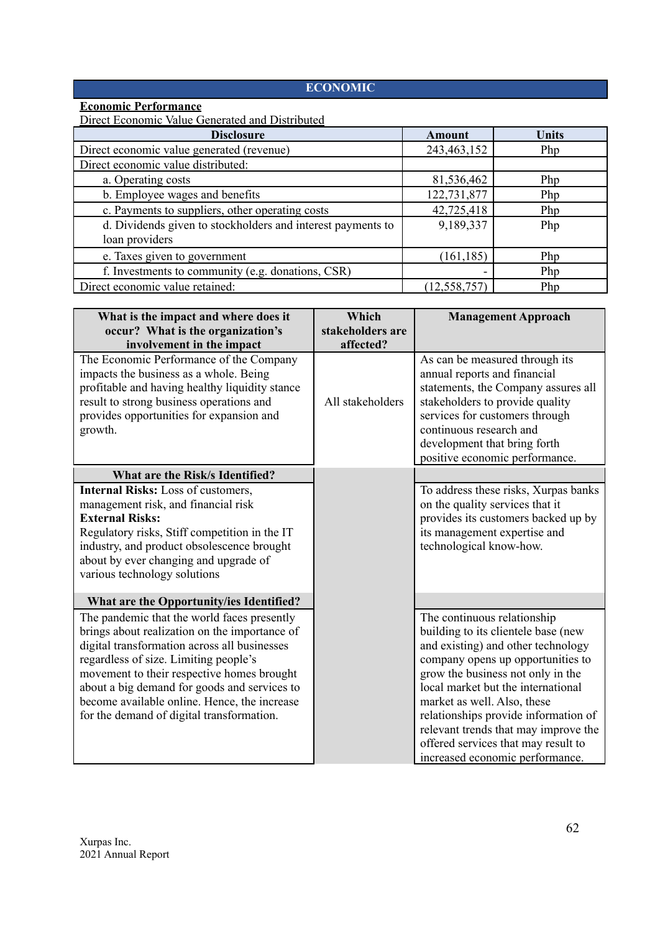## **ECONOMIC**

## **Economic Performance**

Direct Economic Value Generated and Distributed

| <b>Disclosure</b>                                           | <b>Amount</b>  | <b>Units</b> |
|-------------------------------------------------------------|----------------|--------------|
| Direct economic value generated (revenue)                   | 243,463,152    | Php          |
| Direct economic value distributed:                          |                |              |
| a. Operating costs                                          | 81,536,462     | Php          |
| b. Employee wages and benefits                              | 122,731,877    | Php          |
| c. Payments to suppliers, other operating costs             | 42,725,418     | Php          |
| d. Dividends given to stockholders and interest payments to | 9,189,337      | Php          |
| loan providers                                              |                |              |
| e. Taxes given to government                                | (161, 185)     | Php          |
| f. Investments to community (e.g. donations, CSR)           |                | Php          |
| Direct economic value retained:                             | (12, 558, 757) | Php          |

| What is the impact and where does it<br>occur? What is the organization's<br>involvement in the impact                                                                                                                                                                                                                                                                                                                       | Which<br>stakeholders are<br>affected? | <b>Management Approach</b>                                                                                                                                                                                                                                                                                                                                                                                        |
|------------------------------------------------------------------------------------------------------------------------------------------------------------------------------------------------------------------------------------------------------------------------------------------------------------------------------------------------------------------------------------------------------------------------------|----------------------------------------|-------------------------------------------------------------------------------------------------------------------------------------------------------------------------------------------------------------------------------------------------------------------------------------------------------------------------------------------------------------------------------------------------------------------|
| The Economic Performance of the Company<br>impacts the business as a whole. Being<br>profitable and having healthy liquidity stance<br>result to strong business operations and<br>provides opportunities for expansion and<br>growth.                                                                                                                                                                                       | All stakeholders                       | As can be measured through its<br>annual reports and financial<br>statements, the Company assures all<br>stakeholders to provide quality<br>services for customers through<br>continuous research and<br>development that bring forth<br>positive economic performance.                                                                                                                                           |
| What are the Risk/s Identified?<br>Internal Risks: Loss of customers,<br>management risk, and financial risk<br><b>External Risks:</b><br>Regulatory risks, Stiff competition in the IT<br>industry, and product obsolescence brought<br>about by ever changing and upgrade of<br>various technology solutions                                                                                                               |                                        | To address these risks, Xurpas banks<br>on the quality services that it<br>provides its customers backed up by<br>its management expertise and<br>technological know-how.                                                                                                                                                                                                                                         |
| What are the Opportunity/ies Identified?<br>The pandemic that the world faces presently<br>brings about realization on the importance of<br>digital transformation across all businesses<br>regardless of size. Limiting people's<br>movement to their respective homes brought<br>about a big demand for goods and services to<br>become available online. Hence, the increase<br>for the demand of digital transformation. |                                        | The continuous relationship<br>building to its clientele base (new<br>and existing) and other technology<br>company opens up opportunities to<br>grow the business not only in the<br>local market but the international<br>market as well. Also, these<br>relationships provide information of<br>relevant trends that may improve the<br>offered services that may result to<br>increased economic performance. |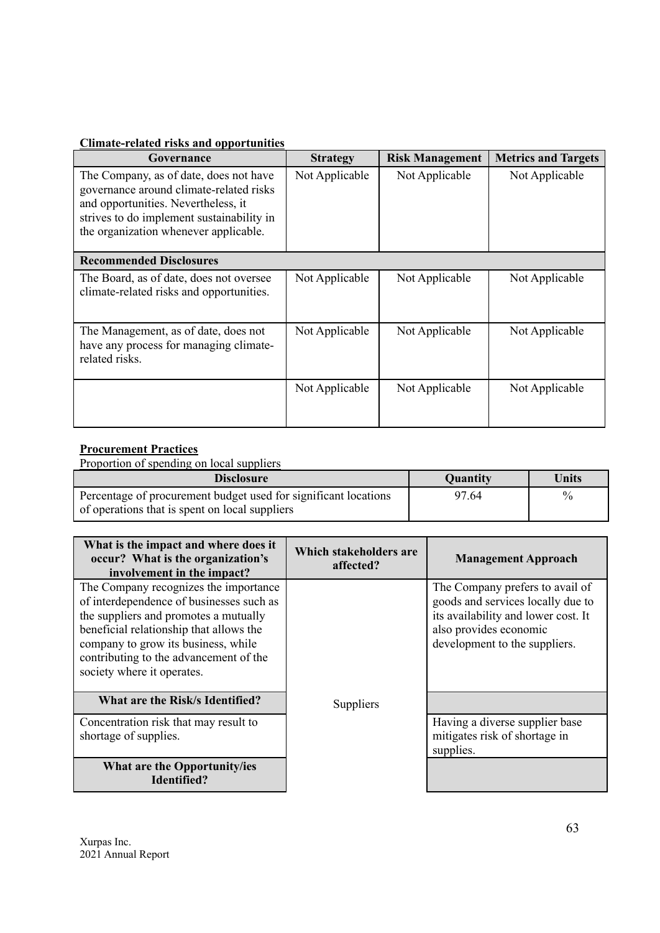## **Climate-related risks and opportunities**

| Governance                                                                                                                                                                                                     | <b>Strategy</b> | <b>Risk Management</b> | <b>Metrics and Targets</b> |
|----------------------------------------------------------------------------------------------------------------------------------------------------------------------------------------------------------------|-----------------|------------------------|----------------------------|
| The Company, as of date, does not have<br>governance around climate-related risks<br>and opportunities. Nevertheless, it<br>strives to do implement sustainability in<br>the organization whenever applicable. | Not Applicable  | Not Applicable         | Not Applicable             |
| <b>Recommended Disclosures</b>                                                                                                                                                                                 |                 |                        |                            |
| The Board, as of date, does not oversee<br>climate-related risks and opportunities.                                                                                                                            | Not Applicable  | Not Applicable         | Not Applicable             |
| The Management, as of date, does not<br>have any process for managing climate-<br>related risks.                                                                                                               | Not Applicable  | Not Applicable         | Not Applicable             |
|                                                                                                                                                                                                                | Not Applicable  | Not Applicable         | Not Applicable             |

## **Procurement Practices**

Proportion of spending on local suppliers

| <b>Disclosure</b>                                               | Quantity | Units         |
|-----------------------------------------------------------------|----------|---------------|
| Percentage of procurement budget used for significant locations | 97.64    | $\frac{0}{0}$ |
| of operations that is spent on local suppliers                  |          |               |

| What is the impact and where does it<br>occur? What is the organization's<br>involvement in the impact?                                                                                                                                                                              | Which stakeholders are<br>affected? | <b>Management Approach</b>                                                                                                                                             |
|--------------------------------------------------------------------------------------------------------------------------------------------------------------------------------------------------------------------------------------------------------------------------------------|-------------------------------------|------------------------------------------------------------------------------------------------------------------------------------------------------------------------|
| The Company recognizes the importance<br>of interdependence of businesses such as<br>the suppliers and promotes a mutually<br>beneficial relationship that allows the<br>company to grow its business, while<br>contributing to the advancement of the<br>society where it operates. |                                     | The Company prefers to avail of<br>goods and services locally due to<br>its availability and lower cost. It<br>also provides economic<br>development to the suppliers. |
| What are the Risk/s Identified?                                                                                                                                                                                                                                                      | Suppliers                           |                                                                                                                                                                        |
| Concentration risk that may result to<br>shortage of supplies.                                                                                                                                                                                                                       |                                     | Having a diverse supplier base<br>mitigates risk of shortage in<br>supplies.                                                                                           |
| What are the Opportunity/ies<br>Identified?                                                                                                                                                                                                                                          |                                     |                                                                                                                                                                        |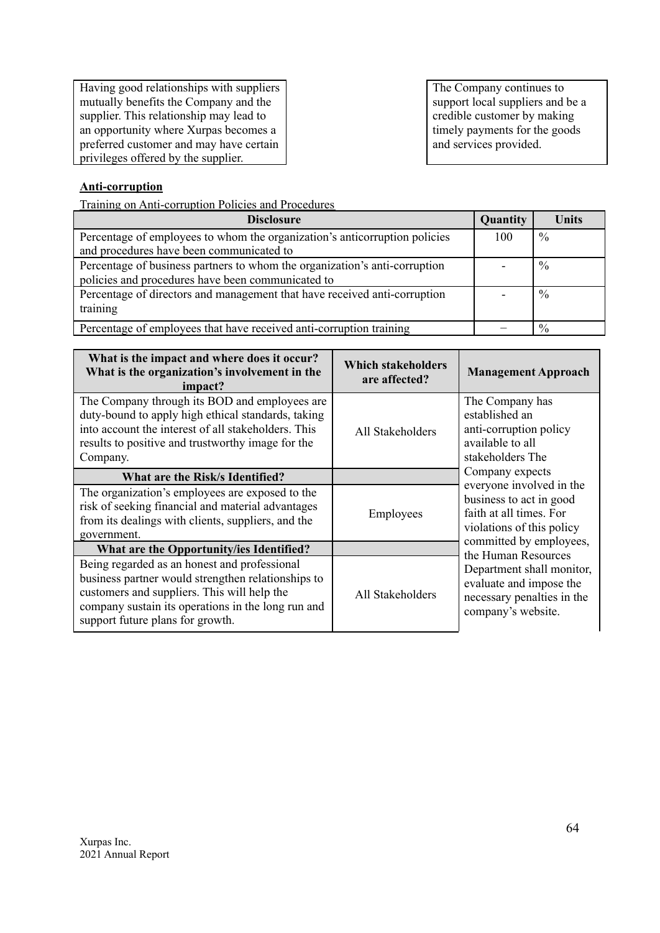Having good relationships with suppliers mutually benefits the Company and the supplier. This relationship may lead to an opportunity where Xurpas becomes a preferred customer and may have certain privileges offered by the supplier.

The Company continues to support local suppliers and be a credible customer by making timely payments for the goods and services provided.

## **Anti-corruption**

Training on Anti-corruption Policies and Procedures

| <b>Disclosure</b>                                                                                                               | <b>Quantity</b> | Units         |
|---------------------------------------------------------------------------------------------------------------------------------|-----------------|---------------|
| Percentage of employees to whom the organization's anticorruption policies<br>and procedures have been communicated to          | 100             | $\frac{0}{0}$ |
| Percentage of business partners to whom the organization's anti-corruption<br>policies and procedures have been communicated to |                 | $\frac{0}{0}$ |
| Percentage of directors and management that have received anti-corruption<br>training                                           |                 | $\frac{0}{0}$ |
| Percentage of employees that have received anti-corruption training                                                             |                 | $\%$          |

| What is the impact and where does it occur?<br>What is the organization's involvement in the<br>impact?                                                                                                                                     | Which stakeholders<br>are affected? | <b>Management Approach</b>                                                                                 |  |
|---------------------------------------------------------------------------------------------------------------------------------------------------------------------------------------------------------------------------------------------|-------------------------------------|------------------------------------------------------------------------------------------------------------|--|
| The Company through its BOD and employees are<br>duty-bound to apply high ethical standards, taking<br>into account the interest of all stakeholders. This<br>results to positive and trustworthy image for the<br>Company.                 | All Stakeholders                    | The Company has<br>established an<br>anti-corruption policy<br>available to all<br>stakeholders The        |  |
| What are the Risk/s Identified?                                                                                                                                                                                                             |                                     | Company expects<br>everyone involved in the                                                                |  |
| The organization's employees are exposed to the<br>risk of seeking financial and material advantages<br>from its dealings with clients, suppliers, and the<br>government.                                                                   | Employees                           | business to act in good<br>faith at all times. For<br>violations of this policy<br>committed by employees, |  |
| What are the Opportunity/ies Identified?                                                                                                                                                                                                    |                                     | the Human Resources                                                                                        |  |
| Being regarded as an honest and professional<br>business partner would strengthen relationships to<br>customers and suppliers. This will help the<br>company sustain its operations in the long run and<br>support future plans for growth. | All Stakeholders                    | Department shall monitor,<br>evaluate and impose the<br>necessary penalties in the<br>company's website.   |  |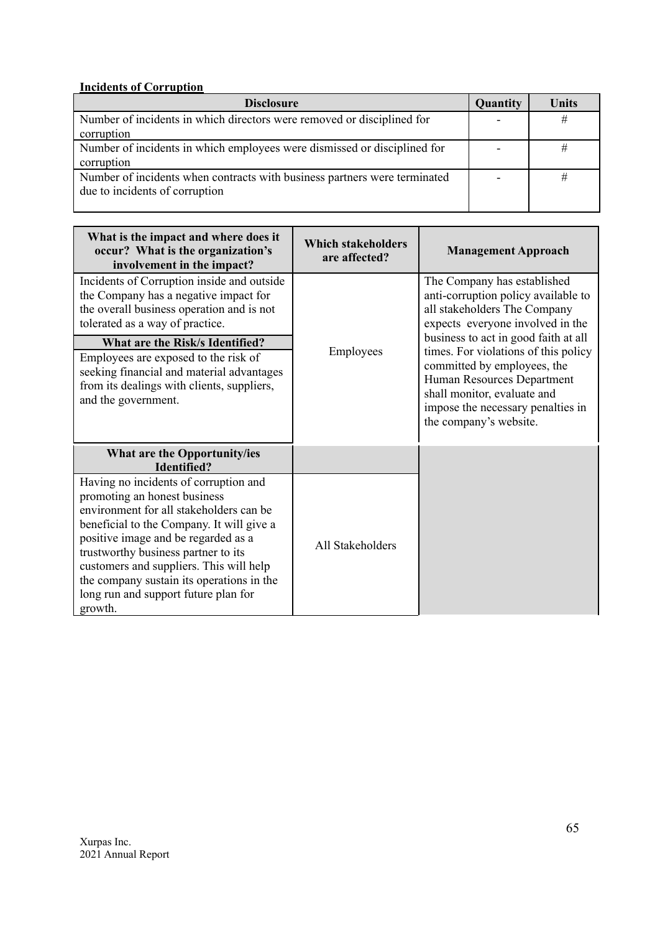## **Incidents of Corruption**

| <b>Disclosure</b>                                                         | <b>Quantity</b>          | Units |
|---------------------------------------------------------------------------|--------------------------|-------|
| Number of incidents in which directors were removed or disciplined for    | $\overline{\phantom{0}}$ | #     |
| corruption                                                                |                          |       |
| Number of incidents in which employees were dismissed or disciplined for  |                          |       |
| corruption                                                                |                          |       |
| Number of incidents when contracts with business partners were terminated |                          |       |
| due to incidents of corruption                                            |                          |       |
|                                                                           |                          |       |

| What is the impact and where does it<br>occur? What is the organization's<br>involvement in the impact?                                                                                                                                                                                                                                                                                | <b>Which stakeholders</b><br>are affected? | <b>Management Approach</b>                                                                                                                                                                                                              |
|----------------------------------------------------------------------------------------------------------------------------------------------------------------------------------------------------------------------------------------------------------------------------------------------------------------------------------------------------------------------------------------|--------------------------------------------|-----------------------------------------------------------------------------------------------------------------------------------------------------------------------------------------------------------------------------------------|
| Incidents of Corruption inside and outside<br>the Company has a negative impact for<br>the overall business operation and is not<br>tolerated as a way of practice.                                                                                                                                                                                                                    |                                            | The Company has established<br>anti-corruption policy available to<br>all stakeholders The Company<br>expects everyone involved in the                                                                                                  |
| What are the Risk/s Identified?<br>Employees are exposed to the risk of<br>seeking financial and material advantages<br>from its dealings with clients, suppliers,<br>and the government.                                                                                                                                                                                              | Employees                                  | business to act in good faith at all<br>times. For violations of this policy<br>committed by employees, the<br>Human Resources Department<br>shall monitor, evaluate and<br>impose the necessary penalties in<br>the company's website. |
| What are the Opportunity/ies<br><b>Identified?</b>                                                                                                                                                                                                                                                                                                                                     |                                            |                                                                                                                                                                                                                                         |
| Having no incidents of corruption and<br>promoting an honest business<br>environment for all stakeholders can be<br>beneficial to the Company. It will give a<br>positive image and be regarded as a<br>trustworthy business partner to its<br>customers and suppliers. This will help<br>the company sustain its operations in the<br>long run and support future plan for<br>growth. | All Stakeholders                           |                                                                                                                                                                                                                                         |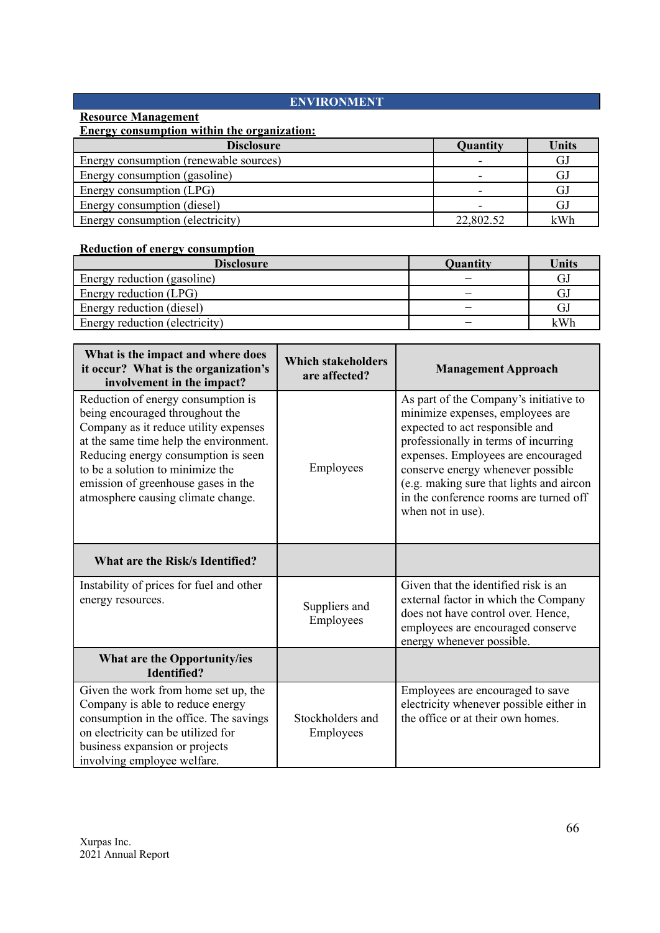## **ENVIRONMENT**

## **Resource Management**

## **Energy consumption within the organization:**

| <b>Disclosure</b>                      | Quantity  | <b>Units</b> |
|----------------------------------------|-----------|--------------|
| Energy consumption (renewable sources) |           | GJ           |
| Energy consumption (gasoline)          |           | GJ           |
| Energy consumption (LPG)               |           | GJ           |
| Energy consumption (diesel)            |           | GJ           |
| Energy consumption (electricity)       | 22,802.52 | kWh          |

## **Reduction of energy consumption**

| <b>Disclosure</b>              | <b>Quantity</b> | Units |
|--------------------------------|-----------------|-------|
| Energy reduction (gasoline)    |                 | GJ    |
| Energy reduction (LPG)         |                 |       |
| Energy reduction (diesel)      |                 | GJ    |
| Energy reduction (electricity) |                 | kWh   |

| What is the impact and where does<br>it occur? What is the organization's<br>involvement in the impact?                                                                                                                                                                                                          | <b>Which stakeholders</b><br>are affected? | <b>Management Approach</b>                                                                                                                                                                                                                                                                                                                  |
|------------------------------------------------------------------------------------------------------------------------------------------------------------------------------------------------------------------------------------------------------------------------------------------------------------------|--------------------------------------------|---------------------------------------------------------------------------------------------------------------------------------------------------------------------------------------------------------------------------------------------------------------------------------------------------------------------------------------------|
| Reduction of energy consumption is<br>being encouraged throughout the<br>Company as it reduce utility expenses<br>at the same time help the environment.<br>Reducing energy consumption is seen<br>to be a solution to minimize the<br>emission of greenhouse gases in the<br>atmosphere causing climate change. | Employees                                  | As part of the Company's initiative to<br>minimize expenses, employees are<br>expected to act responsible and<br>professionally in terms of incurring<br>expenses. Employees are encouraged<br>conserve energy whenever possible<br>(e.g. making sure that lights and aircon<br>in the conference rooms are turned off<br>when not in use). |
| What are the Risk/s Identified?                                                                                                                                                                                                                                                                                  |                                            |                                                                                                                                                                                                                                                                                                                                             |
| Instability of prices for fuel and other<br>energy resources.                                                                                                                                                                                                                                                    | Suppliers and<br>Employees                 | Given that the identified risk is an<br>external factor in which the Company<br>does not have control over. Hence,<br>employees are encouraged conserve<br>energy whenever possible.                                                                                                                                                        |
| What are the Opportunity/ies<br><b>Identified?</b>                                                                                                                                                                                                                                                               |                                            |                                                                                                                                                                                                                                                                                                                                             |
| Given the work from home set up, the<br>Company is able to reduce energy<br>consumption in the office. The savings<br>on electricity can be utilized for<br>business expansion or projects<br>involving employee welfare.                                                                                        | Stockholders and<br>Employees              | Employees are encouraged to save<br>electricity whenever possible either in<br>the office or at their own homes.                                                                                                                                                                                                                            |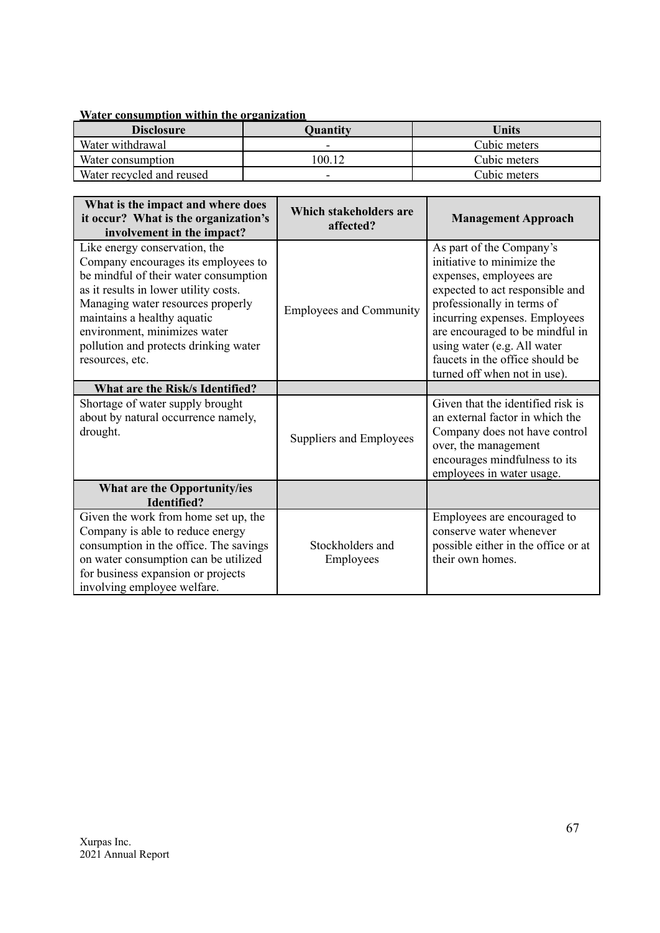## **Water consumption within the organization**

| <b>Disclosure</b>         | <b>Quantity</b> | Units        |
|---------------------------|-----------------|--------------|
| Water withdrawal          |                 | Cubic meters |
| Water consumption         | 100 12          | Cubic meters |
| Water recycled and reused |                 | Cubic meters |

| What is the impact and where does<br>it occur? What is the organization's<br>involvement in the impact?                                                                                                                                                                                                                | Which stakeholders are<br>affected? | <b>Management Approach</b>                                                                                                                                                                                                                                                                                               |
|------------------------------------------------------------------------------------------------------------------------------------------------------------------------------------------------------------------------------------------------------------------------------------------------------------------------|-------------------------------------|--------------------------------------------------------------------------------------------------------------------------------------------------------------------------------------------------------------------------------------------------------------------------------------------------------------------------|
| Like energy conservation, the<br>Company encourages its employees to<br>be mindful of their water consumption<br>as it results in lower utility costs.<br>Managing water resources properly<br>maintains a healthy aquatic<br>environment, minimizes water<br>pollution and protects drinking water<br>resources, etc. | <b>Employees and Community</b>      | As part of the Company's<br>initiative to minimize the<br>expenses, employees are<br>expected to act responsible and<br>professionally in terms of<br>incurring expenses. Employees<br>are encouraged to be mindful in<br>using water (e.g. All water<br>faucets in the office should be<br>turned off when not in use). |
| What are the Risk/s Identified?                                                                                                                                                                                                                                                                                        |                                     |                                                                                                                                                                                                                                                                                                                          |
| Shortage of water supply brought<br>about by natural occurrence namely,<br>drought.                                                                                                                                                                                                                                    | Suppliers and Employees             | Given that the identified risk is<br>an external factor in which the<br>Company does not have control<br>over, the management<br>encourages mindfulness to its<br>employees in water usage.                                                                                                                              |
| What are the Opportunity/ies<br><b>Identified?</b>                                                                                                                                                                                                                                                                     |                                     |                                                                                                                                                                                                                                                                                                                          |
| Given the work from home set up, the<br>Company is able to reduce energy<br>consumption in the office. The savings<br>on water consumption can be utilized<br>for business expansion or projects<br>involving employee welfare.                                                                                        | Stockholders and<br>Employees       | Employees are encouraged to<br>conserve water whenever<br>possible either in the office or at<br>their own homes.                                                                                                                                                                                                        |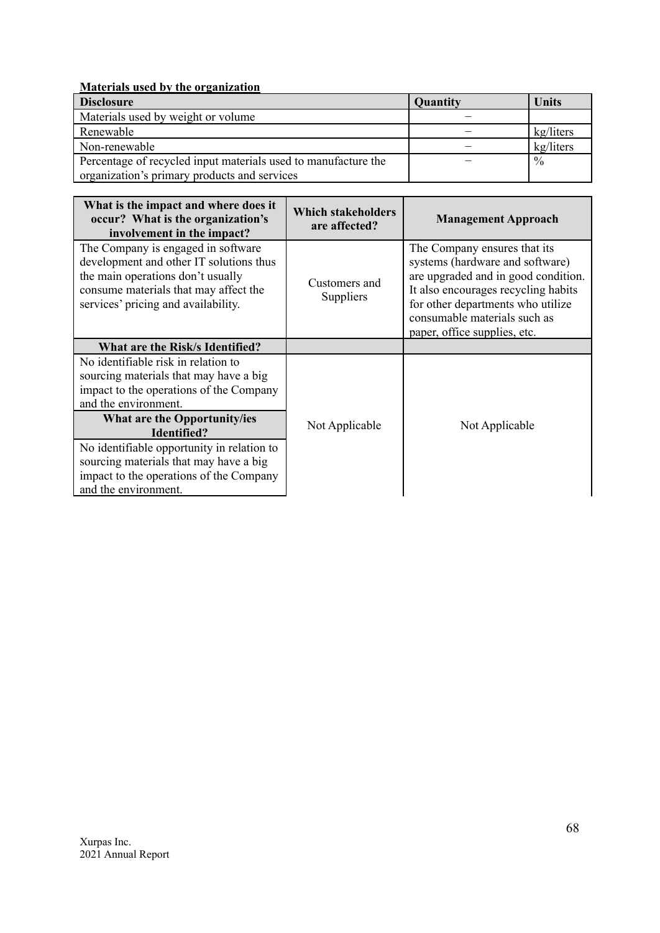## **Materials used by the organization**

| <b>Disclosure</b>                                              | Quantity | Units         |
|----------------------------------------------------------------|----------|---------------|
| Materials used by weight or volume                             |          |               |
| Renewable                                                      |          | kg/liters     |
| Non-renewable                                                  |          | kg/liters     |
| Percentage of recycled input materials used to manufacture the |          | $\frac{0}{0}$ |
| organization's primary products and services                   |          |               |

| What is the impact and where does it<br>occur? What is the organization's<br>involvement in the impact?                                                                                            | <b>Which stakeholders</b><br>are affected? | <b>Management Approach</b>                                                                                                                                                                                                                         |
|----------------------------------------------------------------------------------------------------------------------------------------------------------------------------------------------------|--------------------------------------------|----------------------------------------------------------------------------------------------------------------------------------------------------------------------------------------------------------------------------------------------------|
| The Company is engaged in software<br>development and other IT solutions thus<br>the main operations don't usually<br>consume materials that may affect the<br>services' pricing and availability. | Customers and<br>Suppliers                 | The Company ensures that its<br>systems (hardware and software)<br>are upgraded and in good condition.<br>It also encourages recycling habits<br>for other departments who utilize<br>consumable materials such as<br>paper, office supplies, etc. |
| What are the Risk/s Identified?                                                                                                                                                                    |                                            |                                                                                                                                                                                                                                                    |
| No identifiable risk in relation to<br>sourcing materials that may have a big<br>impact to the operations of the Company<br>and the environment.                                                   |                                            |                                                                                                                                                                                                                                                    |
| What are the Opportunity/ies<br>Identified?                                                                                                                                                        | Not Applicable                             | Not Applicable                                                                                                                                                                                                                                     |
| No identifiable opportunity in relation to<br>sourcing materials that may have a big<br>impact to the operations of the Company<br>and the environment.                                            |                                            |                                                                                                                                                                                                                                                    |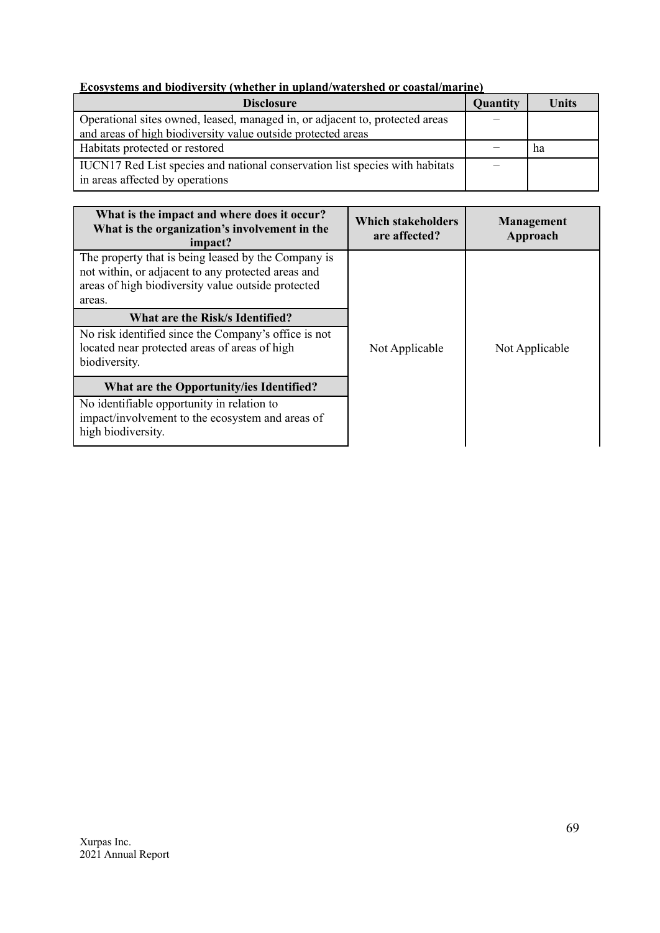## **Ecosystems and biodiversity (whether in upland/watershed or coastal/marine)**

| <b>Disclosure</b>                                                                                               | Quantity | Units |
|-----------------------------------------------------------------------------------------------------------------|----------|-------|
| Operational sites owned, leased, managed in, or adjacent to, protected areas                                    |          |       |
| and areas of high biodiversity value outside protected areas                                                    |          |       |
| Habitats protected or restored                                                                                  |          | ha    |
| IUCN17 Red List species and national conservation list species with habitats<br>in areas affected by operations |          |       |

| What is the impact and where does it occur?<br>What is the organization's involvement in the<br>impact?                                                                   | <b>Which stakeholders</b><br>are affected? | <b>Management</b><br>Approach |
|---------------------------------------------------------------------------------------------------------------------------------------------------------------------------|--------------------------------------------|-------------------------------|
| The property that is being leased by the Company is<br>not within, or adjacent to any protected areas and<br>areas of high biodiversity value outside protected<br>areas. |                                            |                               |
| What are the Risk/s Identified?                                                                                                                                           |                                            |                               |
| No risk identified since the Company's office is not<br>located near protected areas of areas of high<br>biodiversity.                                                    | Not Applicable                             | Not Applicable                |
| What are the Opportunity/ies Identified?                                                                                                                                  |                                            |                               |
| No identifiable opportunity in relation to<br>impact/involvement to the ecosystem and areas of<br>high biodiversity.                                                      |                                            |                               |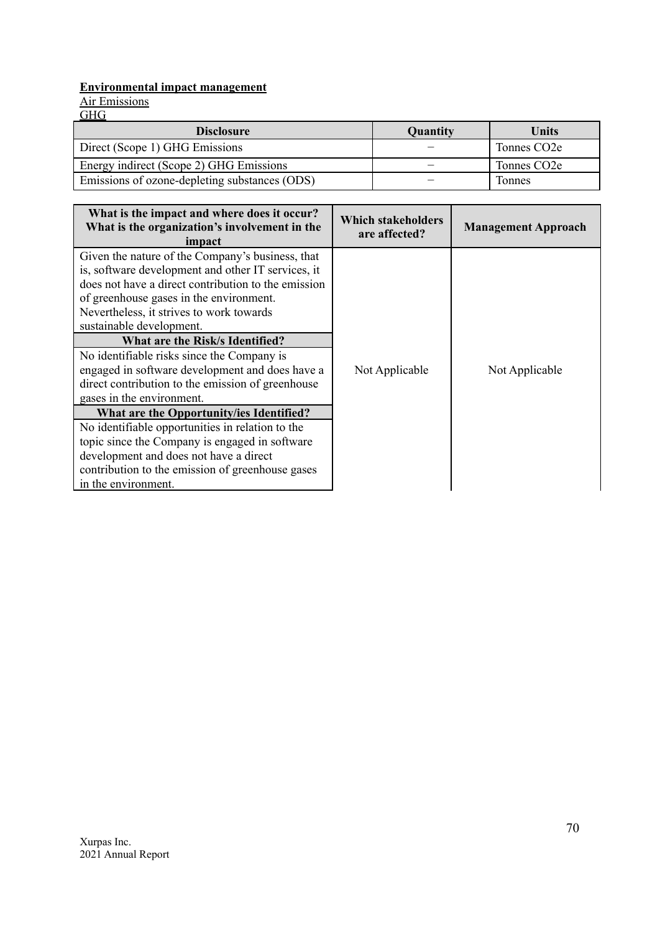## **Environmental impact management**

Air Emissions

GHG

| <b>Disclosure</b>                             | <b>Quantity</b> | Units                    |
|-----------------------------------------------|-----------------|--------------------------|
| Direct (Scope 1) GHG Emissions                |                 | Tonnes CO <sub>2</sub> e |
| Energy indirect (Scope 2) GHG Emissions       |                 | Tonnes CO <sub>2</sub> e |
| Emissions of ozone-depleting substances (ODS) |                 | Tonnes                   |

| What is the impact and where does it occur?<br>What is the organization's involvement in the<br>impact                                                                                                                                                                                                                                                                                                                                                                                                                                                                                                                                                                                                                                                                        | Which stakeholders<br>are affected? | <b>Management Approach</b> |
|-------------------------------------------------------------------------------------------------------------------------------------------------------------------------------------------------------------------------------------------------------------------------------------------------------------------------------------------------------------------------------------------------------------------------------------------------------------------------------------------------------------------------------------------------------------------------------------------------------------------------------------------------------------------------------------------------------------------------------------------------------------------------------|-------------------------------------|----------------------------|
| Given the nature of the Company's business, that<br>is, software development and other IT services, it<br>does not have a direct contribution to the emission<br>of greenhouse gases in the environment.<br>Nevertheless, it strives to work towards<br>sustainable development.<br>What are the Risk/s Identified?<br>No identifiable risks since the Company is<br>engaged in software development and does have a<br>direct contribution to the emission of greenhouse<br>gases in the environment.<br>What are the Opportunity/ies Identified?<br>No identifiable opportunities in relation to the<br>topic since the Company is engaged in software<br>development and does not have a direct<br>contribution to the emission of greenhouse gases<br>in the environment. | Not Applicable                      | Not Applicable             |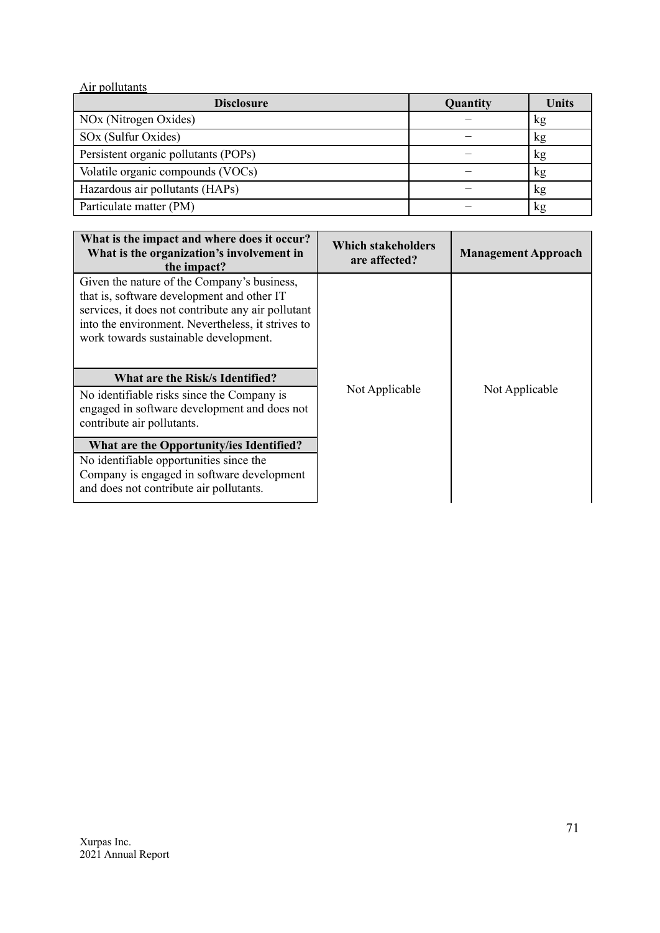| Air pollutants                       |          |              |
|--------------------------------------|----------|--------------|
| <b>Disclosure</b>                    | Quantity | <b>Units</b> |
| NO <sub>x</sub> (Nitrogen Oxides)    |          | kg           |
| SOx (Sulfur Oxides)                  |          | kg           |
| Persistent organic pollutants (POPs) |          | kg           |
| Volatile organic compounds (VOCs)    |          | kg           |
| Hazardous air pollutants (HAPs)      |          | kg           |
| Particulate matter (PM)              |          | kg           |

| What is the impact and where does it occur?<br>What is the organization's involvement in<br>the impact?                                                                                                                                       | <b>Which stakeholders</b><br>are affected? | <b>Management Approach</b> |
|-----------------------------------------------------------------------------------------------------------------------------------------------------------------------------------------------------------------------------------------------|--------------------------------------------|----------------------------|
| Given the nature of the Company's business,<br>that is, software development and other IT<br>services, it does not contribute any air pollutant<br>into the environment. Nevertheless, it strives to<br>work towards sustainable development. |                                            |                            |
| What are the Risk/s Identified?<br>No identifiable risks since the Company is<br>engaged in software development and does not<br>contribute air pollutants.                                                                                   | Not Applicable                             | Not Applicable             |
| What are the Opportunity/ies Identified?<br>No identifiable opportunities since the<br>Company is engaged in software development<br>and does not contribute air pollutants.                                                                  |                                            |                            |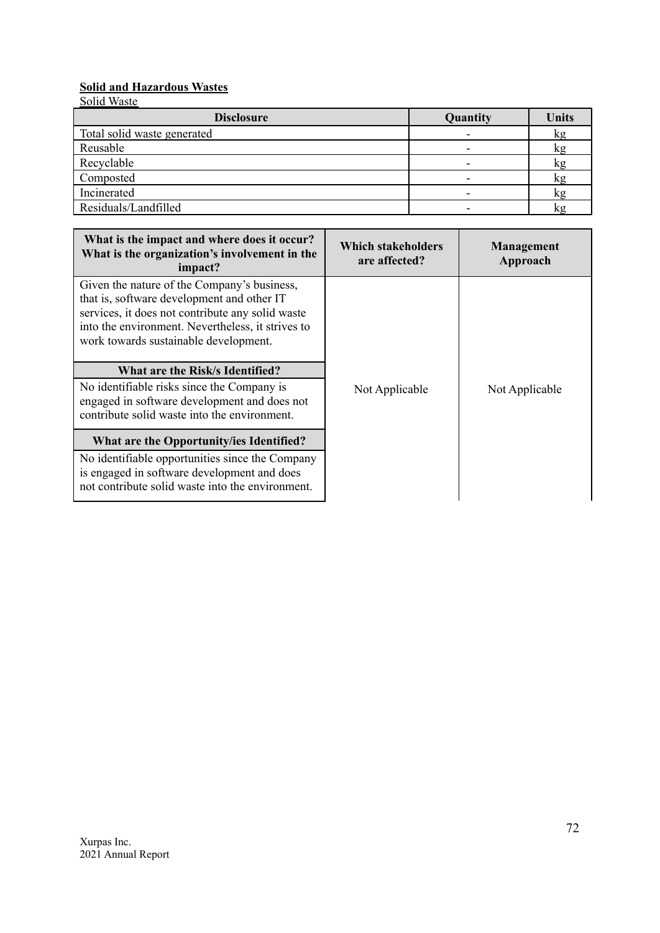## **Solid and Hazardous Wastes**

| <b>Disclosure</b>           | Quantity | <b>Units</b> |
|-----------------------------|----------|--------------|
| Total solid waste generated |          | kg           |
| Reusable                    |          | kg           |
| Recyclable                  |          | kg           |
| Composted                   |          | kg           |
| Incinerated                 |          | kg           |
| Residuals/Landfilled        |          |              |

| What is the impact and where does it occur?<br>What is the organization's involvement in the<br>impact?                                                                                                                                     | <b>Which stakeholders</b><br>are affected? | <b>Management</b><br>Approach |
|---------------------------------------------------------------------------------------------------------------------------------------------------------------------------------------------------------------------------------------------|--------------------------------------------|-------------------------------|
| Given the nature of the Company's business,<br>that is, software development and other IT<br>services, it does not contribute any solid waste<br>into the environment. Nevertheless, it strives to<br>work towards sustainable development. |                                            |                               |
| What are the Risk/s Identified?                                                                                                                                                                                                             |                                            |                               |
| No identifiable risks since the Company is<br>engaged in software development and does not<br>contribute solid waste into the environment.                                                                                                  | Not Applicable                             | Not Applicable                |
| What are the Opportunity/ies Identified?                                                                                                                                                                                                    |                                            |                               |
| No identifiable opportunities since the Company<br>is engaged in software development and does<br>not contribute solid waste into the environment.                                                                                          |                                            |                               |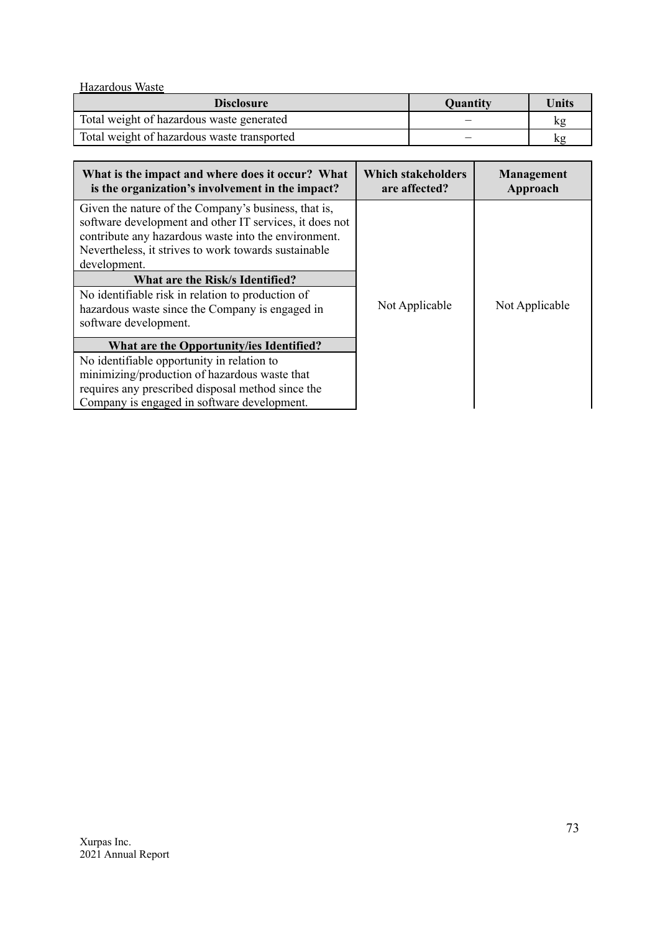Hazardous Waste

| <b>Disclosure</b>                           | Quantity | Units |
|---------------------------------------------|----------|-------|
| Total weight of hazardous waste generated   |          | kg    |
| Total weight of hazardous waste transported |          | kg    |

| What is the impact and where does it occur? What<br>is the organization's involvement in the impact?                                                                                                                                                                                                                                                                                                                | <b>Which stakeholders</b><br>are affected? | Management<br>Approach |  |
|---------------------------------------------------------------------------------------------------------------------------------------------------------------------------------------------------------------------------------------------------------------------------------------------------------------------------------------------------------------------------------------------------------------------|--------------------------------------------|------------------------|--|
| Given the nature of the Company's business, that is,<br>software development and other IT services, it does not<br>contribute any hazardous waste into the environment.<br>Nevertheless, it strives to work towards sustainable<br>development.<br>What are the Risk/s Identified?<br>No identifiable risk in relation to production of<br>hazardous waste since the Company is engaged in<br>software development. | Not Applicable                             | Not Applicable         |  |
| What are the Opportunity/ies Identified?<br>No identifiable opportunity in relation to<br>minimizing/production of hazardous waste that<br>requires any prescribed disposal method since the<br>Company is engaged in software development.                                                                                                                                                                         |                                            |                        |  |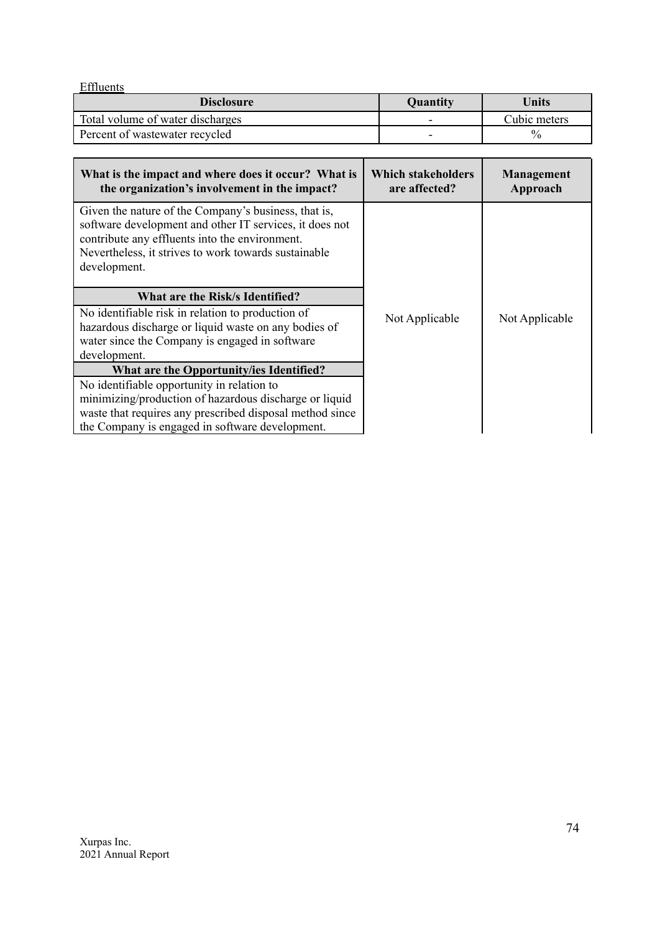| Effluents                        |                 |               |
|----------------------------------|-----------------|---------------|
| <b>Disclosure</b>                | <b>Quantity</b> | Units         |
| Total volume of water discharges |                 | Cubic meters  |
| Percent of wastewater recycled   | -               | $\frac{0}{0}$ |

| What is the impact and where does it occur? What is<br>the organization's involvement in the impact?                                                                                                                                      | <b>Which stakeholders</b><br>are affected? | <b>Management</b><br>Approach |  |
|-------------------------------------------------------------------------------------------------------------------------------------------------------------------------------------------------------------------------------------------|--------------------------------------------|-------------------------------|--|
| Given the nature of the Company's business, that is,<br>software development and other IT services, it does not<br>contribute any effluents into the environment.<br>Nevertheless, it strives to work towards sustainable<br>development. |                                            |                               |  |
| What are the Risk/s Identified?                                                                                                                                                                                                           |                                            |                               |  |
| No identifiable risk in relation to production of<br>hazardous discharge or liquid waste on any bodies of<br>water since the Company is engaged in software<br>development.                                                               | Not Applicable                             | Not Applicable                |  |
| What are the Opportunity/ies Identified?                                                                                                                                                                                                  |                                            |                               |  |
| No identifiable opportunity in relation to                                                                                                                                                                                                |                                            |                               |  |
| minimizing/production of hazardous discharge or liquid<br>waste that requires any prescribed disposal method since<br>the Company is engaged in software development.                                                                     |                                            |                               |  |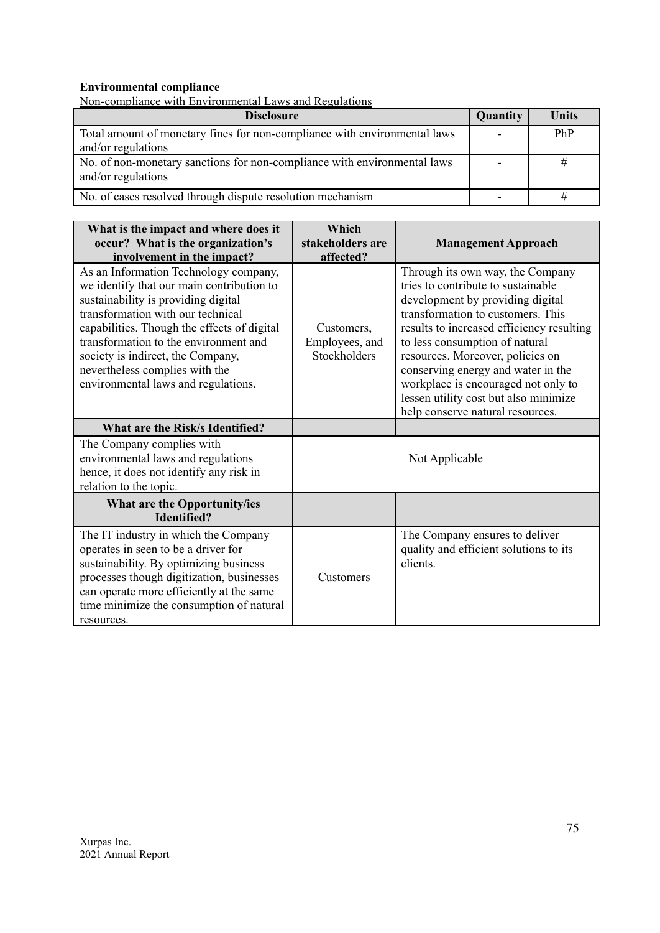### **Environmental compliance**

| Non-compliance with Environmental Laws and Regulations                                          |                          |              |
|-------------------------------------------------------------------------------------------------|--------------------------|--------------|
| <b>Disclosure</b>                                                                               | Quantity                 | <b>Units</b> |
| Total amount of monetary fines for non-compliance with environmental laws<br>and/or regulations | $\overline{\phantom{a}}$ | PhP          |
| No. of non-monetary sanctions for non-compliance with environmental laws<br>and/or regulations  | ۰                        | #            |
| No. of cases resolved through dispute resolution mechanism                                      | $\overline{\phantom{0}}$ |              |

| What is the impact and where does it<br>occur? What is the organization's<br>involvement in the impact?                                                                                                                                                                                                                                                              | Which<br>stakeholders are<br>affected?       | <b>Management Approach</b>                                                                                                                                                                                                                                                                                                                                                                                                   |
|----------------------------------------------------------------------------------------------------------------------------------------------------------------------------------------------------------------------------------------------------------------------------------------------------------------------------------------------------------------------|----------------------------------------------|------------------------------------------------------------------------------------------------------------------------------------------------------------------------------------------------------------------------------------------------------------------------------------------------------------------------------------------------------------------------------------------------------------------------------|
| As an Information Technology company,<br>we identify that our main contribution to<br>sustainability is providing digital<br>transformation with our technical<br>capabilities. Though the effects of digital<br>transformation to the environment and<br>society is indirect, the Company,<br>nevertheless complies with the<br>environmental laws and regulations. | Customers,<br>Employees, and<br>Stockholders | Through its own way, the Company<br>tries to contribute to sustainable<br>development by providing digital<br>transformation to customers. This<br>results to increased efficiency resulting<br>to less consumption of natural<br>resources. Moreover, policies on<br>conserving energy and water in the<br>workplace is encouraged not only to<br>lessen utility cost but also minimize<br>help conserve natural resources. |
| What are the Risk/s Identified?                                                                                                                                                                                                                                                                                                                                      |                                              |                                                                                                                                                                                                                                                                                                                                                                                                                              |
| The Company complies with<br>environmental laws and regulations<br>hence, it does not identify any risk in<br>relation to the topic.                                                                                                                                                                                                                                 |                                              | Not Applicable                                                                                                                                                                                                                                                                                                                                                                                                               |
| What are the Opportunity/ies<br><b>Identified?</b>                                                                                                                                                                                                                                                                                                                   |                                              |                                                                                                                                                                                                                                                                                                                                                                                                                              |
| The IT industry in which the Company<br>operates in seen to be a driver for<br>sustainability. By optimizing business<br>processes though digitization, businesses<br>can operate more efficiently at the same<br>time minimize the consumption of natural<br>resources.                                                                                             | Customers                                    | The Company ensures to deliver<br>quality and efficient solutions to its<br>clients.                                                                                                                                                                                                                                                                                                                                         |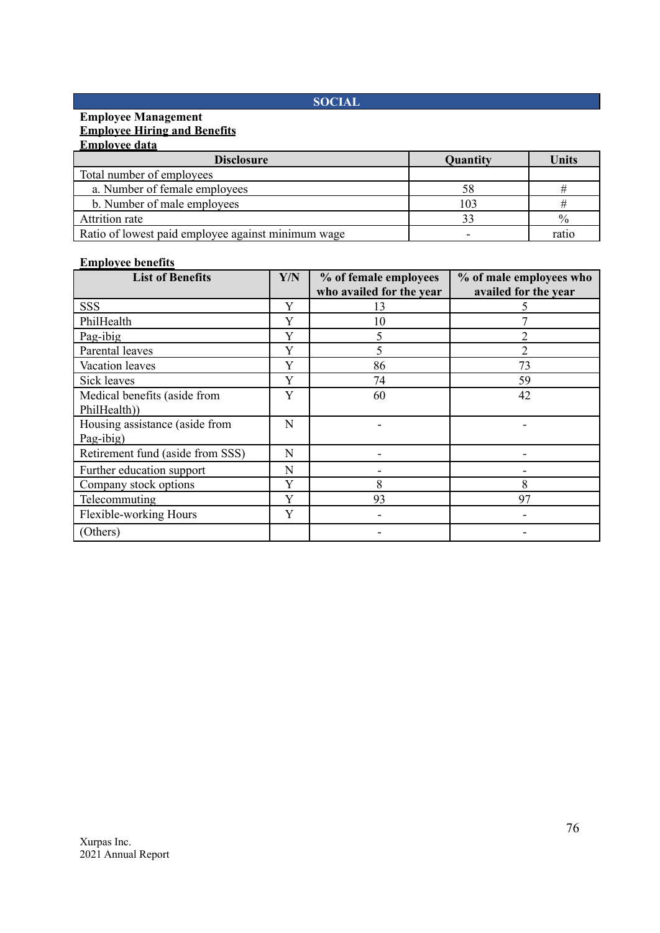# **SOCIAL**

#### **Employee Management Employee Hiring and Benefits Employee data**

| <b>Disclosure</b>                                  | Quantity | Units         |
|----------------------------------------------------|----------|---------------|
| Total number of employees                          |          |               |
| a. Number of female employees                      | 58       |               |
| b. Number of male employees                        | 103      |               |
| Attrition rate                                     |          | $\frac{0}{0}$ |
| Ratio of lowest paid employee against minimum wage |          | ratic         |

#### **Employee benefits**

| <b>List of Benefits</b>                      | Y/N | % of female employees<br>who availed for the year | % of male employees who<br>availed for the year |
|----------------------------------------------|-----|---------------------------------------------------|-------------------------------------------------|
| <b>SSS</b>                                   | Y   | 13                                                |                                                 |
| PhilHealth                                   | Y   | 10                                                |                                                 |
| Pag-ibig                                     | Y   |                                                   |                                                 |
| Parental leaves                              | Y   |                                                   | 2                                               |
| Vacation leaves                              | Y   | 86                                                | 73                                              |
| Sick leaves                                  | Y   | 74                                                | 59                                              |
| Medical benefits (aside from<br>PhilHealth)) | Y   | 60                                                | 42                                              |
| Housing assistance (aside from<br>Pag-ibig)  | N   |                                                   |                                                 |
| Retirement fund (aside from SSS)             | N   |                                                   |                                                 |
| Further education support                    | N   |                                                   |                                                 |
| Company stock options                        | Y   | 8                                                 | 8                                               |
| Telecommuting                                | Y   | 93                                                | 97                                              |
| Flexible-working Hours                       | Y   |                                                   |                                                 |
| (Others)                                     |     |                                                   |                                                 |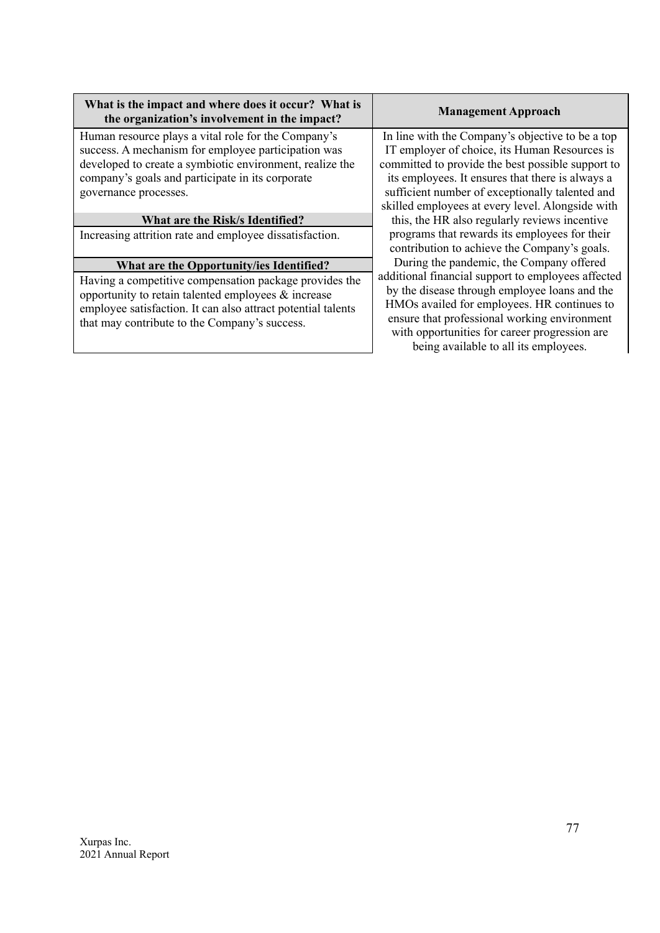| What is the impact and where does it occur? What is |  |
|-----------------------------------------------------|--|
| the organization's involvement in the impact?       |  |

Human resource plays a vital role for the Company's success. A mechanism for employee participation was developed to create a symbiotic environment, realize the company's goals and participate in its corporate governance processes.

## **What are the Risk/s Identified?**

Increasing attrition rate and employee dissatisfaction.

# **What are the Opportunity/ies Identified?**

Having a competitive compensation package provides the opportunity to retain talented employees & increase employee satisfaction. It can also attract potential talents that may contribute to the Company's success.

### **Management Approach**

In line with the Company's objective to be a top IT employer of choice, its Human Resources is committed to provide the best possible support to its employees. It ensures that there is always a sufficient number of exceptionally talented and skilled employees at every level. Alongside with

this, the HR also regularly reviews incentive programs that rewards its employees for their contribution to achieve the Company's goals.

During the pandemic, the Company offered additional financial support to employees affected by the disease through employee loans and the HMOs availed for employees. HR continues to ensure that professional working environment with opportunities for career progression are being available to all its employees.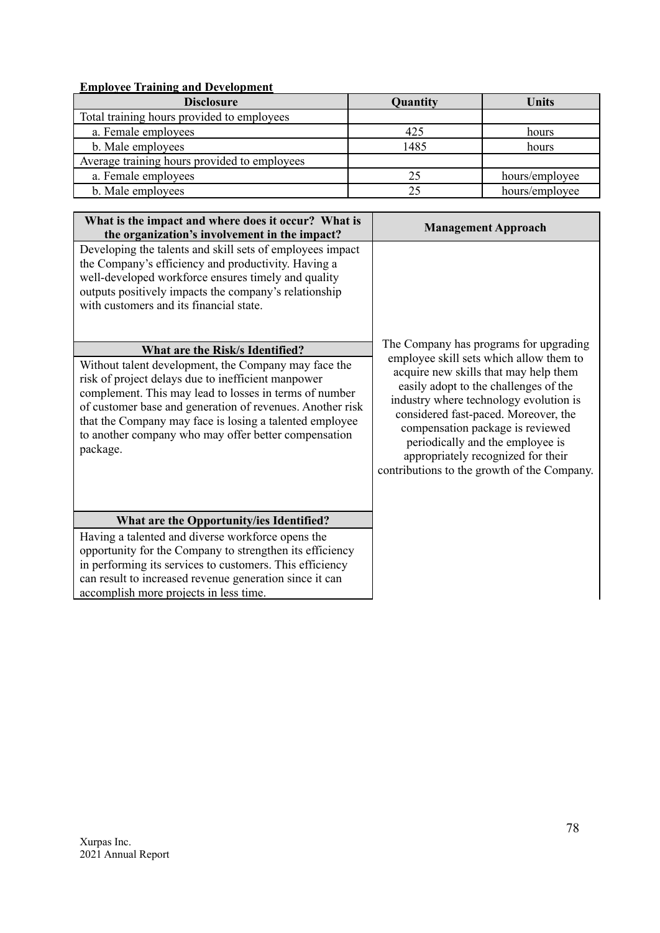# **Employee Training and Development**

| <b>Disclosure</b>                            | Quantity | <b>Units</b>   |
|----------------------------------------------|----------|----------------|
| Total training hours provided to employees   |          |                |
| a. Female employees                          | 425      | hours          |
| b. Male employees                            | 1485     | hours          |
| Average training hours provided to employees |          |                |
| a. Female employees                          | 25       | hours/employee |
| b. Male employees                            | 25       | hours/employee |

| What is the impact and where does it occur? What is<br>the organization's involvement in the impact?                                                                                                                                                                                                                                                                                                                                                                                                                                                                                                                                                                               | <b>Management Approach</b>                                                                                                                                                                                                                                                                                                                                                                                         |
|------------------------------------------------------------------------------------------------------------------------------------------------------------------------------------------------------------------------------------------------------------------------------------------------------------------------------------------------------------------------------------------------------------------------------------------------------------------------------------------------------------------------------------------------------------------------------------------------------------------------------------------------------------------------------------|--------------------------------------------------------------------------------------------------------------------------------------------------------------------------------------------------------------------------------------------------------------------------------------------------------------------------------------------------------------------------------------------------------------------|
| Developing the talents and skill sets of employees impact<br>the Company's efficiency and productivity. Having a<br>well-developed workforce ensures timely and quality<br>outputs positively impacts the company's relationship<br>with customers and its financial state.<br>What are the Risk/s Identified?<br>Without talent development, the Company may face the<br>risk of project delays due to inefficient manpower<br>complement. This may lead to losses in terms of number<br>of customer base and generation of revenues. Another risk<br>that the Company may face is losing a talented employee<br>to another company who may offer better compensation<br>package. | The Company has programs for upgrading<br>employee skill sets which allow them to<br>acquire new skills that may help them<br>easily adopt to the challenges of the<br>industry where technology evolution is<br>considered fast-paced. Moreover, the<br>compensation package is reviewed<br>periodically and the employee is<br>appropriately recognized for their<br>contributions to the growth of the Company. |
| What are the Opportunity/ies Identified?                                                                                                                                                                                                                                                                                                                                                                                                                                                                                                                                                                                                                                           |                                                                                                                                                                                                                                                                                                                                                                                                                    |
| Having a talented and diverse workforce opens the                                                                                                                                                                                                                                                                                                                                                                                                                                                                                                                                                                                                                                  |                                                                                                                                                                                                                                                                                                                                                                                                                    |
| opportunity for the Company to strengthen its efficiency<br>in performing its services to customers. This efficiency                                                                                                                                                                                                                                                                                                                                                                                                                                                                                                                                                               |                                                                                                                                                                                                                                                                                                                                                                                                                    |
| can result to increased revenue generation since it can                                                                                                                                                                                                                                                                                                                                                                                                                                                                                                                                                                                                                            |                                                                                                                                                                                                                                                                                                                                                                                                                    |
| accomplish more projects in less time.                                                                                                                                                                                                                                                                                                                                                                                                                                                                                                                                                                                                                                             |                                                                                                                                                                                                                                                                                                                                                                                                                    |
|                                                                                                                                                                                                                                                                                                                                                                                                                                                                                                                                                                                                                                                                                    |                                                                                                                                                                                                                                                                                                                                                                                                                    |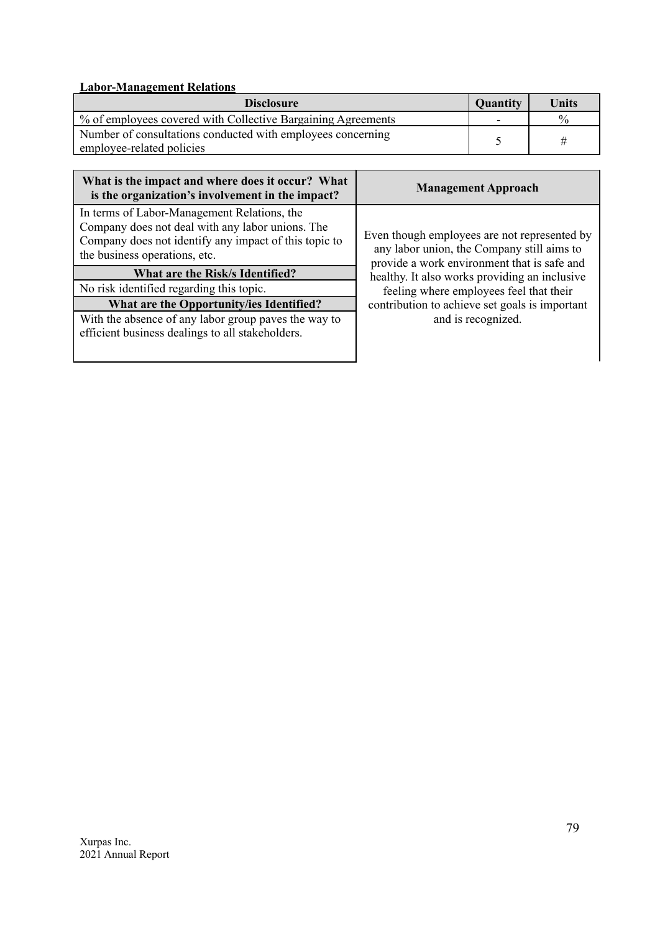# **Labor-Management Relations**

| <b>Quantity</b><br><b>Disclosure</b>                                                     |   | Units         |
|------------------------------------------------------------------------------------------|---|---------------|
| % of employees covered with Collective Bargaining Agreements                             | ٠ | $\frac{0}{0}$ |
| Number of consultations conducted with employees concerning<br>employee-related policies |   |               |

| What is the impact and where does it occur? What<br>is the organization's involvement in the impact?                                                                                      | <b>Management Approach</b>                                                                                                                |
|-------------------------------------------------------------------------------------------------------------------------------------------------------------------------------------------|-------------------------------------------------------------------------------------------------------------------------------------------|
| In terms of Labor-Management Relations, the<br>Company does not deal with any labor unions. The<br>Company does not identify any impact of this topic to<br>the business operations, etc. | Even though employees are not represented by<br>any labor union, the Company still aims to<br>provide a work environment that is safe and |
| What are the Risk/s Identified?                                                                                                                                                           | healthy. It also works providing an inclusive                                                                                             |
| No risk identified regarding this topic.                                                                                                                                                  | feeling where employees feel that their                                                                                                   |
| What are the Opportunity/ies Identified?                                                                                                                                                  | contribution to achieve set goals is important                                                                                            |
| With the absence of any labor group paves the way to<br>efficient business dealings to all stakeholders.                                                                                  | and is recognized.                                                                                                                        |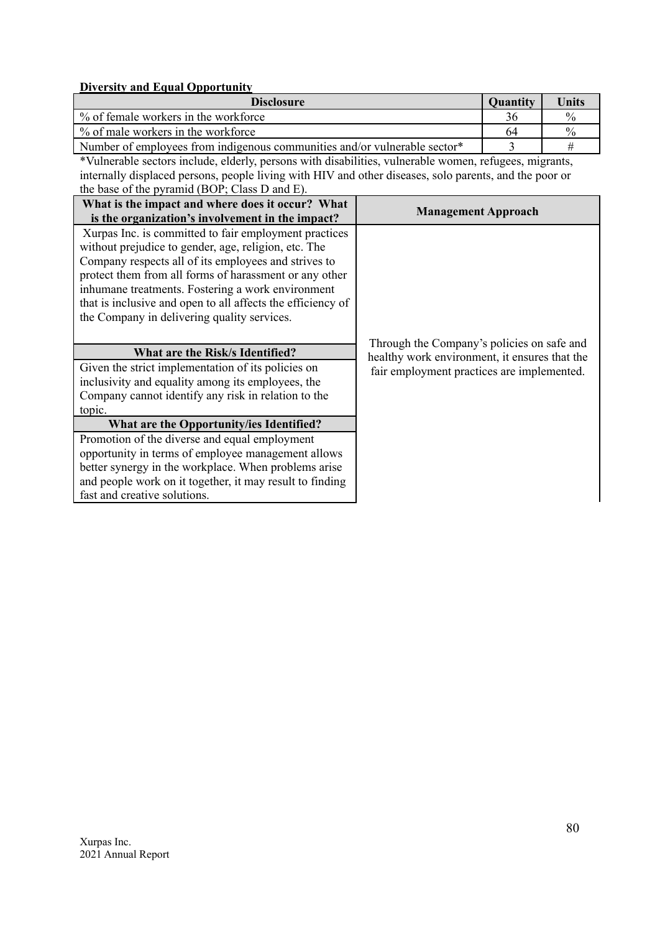#### **Diversity and Equal Opportunity**

| <b>Disclosure</b>                                                         | <b>Quantity</b> | Units         |
|---------------------------------------------------------------------------|-----------------|---------------|
| % of female workers in the workforce                                      | 36              | $\frac{0}{0}$ |
| % of male workers in the workforce                                        | 64              | $^{0}/_{0}$   |
| Number of employees from indigenous communities and/or vulnerable sector* |                 |               |

\*Vulnerable sectors include, elderly, persons with disabilities, vulnerable women, refugees, migrants, internally displaced persons, people living with HIV and other diseases, solo parents, and the poor or the base of the pyramid (BOP; Class D and E).

| What is the impact and where does it occur? What<br>is the organization's involvement in the impact?                                                                                                                                                                                                                                                                                               | <b>Management Approach</b>                                                                  |
|----------------------------------------------------------------------------------------------------------------------------------------------------------------------------------------------------------------------------------------------------------------------------------------------------------------------------------------------------------------------------------------------------|---------------------------------------------------------------------------------------------|
| Xurpas Inc. is committed to fair employment practices<br>without prejudice to gender, age, religion, etc. The<br>Company respects all of its employees and strives to<br>protect them from all forms of harassment or any other<br>inhumane treatments. Fostering a work environment<br>that is inclusive and open to all affects the efficiency of<br>the Company in delivering quality services. |                                                                                             |
| <b>What are the Risk/s Identified?</b>                                                                                                                                                                                                                                                                                                                                                             | Through the Company's policies on safe and<br>healthy work environment, it ensures that the |
| Given the strict implementation of its policies on<br>inclusivity and equality among its employees, the                                                                                                                                                                                                                                                                                            | fair employment practices are implemented.                                                  |
| Company cannot identify any risk in relation to the                                                                                                                                                                                                                                                                                                                                                |                                                                                             |
| topic.                                                                                                                                                                                                                                                                                                                                                                                             |                                                                                             |
| What are the Opportunity/ies Identified?                                                                                                                                                                                                                                                                                                                                                           |                                                                                             |
| Promotion of the diverse and equal employment                                                                                                                                                                                                                                                                                                                                                      |                                                                                             |
| opportunity in terms of employee management allows                                                                                                                                                                                                                                                                                                                                                 |                                                                                             |
| better synergy in the workplace. When problems arise                                                                                                                                                                                                                                                                                                                                               |                                                                                             |
| and people work on it together, it may result to finding                                                                                                                                                                                                                                                                                                                                           |                                                                                             |
| fast and creative solutions.                                                                                                                                                                                                                                                                                                                                                                       |                                                                                             |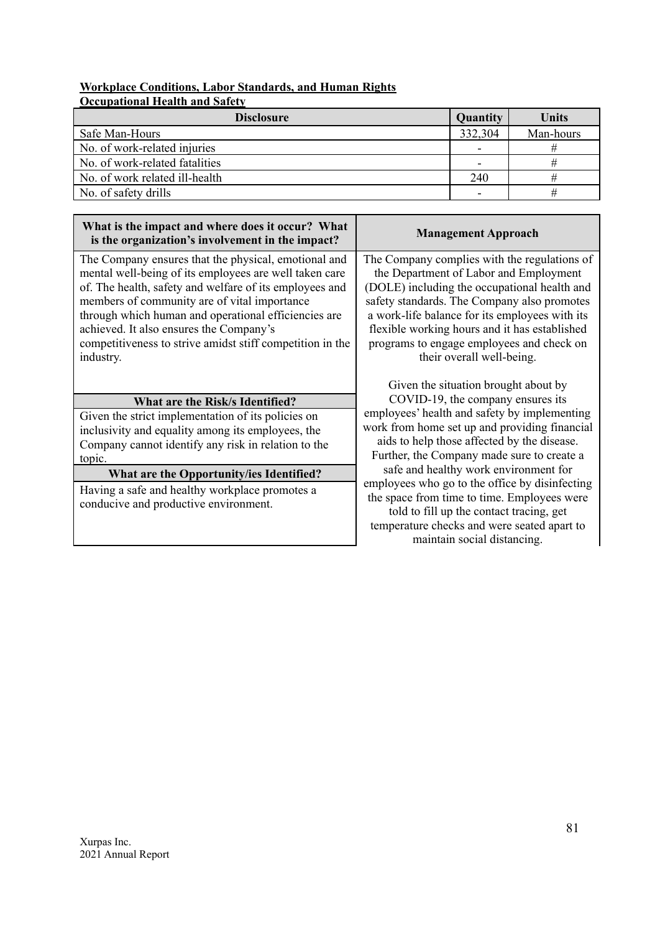## **Workplace Conditions, Labor Standards, and Human Rights Occupational Health and Safety**

| <b>Disclosure</b>              | Quantity                 | Units     |
|--------------------------------|--------------------------|-----------|
| Safe Man-Hours                 | 332,304                  | Man-hours |
| No. of work-related injuries   |                          |           |
| No. of work-related fatalities | $\overline{\phantom{0}}$ |           |
| No. of work related ill-health | 240                      |           |
| No. of safety drills           |                          |           |

| What is the impact and where does it occur? What<br>is the organization's involvement in the impact?                                                                                                                                                                                                                                                                                                   | <b>Management Approach</b>                                                                                                                                                                                                                                                                                                                                         |
|--------------------------------------------------------------------------------------------------------------------------------------------------------------------------------------------------------------------------------------------------------------------------------------------------------------------------------------------------------------------------------------------------------|--------------------------------------------------------------------------------------------------------------------------------------------------------------------------------------------------------------------------------------------------------------------------------------------------------------------------------------------------------------------|
| The Company ensures that the physical, emotional and<br>mental well-being of its employees are well taken care<br>of. The health, safety and welfare of its employees and<br>members of community are of vital importance<br>through which human and operational efficiencies are<br>achieved. It also ensures the Company's<br>competitiveness to strive amidst stiff competition in the<br>industry. | The Company complies with the regulations of<br>the Department of Labor and Employment<br>(DOLE) including the occupational health and<br>safety standards. The Company also promotes<br>a work-life balance for its employees with its<br>flexible working hours and it has established<br>programs to engage employees and check on<br>their overall well-being. |
| What are the Risk/s Identified?                                                                                                                                                                                                                                                                                                                                                                        | Given the situation brought about by<br>COVID-19, the company ensures its<br>employees' health and safety by implementing                                                                                                                                                                                                                                          |
| Given the strict implementation of its policies on<br>inclusivity and equality among its employees, the<br>Company cannot identify any risk in relation to the<br>topic.                                                                                                                                                                                                                               | work from home set up and providing financial<br>aids to help those affected by the disease.<br>Further, the Company made sure to create a                                                                                                                                                                                                                         |
| What are the Opportunity/ies Identified?                                                                                                                                                                                                                                                                                                                                                               | safe and healthy work environment for                                                                                                                                                                                                                                                                                                                              |
| Having a safe and healthy workplace promotes a<br>conducive and productive environment.                                                                                                                                                                                                                                                                                                                | employees who go to the office by disinfecting<br>the space from time to time. Employees were<br>told to fill up the contact tracing, get<br>temperature checks and were seated apart to<br>maintain social distancing.                                                                                                                                            |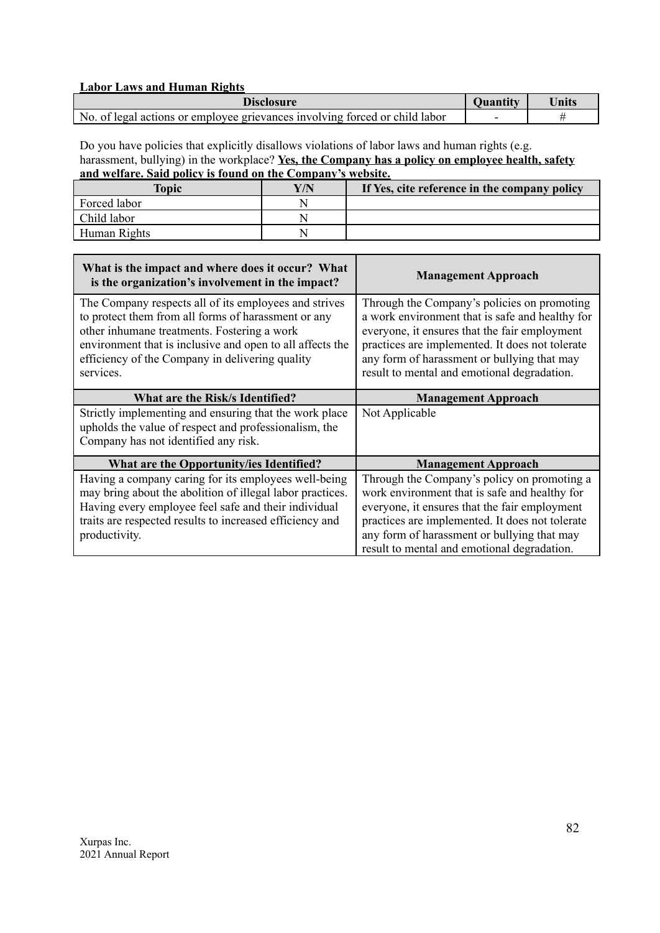## **Labor Laws and Human Rights**

| <b>Quantity</b><br><b>Disclosure</b>                                        |  | Units |
|-----------------------------------------------------------------------------|--|-------|
| No. of legal actions or employee grievances involving forced or child labor |  |       |

Do you have policies that explicitly disallows violations of labor laws and human rights (e.g. harassment, bullying) in the workplace? **Yes, the Company has a policy on employee health, safety and welfare. Said policy is found on the Company's website.**

| <b>Topic</b> | ${\bf Y/N}$ | If Yes, cite reference in the company policy |
|--------------|-------------|----------------------------------------------|
| Forced labor |             |                                              |
| Child labor  |             |                                              |
| Human Rights |             |                                              |

| What is the impact and where does it occur? What<br>is the organization's involvement in the impact?                                                                                                                                                                                     | <b>Management Approach</b>                                                                                                                                                                                                                                                                       |
|------------------------------------------------------------------------------------------------------------------------------------------------------------------------------------------------------------------------------------------------------------------------------------------|--------------------------------------------------------------------------------------------------------------------------------------------------------------------------------------------------------------------------------------------------------------------------------------------------|
| The Company respects all of its employees and strives<br>to protect them from all forms of harassment or any<br>other inhumane treatments. Fostering a work<br>environment that is inclusive and open to all affects the<br>efficiency of the Company in delivering quality<br>services. | Through the Company's policies on promoting<br>a work environment that is safe and healthy for<br>everyone, it ensures that the fair employment<br>practices are implemented. It does not tolerate<br>any form of harassment or bullying that may<br>result to mental and emotional degradation. |
| What are the Risk/s Identified?                                                                                                                                                                                                                                                          | <b>Management Approach</b>                                                                                                                                                                                                                                                                       |
| Strictly implementing and ensuring that the work place<br>upholds the value of respect and professionalism, the<br>Company has not identified any risk.                                                                                                                                  | Not Applicable                                                                                                                                                                                                                                                                                   |
| What are the Opportunity/ies Identified?                                                                                                                                                                                                                                                 | <b>Management Approach</b>                                                                                                                                                                                                                                                                       |
| Having a company caring for its employees well-being<br>may bring about the abolition of illegal labor practices.<br>Having every employee feel safe and their individual<br>traits are respected results to increased efficiency and<br>productivity.                                   | Through the Company's policy on promoting a<br>work environment that is safe and healthy for<br>everyone, it ensures that the fair employment<br>practices are implemented. It does not tolerate<br>any form of harassment or bullying that may<br>result to mental and emotional degradation.   |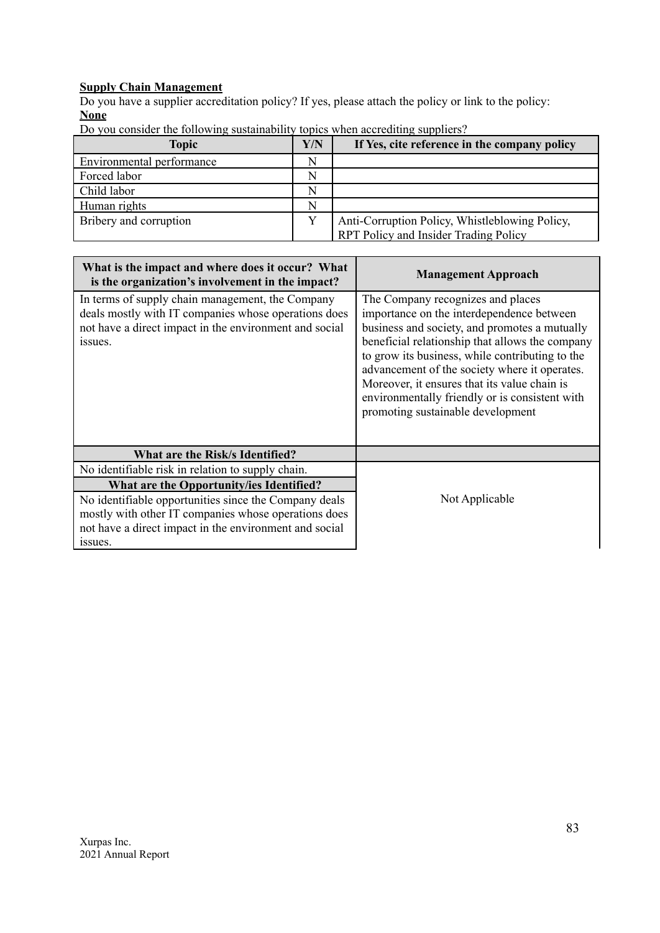# **Supply Chain Management**

Do you have a supplier accreditation policy? If yes, please attach the policy or link to the policy: **None**

| Do you consider the following sustainability topics when accrediting suppliers? |  |  |  |
|---------------------------------------------------------------------------------|--|--|--|
|                                                                                 |  |  |  |

| <b>Topic</b>                  | Y/N | If Yes, cite reference in the company policy   |
|-------------------------------|-----|------------------------------------------------|
| Environmental performance     |     |                                                |
| Forced labor                  | N   |                                                |
| Child labor                   |     |                                                |
| Human rights                  | N   |                                                |
| <b>Bribery</b> and corruption | v   | Anti-Corruption Policy, Whistleblowing Policy, |
|                               |     | <b>RPT Policy and Insider Trading Policy</b>   |

| What is the impact and where does it occur? What<br>is the organization's involvement in the impact?                                                                          | <b>Management Approach</b>                                                                                                                                                                                                                                                                                                                                                                                                    |
|-------------------------------------------------------------------------------------------------------------------------------------------------------------------------------|-------------------------------------------------------------------------------------------------------------------------------------------------------------------------------------------------------------------------------------------------------------------------------------------------------------------------------------------------------------------------------------------------------------------------------|
| In terms of supply chain management, the Company<br>deals mostly with IT companies whose operations does<br>not have a direct impact in the environment and social<br>issues. | The Company recognizes and places<br>importance on the interdependence between<br>business and society, and promotes a mutually<br>beneficial relationship that allows the company<br>to grow its business, while contributing to the<br>advancement of the society where it operates.<br>Moreover, it ensures that its value chain is<br>environmentally friendly or is consistent with<br>promoting sustainable development |
| What are the Risk/s Identified?                                                                                                                                               |                                                                                                                                                                                                                                                                                                                                                                                                                               |
| No identifiable risk in relation to supply chain.                                                                                                                             |                                                                                                                                                                                                                                                                                                                                                                                                                               |
| What are the Opportunity/ies Identified?                                                                                                                                      |                                                                                                                                                                                                                                                                                                                                                                                                                               |
| No identifiable opportunities since the Company deals                                                                                                                         | Not Applicable                                                                                                                                                                                                                                                                                                                                                                                                                |
| mostly with other IT companies whose operations does                                                                                                                          |                                                                                                                                                                                                                                                                                                                                                                                                                               |
| not have a direct impact in the environment and social                                                                                                                        |                                                                                                                                                                                                                                                                                                                                                                                                                               |
| issues.                                                                                                                                                                       |                                                                                                                                                                                                                                                                                                                                                                                                                               |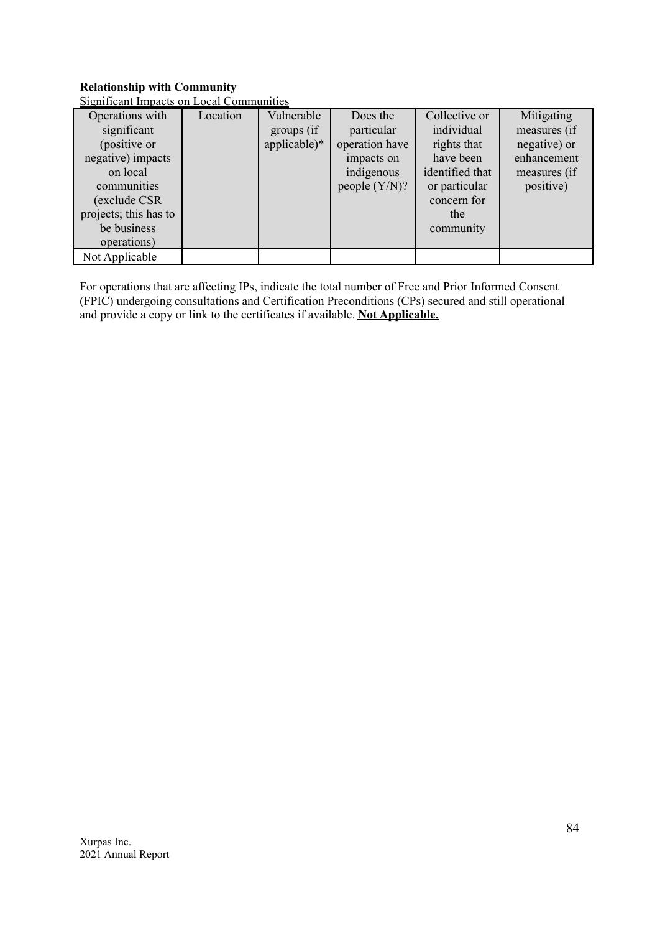# **Relationship with Community**

| Significant Impacts on Local Communities |  |
|------------------------------------------|--|
|                                          |  |

| Operations with<br>significant<br>(positive or<br>negative) impacts<br>on local<br>communities<br>(exclude CSR | Location | Vulnerable<br>groups (if<br>$applicable)*$ | Does the<br>particular<br>operation have<br>impacts on<br>indigenous<br>people $(Y/N)$ ? | Collective or<br>individual<br>rights that<br>have been<br>identified that<br>or particular<br>concern for | Mitigating<br>measures (if<br>negative) or<br>enhancement<br>measures (if<br>positive) |
|----------------------------------------------------------------------------------------------------------------|----------|--------------------------------------------|------------------------------------------------------------------------------------------|------------------------------------------------------------------------------------------------------------|----------------------------------------------------------------------------------------|
| projects; this has to<br>be business                                                                           |          |                                            |                                                                                          | the<br>community                                                                                           |                                                                                        |
| operations)<br>Not Applicable                                                                                  |          |                                            |                                                                                          |                                                                                                            |                                                                                        |

For operations that are affecting IPs, indicate the total number of Free and Prior Informed Consent (FPIC) undergoing consultations and Certification Preconditions (CPs) secured and still operational and provide a copy or link to the certificates if available. **Not Applicable.**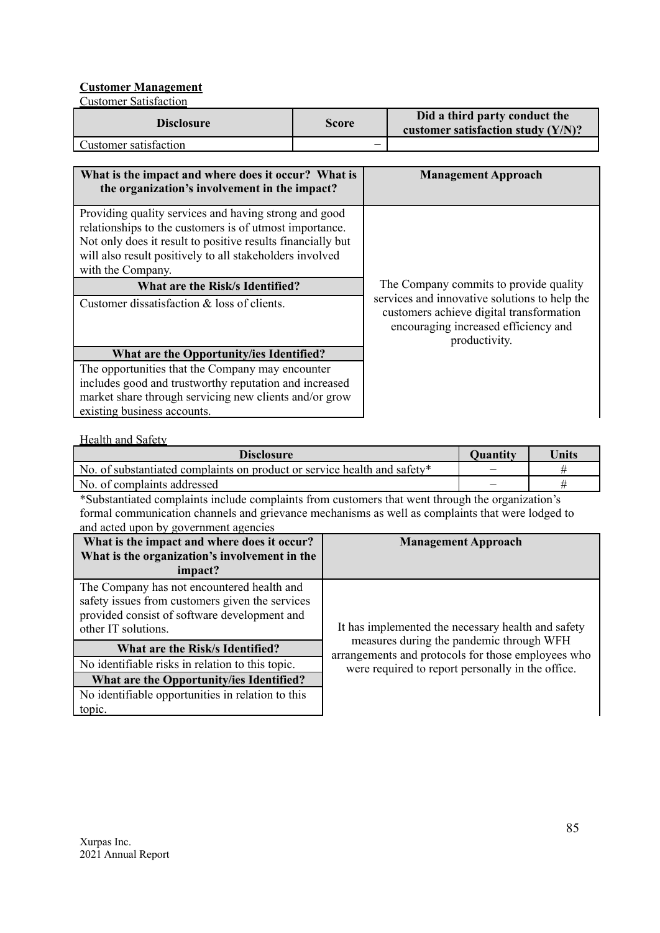# **Customer Management**

Customer Satisfaction

| <b>Disclosure</b>     | <b>Score</b> | Did a third party conduct the<br>customer satisfaction study $(Y/N)$ ? |
|-----------------------|--------------|------------------------------------------------------------------------|
| Customer satisfaction | –            |                                                                        |

| What is the impact and where does it occur? What is<br>the organization's involvement in the impact?                                                                                                                                                             | <b>Management Approach</b>                                                                                                                         |
|------------------------------------------------------------------------------------------------------------------------------------------------------------------------------------------------------------------------------------------------------------------|----------------------------------------------------------------------------------------------------------------------------------------------------|
| Providing quality services and having strong and good<br>relationships to the customers is of utmost importance.<br>Not only does it result to positive results financially but<br>will also result positively to all stakeholders involved<br>with the Company. |                                                                                                                                                    |
| What are the Risk/s Identified?                                                                                                                                                                                                                                  | The Company commits to provide quality                                                                                                             |
| Customer dissatisfaction & loss of clients.                                                                                                                                                                                                                      | services and innovative solutions to help the<br>customers achieve digital transformation<br>encouraging increased efficiency and<br>productivity. |
| What are the Opportunity/ies Identified?                                                                                                                                                                                                                         |                                                                                                                                                    |
| The opportunities that the Company may encounter                                                                                                                                                                                                                 |                                                                                                                                                    |
| includes good and trustworthy reputation and increased                                                                                                                                                                                                           |                                                                                                                                                    |
| market share through servicing new clients and/or grow                                                                                                                                                                                                           |                                                                                                                                                    |
| existing business accounts.                                                                                                                                                                                                                                      |                                                                                                                                                    |

Health and Safety

| <b>Disclosure</b>                                                        | <b>Quantity</b> | Units |
|--------------------------------------------------------------------------|-----------------|-------|
| No. of substantiated complaints on product or service health and safety* |                 |       |
| No. of complaints addressed                                              | —               |       |

\*Substantiated complaints include complaints from customers that went through the organization's formal communication channels and grievance mechanisms as well as complaints that were lodged to and acted upon by government agencies

| What is the impact and where does it occur?<br>What is the organization's involvement in the<br>impact?                                                              | <b>Management Approach</b>                                                                     |  |  |
|----------------------------------------------------------------------------------------------------------------------------------------------------------------------|------------------------------------------------------------------------------------------------|--|--|
| The Company has not encountered health and<br>safety issues from customers given the services<br>provided consist of software development and<br>other IT solutions. | It has implemented the necessary health and safety                                             |  |  |
| What are the Risk/s Identified?                                                                                                                                      | measures during the pandemic through WFH<br>arrangements and protocols for those employees who |  |  |
| No identifiable risks in relation to this topic.                                                                                                                     | were required to report personally in the office.                                              |  |  |
| What are the Opportunity/ies Identified?                                                                                                                             |                                                                                                |  |  |
| No identifiable opportunities in relation to this                                                                                                                    |                                                                                                |  |  |
| topic.                                                                                                                                                               |                                                                                                |  |  |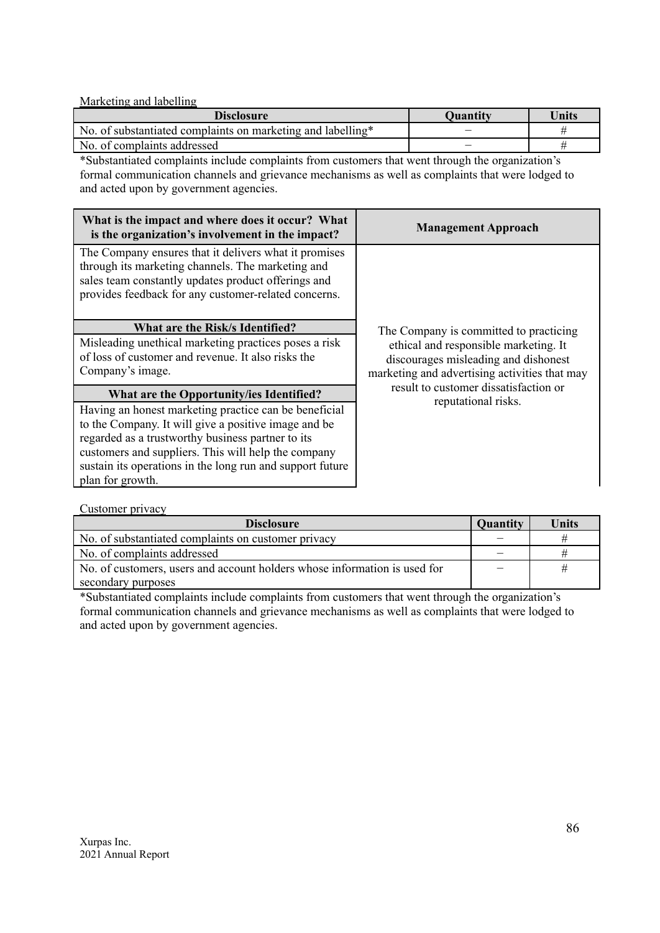### Marketing and labelling

| <b>Disclosure</b>                                           | <b>Ouantity</b> | Units |
|-------------------------------------------------------------|-----------------|-------|
| No. of substantiated complaints on marketing and labelling* |                 |       |
| No. of complaints addressed                                 |                 |       |

\*Substantiated complaints include complaints from customers that went through the organization's formal communication channels and grievance mechanisms as well as complaints that were lodged to and acted upon by government agencies.

| What is the impact and where does it occur? What<br>is the organization's involvement in the impact?                                                                                                                                                                                                       | <b>Management Approach</b>                                                                                                     |
|------------------------------------------------------------------------------------------------------------------------------------------------------------------------------------------------------------------------------------------------------------------------------------------------------------|--------------------------------------------------------------------------------------------------------------------------------|
| The Company ensures that it delivers what it promises<br>through its marketing channels. The marketing and<br>sales team constantly updates product offerings and<br>provides feedback for any customer-related concerns.                                                                                  |                                                                                                                                |
| What are the Risk/s Identified?                                                                                                                                                                                                                                                                            | The Company is committed to practicing                                                                                         |
| Misleading unethical marketing practices poses a risk<br>of loss of customer and revenue. It also risks the<br>Company's image.                                                                                                                                                                            | ethical and responsible marketing. It<br>discourages misleading and dishonest<br>marketing and advertising activities that may |
| What are the Opportunity/ies Identified?                                                                                                                                                                                                                                                                   | result to customer dissatisfaction or<br>reputational risks.                                                                   |
| Having an honest marketing practice can be beneficial<br>to the Company. It will give a positive image and be<br>regarded as a trustworthy business partner to its<br>customers and suppliers. This will help the company<br>sustain its operations in the long run and support future<br>plan for growth. |                                                                                                                                |

Customer privacy

| <b>Disclosure</b><br>Quantity                                             |   | Units |
|---------------------------------------------------------------------------|---|-------|
| No. of substantiated complaints on customer privacy                       |   |       |
| No. of complaints addressed                                               | _ |       |
| No. of customers, users and account holders whose information is used for |   | #     |
| secondary purposes                                                        |   |       |

\*Substantiated complaints include complaints from customers that went through the organization's formal communication channels and grievance mechanisms as well as complaints that were lodged to and acted upon by government agencies.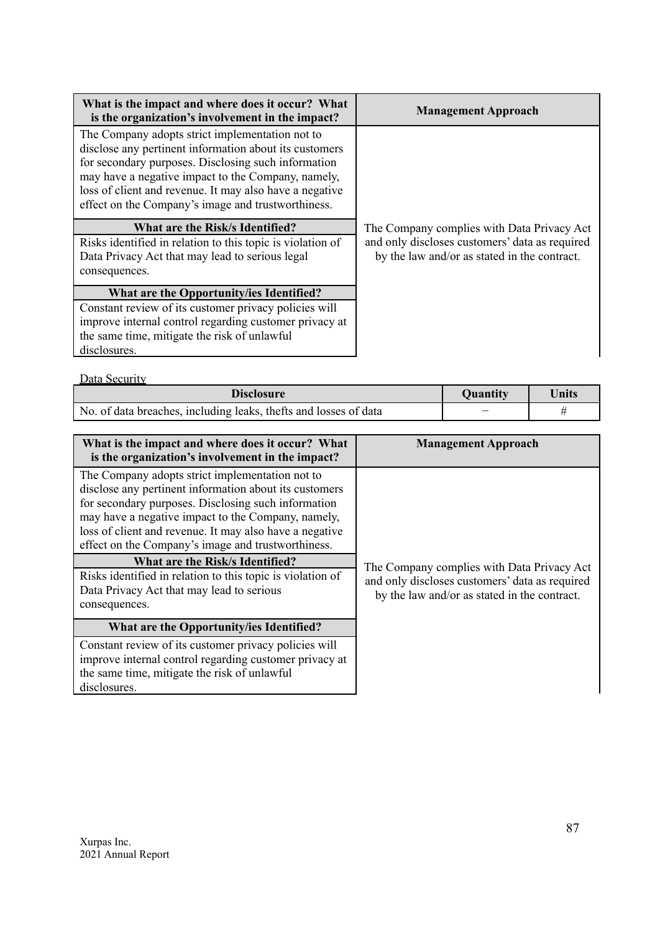| What is the impact and where does it occur? What<br>is the organization's involvement in the impact?                                                                                                                                                                                                                                    | <b>Management Approach</b>                                                                     |
|-----------------------------------------------------------------------------------------------------------------------------------------------------------------------------------------------------------------------------------------------------------------------------------------------------------------------------------------|------------------------------------------------------------------------------------------------|
| The Company adopts strict implementation not to<br>disclose any pertinent information about its customers<br>for secondary purposes. Disclosing such information<br>may have a negative impact to the Company, namely,<br>loss of client and revenue. It may also have a negative<br>effect on the Company's image and trustworthiness. |                                                                                                |
| What are the Risk/s Identified?                                                                                                                                                                                                                                                                                                         | The Company complies with Data Privacy Act                                                     |
| Risks identified in relation to this topic is violation of<br>Data Privacy Act that may lead to serious legal<br>consequences.                                                                                                                                                                                                          | and only discloses customers' data as required<br>by the law and/or as stated in the contract. |
| What are the Opportunity/ies Identified?                                                                                                                                                                                                                                                                                                |                                                                                                |
| Constant review of its customer privacy policies will<br>improve internal control regarding customer privacy at<br>the same time, mitigate the risk of unlawful<br>disclosures.                                                                                                                                                         |                                                                                                |

Data Security

| <b>Disclosure</b>                                                 | <b>Quantity</b> | Units |
|-------------------------------------------------------------------|-----------------|-------|
| No. of data breaches, including leaks, the fts and losses of data | -               |       |

| What is the impact and where does it occur? What<br>is the organization's involvement in the impact?                                                                                                                                                                                                                                                                                                                                                                                                          | <b>Management Approach</b>                                                                                                                   |
|---------------------------------------------------------------------------------------------------------------------------------------------------------------------------------------------------------------------------------------------------------------------------------------------------------------------------------------------------------------------------------------------------------------------------------------------------------------------------------------------------------------|----------------------------------------------------------------------------------------------------------------------------------------------|
| The Company adopts strict implementation not to<br>disclose any pertinent information about its customers<br>for secondary purposes. Disclosing such information<br>may have a negative impact to the Company, namely,<br>loss of client and revenue. It may also have a negative<br>effect on the Company's image and trustworthiness.<br><b>What are the Risk/s Identified?</b><br>Risks identified in relation to this topic is violation of<br>Data Privacy Act that may lead to serious<br>consequences. | The Company complies with Data Privacy Act<br>and only discloses customers' data as required<br>by the law and/or as stated in the contract. |
| What are the Opportunity/ies Identified?                                                                                                                                                                                                                                                                                                                                                                                                                                                                      |                                                                                                                                              |
| Constant review of its customer privacy policies will<br>improve internal control regarding customer privacy at<br>the same time, mitigate the risk of unlawful<br>disclosures.                                                                                                                                                                                                                                                                                                                               |                                                                                                                                              |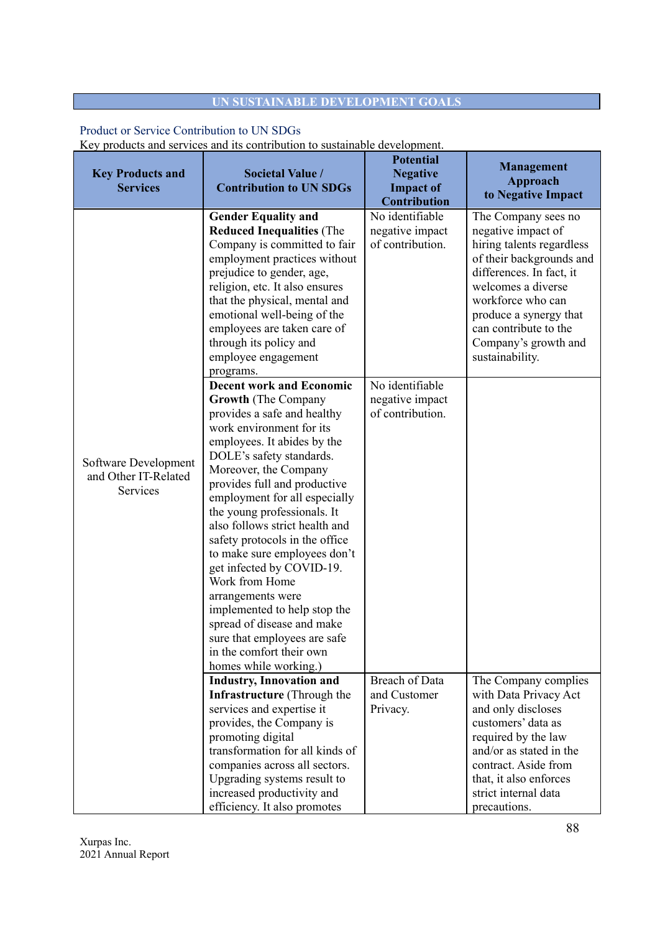# **UN SUSTAINABLE DEVELOPMENT GOALS**

# Product or Service Contribution to UN SDGs

Key products and services and its contribution to sustainable development.

| <b>Key Products and</b><br><b>Services</b>               | <b>Societal Value /</b><br><b>Contribution to UN SDGs</b>                                                                                                                                                                                                                                                                                                                                                                                                                                                                                                                                                                               | <b>Potential</b><br><b>Negative</b><br><b>Impact of</b><br>Contribution | <b>Management</b><br>Approach<br>to Negative Impact                                                                                                                                                                                                                     |
|----------------------------------------------------------|-----------------------------------------------------------------------------------------------------------------------------------------------------------------------------------------------------------------------------------------------------------------------------------------------------------------------------------------------------------------------------------------------------------------------------------------------------------------------------------------------------------------------------------------------------------------------------------------------------------------------------------------|-------------------------------------------------------------------------|-------------------------------------------------------------------------------------------------------------------------------------------------------------------------------------------------------------------------------------------------------------------------|
|                                                          | <b>Gender Equality and</b><br><b>Reduced Inequalities (The</b><br>Company is committed to fair<br>employment practices without<br>prejudice to gender, age,<br>religion, etc. It also ensures<br>that the physical, mental and<br>emotional well-being of the<br>employees are taken care of<br>through its policy and<br>employee engagement<br>programs.                                                                                                                                                                                                                                                                              | No identifiable<br>negative impact<br>of contribution.                  | The Company sees no<br>negative impact of<br>hiring talents regardless<br>of their backgrounds and<br>differences. In fact, it<br>welcomes a diverse<br>workforce who can<br>produce a synergy that<br>can contribute to the<br>Company's growth and<br>sustainability. |
| Software Development<br>and Other IT-Related<br>Services | <b>Decent work and Economic</b><br><b>Growth</b> (The Company<br>provides a safe and healthy<br>work environment for its<br>employees. It abides by the<br>DOLE's safety standards.<br>Moreover, the Company<br>provides full and productive<br>employment for all especially<br>the young professionals. It<br>also follows strict health and<br>safety protocols in the office<br>to make sure employees don't<br>get infected by COVID-19.<br>Work from Home<br>arrangements were<br>implemented to help stop the<br>spread of disease and make<br>sure that employees are safe<br>in the comfort their own<br>homes while working.) | No identifiable<br>negative impact<br>of contribution.                  |                                                                                                                                                                                                                                                                         |
|                                                          | <b>Industry, Innovation and</b><br><b>Infrastructure</b> (Through the<br>services and expertise it<br>provides, the Company is<br>promoting digital<br>transformation for all kinds of<br>companies across all sectors.<br>Upgrading systems result to<br>increased productivity and<br>efficiency. It also promotes                                                                                                                                                                                                                                                                                                                    | <b>Breach of Data</b><br>and Customer<br>Privacy.                       | The Company complies<br>with Data Privacy Act<br>and only discloses<br>customers' data as<br>required by the law<br>and/or as stated in the<br>contract. Aside from<br>that, it also enforces<br>strict internal data<br>precautions.                                   |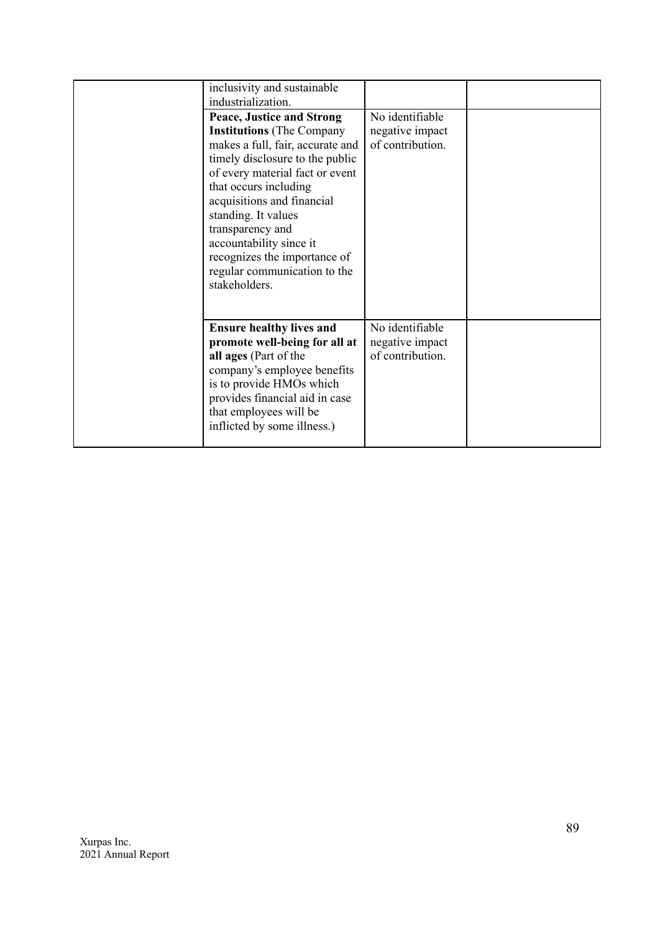| inclusivity and sustainable<br>industrialization.                                                                                                                                                                                                                                                                                                                                            |                                                        |  |
|----------------------------------------------------------------------------------------------------------------------------------------------------------------------------------------------------------------------------------------------------------------------------------------------------------------------------------------------------------------------------------------------|--------------------------------------------------------|--|
| <b>Peace, Justice and Strong</b><br><b>Institutions</b> (The Company<br>makes a full, fair, accurate and<br>timely disclosure to the public<br>of every material fact or event<br>that occurs including<br>acquisitions and financial<br>standing. It values<br>transparency and<br>accountability since it<br>recognizes the importance of<br>regular communication to the<br>stakeholders. | No identifiable<br>negative impact<br>of contribution. |  |
| <b>Ensure healthy lives and</b><br>promote well-being for all at<br>all ages (Part of the<br>company's employee benefits<br>is to provide HMOs which<br>provides financial aid in case<br>that employees will be<br>inflicted by some illness.)                                                                                                                                              | No identifiable<br>negative impact<br>of contribution. |  |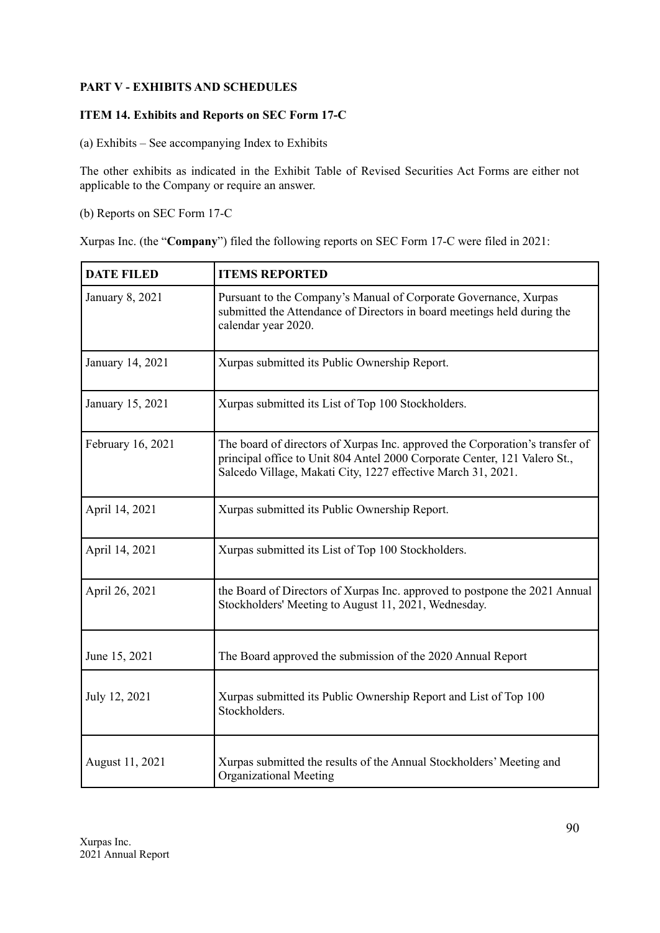# **PART V - EXHIBITS AND SCHEDULES**

# **ITEM 14. Exhibits and Reports on SEC Form 17-C**

(a) Exhibits – See accompanying Index to Exhibits

The other exhibits as indicated in the Exhibit Table of Revised Securities Act Forms are either not applicable to the Company or require an answer.

(b) Reports on SEC Form 17-C

Xurpas Inc. (the "**Company**") filed the following reports on SEC Form 17-C were filed in 2021:

| <b>DATE FILED</b> | <b>ITEMS REPORTED</b>                                                                                                                                                                                                     |  |
|-------------------|---------------------------------------------------------------------------------------------------------------------------------------------------------------------------------------------------------------------------|--|
| January 8, 2021   | Pursuant to the Company's Manual of Corporate Governance, Xurpas<br>submitted the Attendance of Directors in board meetings held during the<br>calendar year 2020.                                                        |  |
| January 14, 2021  | Xurpas submitted its Public Ownership Report.                                                                                                                                                                             |  |
| January 15, 2021  | Xurpas submitted its List of Top 100 Stockholders.                                                                                                                                                                        |  |
| February 16, 2021 | The board of directors of Xurpas Inc. approved the Corporation's transfer of<br>principal office to Unit 804 Antel 2000 Corporate Center, 121 Valero St.,<br>Salcedo Village, Makati City, 1227 effective March 31, 2021. |  |
| April 14, 2021    | Xurpas submitted its Public Ownership Report.                                                                                                                                                                             |  |
| April 14, 2021    | Xurpas submitted its List of Top 100 Stockholders.                                                                                                                                                                        |  |
| April 26, 2021    | the Board of Directors of Xurpas Inc. approved to postpone the 2021 Annual<br>Stockholders' Meeting to August 11, 2021, Wednesday.                                                                                        |  |
| June 15, 2021     | The Board approved the submission of the 2020 Annual Report                                                                                                                                                               |  |
| July 12, 2021     | Xurpas submitted its Public Ownership Report and List of Top 100<br>Stockholders.                                                                                                                                         |  |
| August 11, 2021   | Xurpas submitted the results of the Annual Stockholders' Meeting and<br><b>Organizational Meeting</b>                                                                                                                     |  |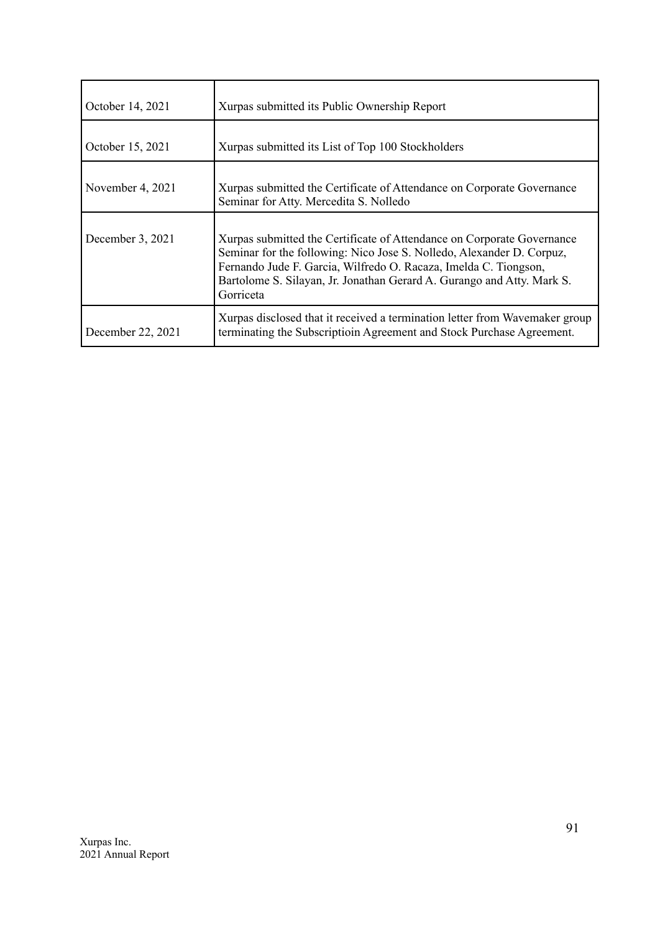| October 14, 2021  | Xurpas submitted its Public Ownership Report                                                                                                                                                                                                                                                               |
|-------------------|------------------------------------------------------------------------------------------------------------------------------------------------------------------------------------------------------------------------------------------------------------------------------------------------------------|
| October 15, 2021  | Xurpas submitted its List of Top 100 Stockholders                                                                                                                                                                                                                                                          |
| November 4, 2021  | Xurpas submitted the Certificate of Attendance on Corporate Governance<br>Seminar for Atty. Mercedita S. Nolledo                                                                                                                                                                                           |
| December 3, 2021  | Xurpas submitted the Certificate of Attendance on Corporate Governance<br>Seminar for the following: Nico Jose S. Nolledo, Alexander D. Corpuz,<br>Fernando Jude F. Garcia, Wilfredo O. Racaza, Imelda C. Tiongson,<br>Bartolome S. Silayan, Jr. Jonathan Gerard A. Gurango and Atty. Mark S.<br>Gorriceta |
| December 22, 2021 | Xurpas disclosed that it received a termination letter from Wavemaker group<br>terminating the Subscriptioin Agreement and Stock Purchase Agreement.                                                                                                                                                       |